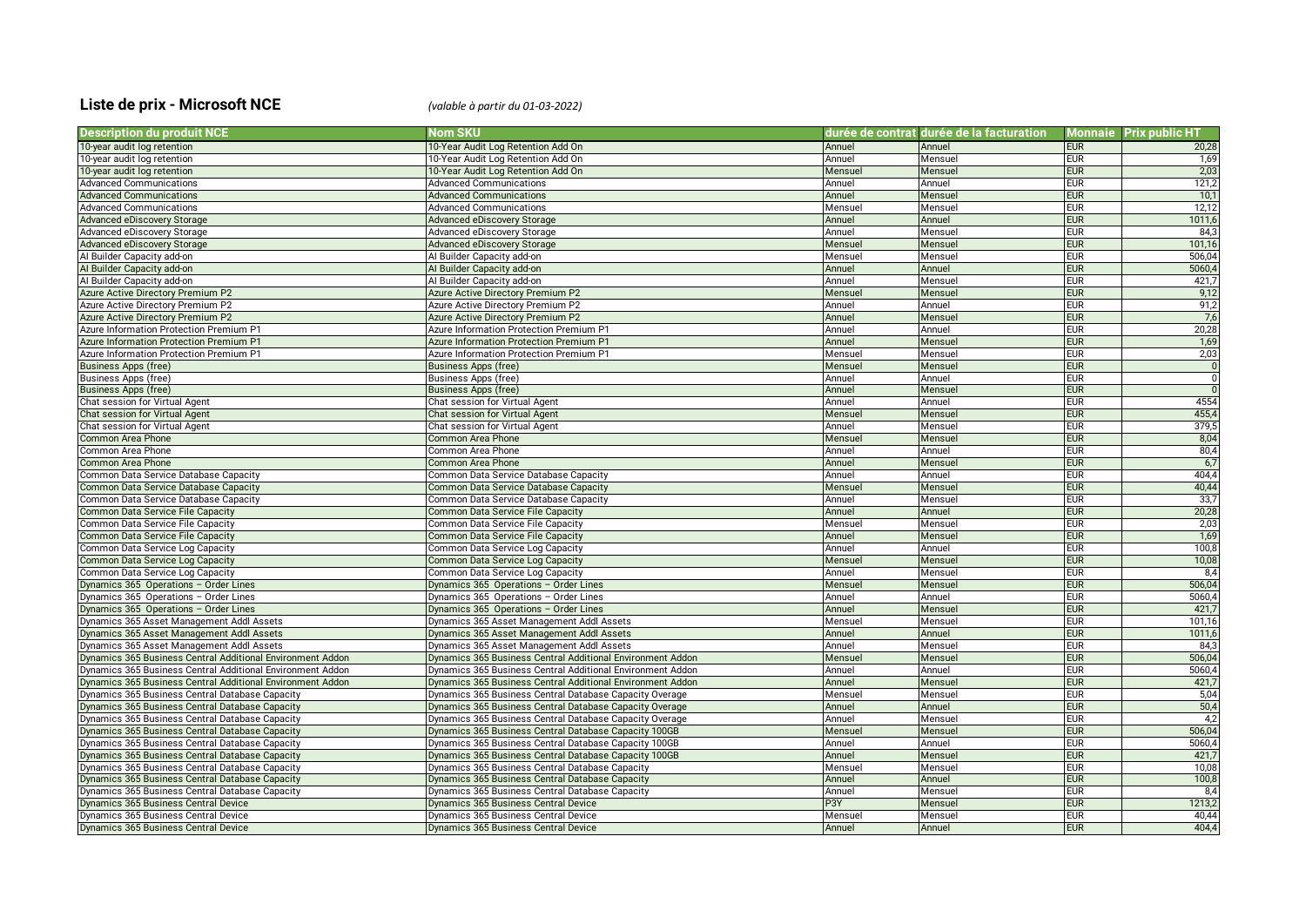## **Liste de prix - Microsoft NCE** *(valable à partir du 01-03-2022)*

| <b>Description du produit NCE</b>                          | Nom SKU                                                    |         | durée de contrat durée de la facturation |            | Monnaie Prix public HT |
|------------------------------------------------------------|------------------------------------------------------------|---------|------------------------------------------|------------|------------------------|
| 10-year audit log retention                                | 10-Year Audit Log Retention Add On                         | Annuel  | Annuel                                   | <b>EUR</b> | 20,28                  |
| 10-year audit log retention                                | 10-Year Audit Log Retention Add On                         | Annuel  | Mensuel                                  | <b>EUR</b> | 1,69                   |
| 10-year audit log retention                                | 10-Year Audit Log Retention Add On                         | Mensuel | Mensuel                                  | <b>EUR</b> | 2,03                   |
| <b>Advanced Communications</b>                             | <b>Advanced Communications</b>                             | Annuel  | Annuel                                   | <b>EUR</b> | 121,2                  |
| <b>Advanced Communications</b>                             | <b>Advanced Communications</b>                             | Annuel  | Mensuel                                  | <b>EUR</b> | 10,1                   |
| <b>Advanced Communications</b>                             | <b>Advanced Communications</b>                             | Mensuel | Mensuel                                  | <b>EUR</b> | 12,12                  |
| Advanced eDiscovery Storage                                | <b>Advanced eDiscovery Storage</b>                         | Annuel  | Annuel                                   | <b>EUR</b> | 1011,6                 |
| Advanced eDiscovery Storage                                | Advanced eDiscovery Storage                                | Annuel  | Mensuel                                  | <b>EUR</b> | 84,3                   |
| Advanced eDiscovery Storage                                | <b>Advanced eDiscovery Storage</b>                         | Mensuel | Mensuel                                  | <b>EUR</b> | 101.16                 |
| Al Builder Capacity add-on                                 | Al Builder Capacity add-on                                 | Mensuel | Mensuel                                  | <b>EUR</b> | 506,04                 |
| Al Builder Capacity add-on                                 | Al Builder Capacity add-on                                 | Annuel  | Annuel                                   | <b>EUR</b> | 5060,4                 |
| Al Builder Capacity add-on                                 | Al Builder Capacity add-on                                 | Annuel  | Mensue                                   | <b>EUR</b> | 421,7                  |
| Azure Active Directory Premium P2                          | <b>Azure Active Directory Premium P2</b>                   | Mensuel | Mensuel                                  | <b>EUR</b> | 9,12                   |
| Azure Active Directory Premium P2                          | Azure Active Directory Premium P2                          | Annuel  | Annuel                                   | <b>EUR</b> | 91,2                   |
| Azure Active Directory Premium P2                          | <b>Azure Active Directory Premium P2</b>                   | Annuel  | Mensuel                                  | <b>EUR</b> | 7,6                    |
| Azure Information Protection Premium P1                    | Azure Information Protection Premium P1                    | Annuel  | Annuel                                   | <b>EUR</b> | 20,28                  |
| Azure Information Protection Premium P1                    | Azure Information Protection Premium P1                    | Annuel  | Mensuel                                  | <b>EUR</b> | 1,69                   |
| Azure Information Protection Premium P1                    | Azure Information Protection Premium P1                    | Mensuel | Mensuel                                  | <b>EUR</b> | 2,03                   |
| <b>Business Apps (free)</b>                                | <b>Business Apps (free)</b>                                | Mensuel | Mensuel                                  | <b>EUR</b> | $\overline{0}$         |
| Business Apps (free)                                       | Business Apps (free)                                       | Annuel  | Annuel                                   | <b>EUR</b> | $\mathbf 0$            |
| <b>Business Apps (free)</b>                                | <b>Business Apps (free)</b>                                | Annuel  | Mensuel                                  | <b>EUR</b> |                        |
| Chat session for Virtual Agent                             | Chat session for Virtual Agent                             | Annuel  | Annuel                                   | <b>EUR</b> | 4554                   |
| Chat session for Virtual Agent                             | Chat session for Virtual Agent                             | Mensuel | Mensuel                                  | <b>EUR</b> | 455,4                  |
| Chat session for Virtual Agent                             | Chat session for Virtual Agent                             | Annuel  | Mensuel                                  | <b>EUR</b> | 379,5                  |
| Common Area Phone                                          | Common Area Phone                                          | Mensuel | Mensuel                                  | <b>EUR</b> | 8,04                   |
| Common Area Phone                                          | Common Area Phone                                          | Annuel  | Annuel                                   | <b>EUR</b> | 80,4                   |
| <b>Common Area Phone</b>                                   | <b>Common Area Phone</b>                                   | Annuel  | Mensuel                                  | <b>EUR</b> | 6,7                    |
| Common Data Service Database Capacity                      | Common Data Service Database Capacity                      | Annuel  | Annuel                                   | <b>EUR</b> | 404,4                  |
| Common Data Service Database Capacity                      | Common Data Service Database Capacity                      | Mensue  | Mensuel                                  | <b>EUR</b> | 40,44                  |
| Common Data Service Database Capacity                      | Common Data Service Database Capacity                      | Annuel  | Mensuel                                  | <b>EUR</b> | 33,7                   |
| <b>Common Data Service File Capacity</b>                   | <b>Common Data Service File Capacity</b>                   | Annuel  | Annuel                                   | <b>EUR</b> | 20,28                  |
| Common Data Service File Capacity                          | Common Data Service File Capacity                          | Mensuel | Mensuel                                  | <b>EUR</b> | 2,03                   |
| Common Data Service File Capacity                          | Common Data Service File Capacity                          | Annuel  | Mensuel                                  | <b>EUR</b> | 1,69                   |
| Common Data Service Log Capacity                           | Common Data Service Log Capacity                           | Annuel  | Annuel                                   | <b>EUR</b> | 100,8                  |
| Common Data Service Log Capacity                           | Common Data Service Log Capacity                           | Mensuel | Mensuel                                  | <b>EUR</b> | 10,08                  |
| Common Data Service Log Capacity                           | Common Data Service Log Capacity                           | Annuel  | Mensuel                                  | <b>EUR</b> | 8,4                    |
| Dynamics 365 Operations - Order Lines                      | Dynamics 365 Operations - Order Lines                      | Mensuel | Mensuel                                  | <b>EUR</b> | 506,04                 |
| Dynamics 365 Operations - Order Lines                      | Dynamics 365 Operations - Order Lines                      | Annuel  | Annuel                                   | <b>EUR</b> | 5060,4                 |
| Dynamics 365 Operations - Order Lines                      | Dynamics 365 Operations - Order Lines                      | Annuel  | Mensuel                                  | <b>EUR</b> | 421,7                  |
| Dynamics 365 Asset Management Addl Assets                  | Dynamics 365 Asset Management Addl Assets                  | Mensuel | Mensuel                                  | <b>EUR</b> | 101,16                 |
| Dynamics 365 Asset Management Addl Assets                  | Dynamics 365 Asset Management Addl Assets                  | Annuel  | Annuel                                   | <b>EUR</b> | 1011,6                 |
| Dynamics 365 Asset Management Addl Assets                  | Dynamics 365 Asset Management Addl Assets                  | Annuel  | Mensuel                                  | <b>EUR</b> | 84.3                   |
| Dynamics 365 Business Central Additional Environment Addon | Dynamics 365 Business Central Additional Environment Addon | Mensuel | Mensuel                                  | <b>EUR</b> | 506,04                 |
| Dynamics 365 Business Central Additional Environment Addon | Dynamics 365 Business Central Additional Environment Addon | Annuel  | Annuel                                   | <b>EUR</b> | 5060,4                 |
| Dynamics 365 Business Central Additional Environment Addon | Dynamics 365 Business Central Additional Environment Addon | Annuel  | Mensuel                                  | <b>EUR</b> | 421,7                  |
| Dynamics 365 Business Central Database Capacity            | Dynamics 365 Business Central Database Capacity Overage    | Mensuel | Mensuel                                  | <b>EUR</b> | 5,04                   |
| Dynamics 365 Business Central Database Capacity            | Dynamics 365 Business Central Database Capacity Overage    | Annuel  | Annuel                                   | <b>EUR</b> | 50,4                   |
| Dynamics 365 Business Central Database Capacity            | Dynamics 365 Business Central Database Capacity Overage    | Annuel  | Mensuel                                  | <b>EUR</b> | 4,2                    |
| Dynamics 365 Business Central Database Capacity            | Dynamics 365 Business Central Database Capacity 100GB      | Mensuel | Mensuel                                  | <b>EUR</b> | 506,04                 |
| Dynamics 365 Business Central Database Capacity            | Dynamics 365 Business Central Database Capacity 100GB      | Annuel  | Annuel                                   | <b>EUR</b> | 5060,4                 |
| Dynamics 365 Business Central Database Capacity            | Dynamics 365 Business Central Database Capacity 100GB      | Annuel  | Mensuel                                  | <b>EUR</b> | 421,7                  |
| Dynamics 365 Business Central Database Capacity            | Dynamics 365 Business Central Database Capacity            | Mensuel | Mensuel                                  | <b>EUR</b> | 10,08                  |
| Dynamics 365 Business Central Database Capacity            | Dynamics 365 Business Central Database Capacity            | Annuel  | Annuel                                   | <b>EUR</b> | 100,8                  |
| Dynamics 365 Business Central Database Capacity            | Dynamics 365 Business Central Database Capacity            | Annuel  | Mensuel                                  | <b>EUR</b> | 8,4                    |
| Dynamics 365 Business Central Device                       | Dynamics 365 Business Central Device                       | P3Y     | Mensuel                                  | <b>EUR</b> | 1213,2                 |
| Dynamics 365 Business Central Device                       | Dynamics 365 Business Central Device                       | Mensuel | Mensuel                                  | <b>EUR</b> | 40,44                  |
| Dynamics 365 Business Central Device                       | Dynamics 365 Business Central Device                       | Annuel  | Annuel                                   | <b>EUR</b> | 404.4                  |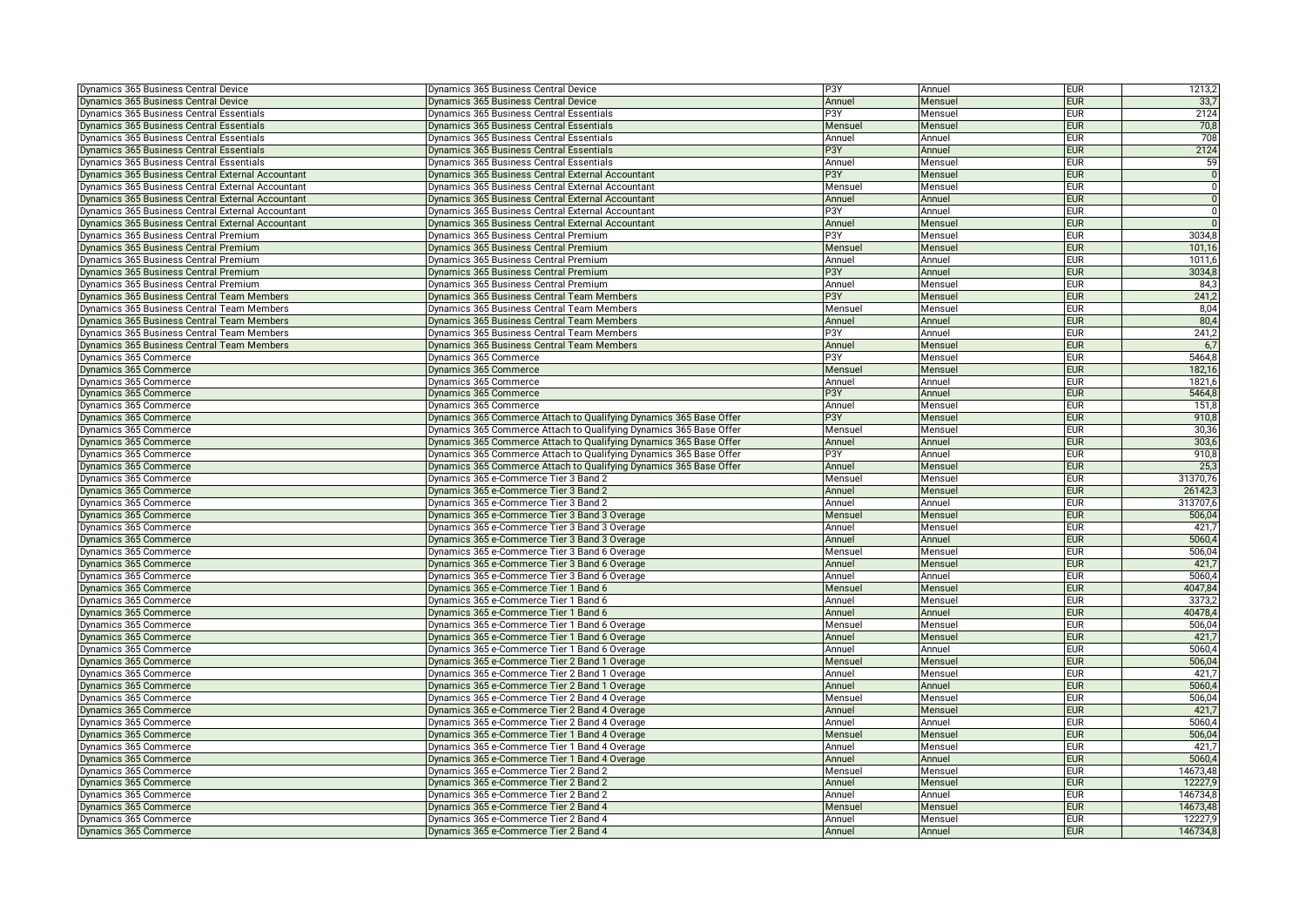| Dynamics 365 Business Central Device              | Dynamics 365 Business Central Device                               | P3Y              | Annuel  | <b>EUR</b> | 1213,2         |
|---------------------------------------------------|--------------------------------------------------------------------|------------------|---------|------------|----------------|
| Dynamics 365 Business Central Device              | Dynamics 365 Business Central Device                               | Annuel           | Mensuel | <b>EUR</b> | 33,7           |
| Dynamics 365 Business Central Essentials          | Dynamics 365 Business Central Essentials                           | P3Y              | Mensuel | <b>EUR</b> | 2124           |
| Dynamics 365 Business Central Essentials          | <b>Dynamics 365 Business Central Essentials</b>                    | Mensuel          | Mensuel | <b>EUR</b> | 70,8           |
| Dynamics 365 Business Central Essentials          | Dynamics 365 Business Central Essentials                           | Annuel           | Annuel  | <b>EUR</b> | 708            |
| Dynamics 365 Business Central Essentials          | <b>Dynamics 365 Business Central Essentials</b>                    | P <sub>3</sub> Y | Annuel  | <b>EUR</b> | 2124           |
| Dynamics 365 Business Central Essentials          | Dynamics 365 Business Central Essentials                           | Annuel           | Mensuel | <b>EUR</b> | 59             |
| Dynamics 365 Business Central External Accountant | Dynamics 365 Business Central External Accountant                  | P <sub>3</sub> Y | Mensuel | <b>EUR</b> | $\overline{0}$ |
| Dynamics 365 Business Central External Accountant | Dynamics 365 Business Central External Accountant                  | Mensuel          | Mensuel | <b>EUR</b> | $\overline{0}$ |
| Dynamics 365 Business Central External Accountant | Dynamics 365 Business Central External Accountant                  | Annuel           | Annuel  | <b>EUR</b> | $\overline{0}$ |
| Oynamics 365 Business Central External Accountant | Dynamics 365 Business Central External Accountant                  | P3Y              | Annuel  | <b>EUR</b> | $\Omega$       |
| Dynamics 365 Business Central External Accountant | Dynamics 365 Business Central External Accountant                  | Annuel           | Mensuel | <b>EUR</b> |                |
| Dynamics 365 Business Central Premium             | Dynamics 365 Business Central Premium                              | P <sub>3</sub> Y | Mensuel | <b>EUR</b> | 3034,8         |
| Dynamics 365 Business Central Premium             | Dynamics 365 Business Central Premium                              | Mensuel          | Mensuel | <b>EUR</b> | 101,16         |
| Dynamics 365 Business Central Premium             | Dynamics 365 Business Central Premium                              | Annuel           | Annuel  | <b>EUR</b> | 1011,6         |
| <b>Oynamics 365 Business Central Premium</b>      | Dynamics 365 Business Central Premium                              | P3Y              | Annuel  | <b>EUR</b> | 3034,8         |
| Dynamics 365 Business Central Premium             | Dynamics 365 Business Central Premium                              | Annuel           | Mensuel | <b>EUR</b> | 84,3           |
| Dynamics 365 Business Central Team Members        | Dynamics 365 Business Central Team Members                         | P3Y              | Mensuel | <b>EUR</b> | 241,2          |
| Dynamics 365 Business Central Team Members        | Dynamics 365 Business Central Team Members                         | Mensuel          | Mensuel | <b>EUR</b> | 8,04           |
| Dynamics 365 Business Central Team Members        | Dynamics 365 Business Central Team Members                         | Annuel           | Annuel  | <b>EUR</b> | 80,4           |
| ynamics 365 Business Central Team Members         | Dynamics 365 Business Central Team Members                         | P3Y              | Annuel  | <b>EUR</b> | 241,2          |
| Dynamics 365 Business Central Team Members        | Dynamics 365 Business Central Team Members                         | Annuel           | Mensuel | <b>EUR</b> | 6,7            |
| Dynamics 365 Commerce                             | Dynamics 365 Commerce                                              | P3Y              | Mensuel | <b>EUR</b> | 5464,8         |
| Dynamics 365 Commerce                             | Dynamics 365 Commerce                                              | Mensuel          | Mensuel | <b>EUR</b> | 182,16         |
| Dynamics 365 Commerce                             | Dynamics 365 Commerce                                              | Annuel           | Annuel  | <b>EUR</b> | 1821,6         |
| Dynamics 365 Commerce                             | Dynamics 365 Commerce                                              | P3Y              | Annuel  | <b>EUR</b> | 5464,8         |
| Dynamics 365 Commerce                             | Dynamics 365 Commerce                                              | Annuel           | Mensuel | <b>EUR</b> | 151,8          |
| Dynamics 365 Commerce                             | Dynamics 365 Commerce Attach to Qualifying Dynamics 365 Base Offer | P3Y              | Mensuel | <b>EUR</b> | 910,8          |
| Dynamics 365 Commerce                             | Dynamics 365 Commerce Attach to Qualifying Dynamics 365 Base Offer | Mensuel          | Mensuel | <b>EUR</b> | 30,36          |
| Dynamics 365 Commerce                             | Dynamics 365 Commerce Attach to Qualifying Dynamics 365 Base Offer | Annuel           | Annuel  | <b>EUR</b> | 303,6          |
| Dynamics 365 Commerce                             | Dynamics 365 Commerce Attach to Qualifying Dynamics 365 Base Offer | P3Y              | Annuel  | <b>EUR</b> | 910,8          |
|                                                   |                                                                    |                  |         | <b>EUR</b> | 25.3           |
| Dynamics 365 Commerce                             | Dynamics 365 Commerce Attach to Qualifying Dynamics 365 Base Offer | Annuel           | Mensuel |            |                |
| Dynamics 365 Commerce                             | Dynamics 365 e-Commerce Tier 3 Band 2                              | Mensuel          | Mensuel | <b>EUR</b> | 31370,76       |
| Dynamics 365 Commerce                             | Dynamics 365 e-Commerce Tier 3 Band 2                              | Annuel           | Mensuel | <b>EUR</b> | 26142,3        |
| Dynamics 365 Commerce                             | Dynamics 365 e-Commerce Tier 3 Band 2                              | Annuel           | Annuel  | <b>EUR</b> | 313707,6       |
| Oynamics 365 Commerce                             | Dynamics 365 e-Commerce Tier 3 Band 3 Overage                      | Mensuel          | Mensuel | <b>EUR</b> | 506,04         |
| Dynamics 365 Commerce                             | Dynamics 365 e-Commerce Tier 3 Band 3 Overage                      | Annuel           | Mensuel | <b>EUR</b> | 421,7          |
| Dynamics 365 Commerce                             | Dynamics 365 e-Commerce Tier 3 Band 3 Overage                      | Annuel           | Annuel  | <b>EUR</b> | 5060,4         |
| Dynamics 365 Commerce                             | Dynamics 365 e-Commerce Tier 3 Band 6 Overage                      | Mensuel          | Mensuel | <b>EUR</b> | 506,04         |
| Dynamics 365 Commerce                             | Dynamics 365 e-Commerce Tier 3 Band 6 Overage                      | Annuel           | Mensuel | <b>EUR</b> | 421,7          |
| Oynamics 365 Commerce                             | Dynamics 365 e-Commerce Tier 3 Band 6 Overage                      | Annuel           | Annuel  | <b>EUR</b> | 5060,4         |
| Dynamics 365 Commerce                             | Dynamics 365 e-Commerce Tier 1 Band 6                              | Mensuel          | Mensuel | <b>EUR</b> | 4047,84        |
| Dynamics 365 Commerce                             | Dynamics 365 e-Commerce Tier 1 Band 6                              | Annuel           | Mensuel | <b>EUR</b> | 3373,2         |
| Dynamics 365 Commerce                             | Dynamics 365 e-Commerce Tier 1 Band 6                              | Annuel           | Annuel  | <b>EUR</b> | 40478,4        |
| Dynamics 365 Commerce                             | Dynamics 365 e-Commerce Tier 1 Band 6 Overage                      | Mensuel          | Mensuel | <b>EUR</b> | 506,04         |
| Dynamics 365 Commerce                             | Dynamics 365 e-Commerce Tier 1 Band 6 Overage                      | Annuel           | Mensuel | <b>EUR</b> | 421,7          |
| Dynamics 365 Commerce                             | Dynamics 365 e-Commerce Tier 1 Band 6 Overage                      | Annuel           | Annuel  | <b>EUR</b> | 5060,4         |
| Dynamics 365 Commerce                             | Dynamics 365 e-Commerce Tier 2 Band 1 Overage                      | Mensuel          | Mensuel | <b>EUR</b> | 506.04         |
| Dynamics 365 Commerce                             | Dynamics 365 e-Commerce Tier 2 Band 1 Overage                      | Annuel           | Mensuel | <b>EUR</b> | 421,7          |
| Vynamics 365 Commerce                             | Dynamics 365 e-Commerce Tier 2 Band 1 Overage                      | Annuel           | Annuel  | <b>EUR</b> | 5060,4         |
| Dynamics 365 Commerce                             | Dynamics 365 e-Commerce Tier 2 Band 4 Overage                      | Mensuel          | Mensuel | <b>EUR</b> | 506,04         |
| Dynamics 365 Commerce                             | Dynamics 365 e-Commerce Tier 2 Band 4 Overage                      | Annuel           | Mensuel | <b>EUR</b> | 421,7          |
| Dynamics 365 Commerce                             | Dynamics 365 e-Commerce Tier 2 Band 4 Overage                      | Annuel           | Annuel  | <b>EUR</b> | 5060,4         |
| Dynamics 365 Commerce                             | Dynamics 365 e-Commerce Tier 1 Band 4 Overage                      | Mensuel          | Mensuel | <b>EUR</b> | 506,04         |
| Dynamics 365 Commerce                             | Dynamics 365 e-Commerce Tier 1 Band 4 Overage                      | Annuel           | Mensuel | <b>EUR</b> | 421,7          |
| Dynamics 365 Commerce                             | Dynamics 365 e-Commerce Tier 1 Band 4 Overage                      | Annuel           | Annuel  | <b>EUR</b> | 5060,4         |
| Dynamics 365 Commerce                             | Dynamics 365 e-Commerce Tier 2 Band 2                              | Mensuel          | Mensuel | <b>EUR</b> | 14673,48       |
| Dynamics 365 Commerce                             | Dynamics 365 e-Commerce Tier 2 Band 2                              | Annuel           | Mensuel | <b>EUR</b> | 12227,9        |
| Dynamics 365 Commerce                             | Dynamics 365 e-Commerce Tier 2 Band 2                              | Annuel           | Annuel  | <b>EUR</b> | 146734,8       |
| Dynamics 365 Commerce                             | Dynamics 365 e-Commerce Tier 2 Band 4                              | Mensuel          | Mensuel | <b>EUR</b> | 14673,48       |
| Dynamics 365 Commerce                             | Dynamics 365 e-Commerce Tier 2 Band 4                              | Annuel           | Mensuel | <b>EUR</b> | 12227,9        |
| Dynamics 365 Commerce                             | Dynamics 365 e-Commerce Tier 2 Band 4                              | Annuel           | Annuel  | <b>EUR</b> | 146734,8       |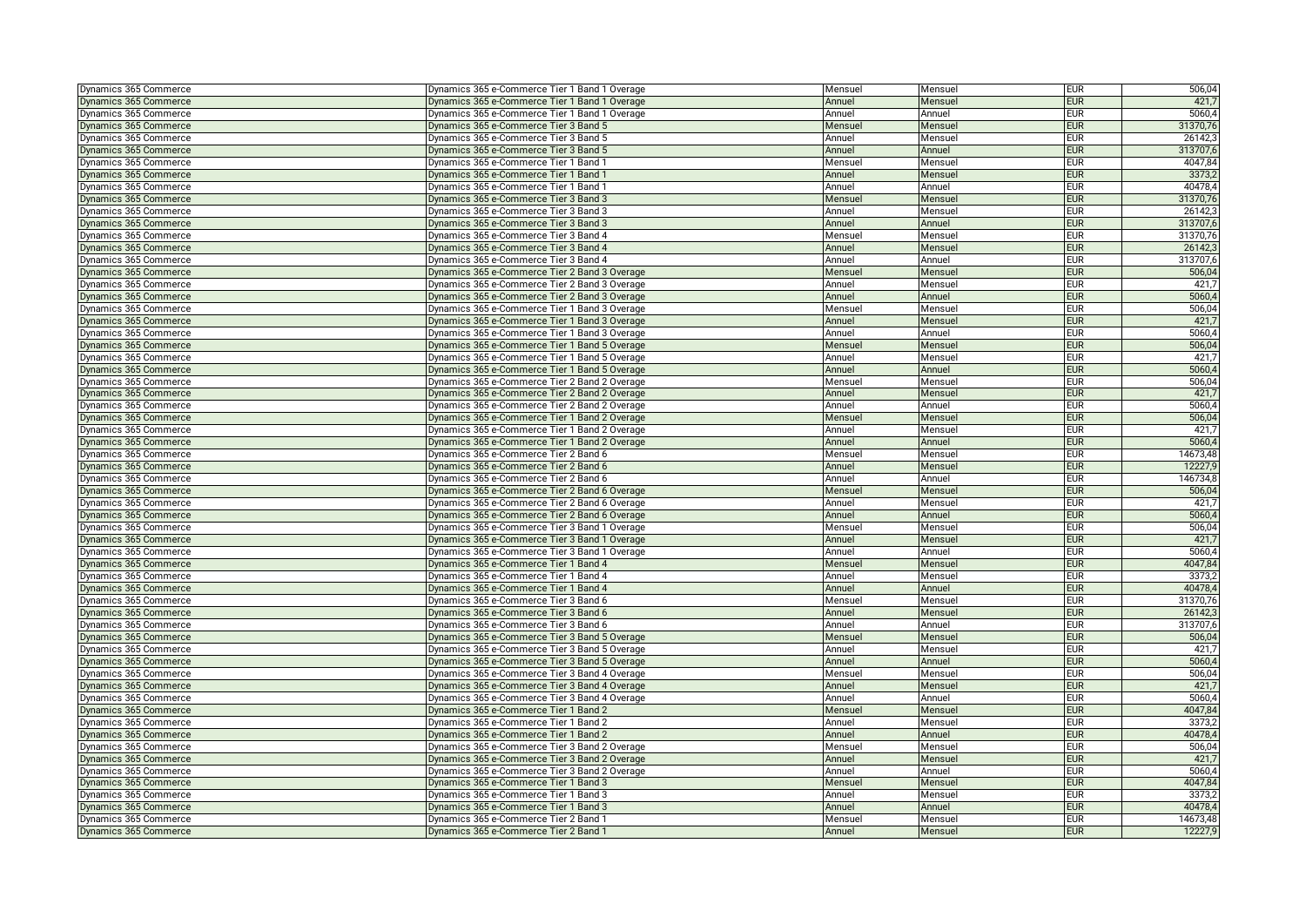| 421,7<br>Dynamics 365 Commerce<br>Dynamics 365 e-Commerce Tier 1 Band 1 Overage<br>Annuel<br><b>EUR</b><br>Mensuel<br>5060,4<br>Dynamics 365 Commerce<br>Dynamics 365 e-Commerce Tier 1 Band 1 Overage<br><b>EUR</b><br>Annuel<br>Annuel<br>Dynamics 365 Commerce<br>Dynamics 365 e-Commerce Tier 3 Band 5<br><b>EUR</b><br>31370,76<br>Mensuel<br>Mensuel<br>26142,3<br>Dynamics 365 Commerce<br>Dynamics 365 e-Commerce Tier 3 Band 5<br>Annuel<br>Mensuel<br><b>EUR</b><br>313707,6<br><b>EUR</b><br>Dynamics 365 Commerce<br>Dynamics 365 e-Commerce Tier 3 Band 5<br>Annuel<br>Annuel<br>4047,84<br><b>EUR</b><br>Dynamics 365 Commerce<br>Dynamics 365 e-Commerce Tier 1 Band 1<br>Mensuel<br>Mensuel<br>3373,2<br>Dynamics 365 Commerce<br>Dynamics 365 e-Commerce Tier 1 Band 1<br>Annuel<br>Mensuel<br><b>EUR</b><br>Dynamics 365 Commerce<br>Dynamics 365 e-Commerce Tier 1 Band 1<br><b>EUR</b><br>40478,4<br>Annuel<br>Annuel<br>31370,76<br>Dynamics 365 Commerce<br>Dynamics 365 e-Commerce Tier 3 Band 3<br>Mensuel<br>Mensuel<br><b>EUR</b><br>Dynamics 365 Commerce<br>Dynamics 365 e-Commerce Tier 3 Band 3<br><b>EUR</b><br>26142,3<br>Annuel<br>Mensuel<br>313707,6<br>Dynamics 365 Commerce<br>Dynamics 365 e-Commerce Tier 3 Band 3<br>Annuel<br>Annuel<br><b>EUR</b><br>Dynamics 365 Commerce<br>Dynamics 365 e-Commerce Tier 3 Band 4<br><b>EUR</b><br>31370,76<br>Mensuel<br>Mensuel<br>Dynamics 365 Commerce<br>Dynamics 365 e-Commerce Tier 3 Band 4<br><b>EUR</b><br>26142,3<br>Annuel<br>Mensuel<br>313707,6<br>Dynamics 365 Commerce<br>Dynamics 365 e-Commerce Tier 3 Band 4<br>Annuel<br>Annuel<br><b>EUR</b><br>506,04<br>Dynamics 365 Commerce<br>Dynamics 365 e-Commerce Tier 2 Band 3 Overage<br>Mensuel<br>Mensuel<br><b>EUR</b><br>421,7<br>Dynamics 365 Commerce<br>Dynamics 365 e-Commerce Tier 2 Band 3 Overage<br>Annuel<br><b>EUR</b><br>Mensuel<br>5060,4<br>Dynamics 365 Commerce<br><b>EUR</b><br>Dynamics 365 e-Commerce Tier 2 Band 3 Overage<br>Annuel<br>Annuel<br>506,04<br>Dynamics 365 Commerce<br>Dynamics 365 e-Commerce Tier 1 Band 3 Overage<br><b>EUR</b><br>Mensuel<br>Mensuel<br>421,7<br>Dynamics 365 Commerce<br>Dynamics 365 e-Commerce Tier 1 Band 3 Overage<br>Annuel<br><b>EUR</b><br>Mensuel<br>5060,4<br>Dynamics 365 Commerce<br>Dynamics 365 e-Commerce Tier 1 Band 3 Overage<br><b>EUR</b><br>Annuel<br>Annuel<br>Dynamics 365 Commerce<br>Dynamics 365 e-Commerce Tier 1 Band 5 Overage<br>506,04<br>Mensuel<br>Mensuel<br><b>EUR</b><br>Dynamics 365 Commerce<br>Dynamics 365 e-Commerce Tier 1 Band 5 Overage<br>Mensuel<br><b>EUR</b><br>421,7<br>Annuel<br>5060,4<br>Dynamics 365 Commerce<br>Dynamics 365 e-Commerce Tier 1 Band 5 Overage<br><b>EUR</b><br>Annuel<br>Annuel<br>506,04<br>Dynamics 365 Commerce<br>Dynamics 365 e-Commerce Tier 2 Band 2 Overage<br><b>EUR</b><br>Mensuel<br>Mensuel<br>421,7<br>Dynamics 365 Commerce<br>Dynamics 365 e-Commerce Tier 2 Band 2 Overage<br><b>EUR</b><br>Annuel<br>Mensuel<br>Dynamics 365 Commerce<br>Dynamics 365 e-Commerce Tier 2 Band 2 Overage<br>5060,4<br>Annuel<br>Annuel<br><b>EUR</b><br>Dynamics 365 e-Commerce Tier 1 Band 2 Overage<br>506,04<br>Dynamics 365 Commerce<br>Mensuel<br>Mensuel<br><b>EUR</b><br>421,7<br>Dynamics 365 Commerce<br>Dynamics 365 e-Commerce Tier 1 Band 2 Overage<br>Annuel<br>Mensuel<br><b>EUR</b><br>5060,4<br>Dynamics 365 Commerce<br>Dynamics 365 e-Commerce Tier 1 Band 2 Overage<br>Annuel<br>Annuel<br><b>EUR</b><br>14673,48<br>Dynamics 365 Commerce<br>Dynamics 365 e-Commerce Tier 2 Band 6<br><b>EUR</b><br>Mensuel<br>Mensuel<br>Dynamics 365 Commerce<br>Dynamics 365 e-Commerce Tier 2 Band 6<br>12227,9<br>Annuel<br>Mensuel<br><b>EUR</b><br>146734,8<br>Dynamics 365 Commerce<br>Dynamics 365 e-Commerce Tier 2 Band 6<br>Annuel<br>Annuel<br><b>EUR</b><br>506,04<br>Dynamics 365 Commerce<br>Dynamics 365 e-Commerce Tier 2 Band 6 Overage<br><b>EUR</b><br>Mensuel<br>Mensuel<br>421,7<br>Dynamics 365 Commerce<br>Dynamics 365 e-Commerce Tier 2 Band 6 Overage<br>Annuel<br>Mensuel<br><b>EUR</b><br>5060,4<br>Dynamics 365 Commerce<br>Dynamics 365 e-Commerce Tier 2 Band 6 Overage<br>Annuel<br><b>EUR</b><br>Annuel<br>506,04<br>Dynamics 365 Commerce<br>Dynamics 365 e-Commerce Tier 3 Band 1 Overage<br><b>EUR</b><br>Mensuel<br>Mensuel<br>Dynamics 365 Commerce<br>Dynamics 365 e-Commerce Tier 3 Band 1 Overage<br><b>EUR</b><br>421,7<br>Annuel<br>Mensuel<br>5060,4<br>Dynamics 365 Commerce<br>Dynamics 365 e-Commerce Tier 3 Band 1 Overage<br><b>EUR</b><br>Annuel<br>Annuel<br>Dynamics 365 Commerce<br>Dynamics 365 e-Commerce Tier 1 Band 4<br>4047,84<br>Mensuel<br>Mensuel<br><b>EUR</b><br>3373,2<br>Dynamics 365 Commerce<br>Dynamics 365 e-Commerce Tier 1 Band 4<br>Annuel<br>Mensuel<br><b>EUR</b><br>40478,4<br>Dynamics 365 Commerce<br>Dynamics 365 e-Commerce Tier 1 Band 4<br>Annuel<br>Annuel<br><b>EUR</b><br>Dynamics 365 e-Commerce Tier 3 Band 6<br>31370,76<br>Dynamics 365 Commerce<br><b>EUR</b><br>Mensuel<br>Mensuel<br>Dynamics 365 Commerce<br>Dynamics 365 e-Commerce Tier 3 Band 6<br><b>EUR</b><br>26142,3<br>Annuel<br>Mensuel<br>Dynamics 365 Commerce<br>Dynamics 365 e-Commerce Tier 3 Band 6<br>313707,6<br>Annuel<br>Annuel<br><b>EUR</b><br>506,04<br>Dynamics 365 Commerce<br>Dynamics 365 e-Commerce Tier 3 Band 5 Overage<br>Mensuel<br>Mensuel<br><b>EUR</b><br><b>EUR</b><br>421,7<br>Dynamics 365 Commerce<br>Dynamics 365 e-Commerce Tier 3 Band 5 Overage<br>Annuel<br>Mensuel<br>5060,4<br>Dynamics 365 e-Commerce Tier 3 Band 5 Overage<br>Dynamics 365 Commerce<br><b>EUR</b><br>Annuel<br>Annuel<br>506,04<br>Dynamics 365 Commerce<br>Dynamics 365 e-Commerce Tier 3 Band 4 Overage<br><b>EUR</b><br>Mensuel<br>Mensuel<br>Dynamics 365 Commerce<br>Dynamics 365 e-Commerce Tier 3 Band 4 Overage<br><b>EUR</b><br>421,7<br>Annuel<br>Mensuel<br>5060,4<br>Dynamics 365 Commerce<br>Dynamics 365 e-Commerce Tier 3 Band 4 Overage<br>Annuel<br>Annuel<br><b>EUR</b><br>4047,84<br>Dynamics 365 Commerce<br>Dynamics 365 e-Commerce Tier 1 Band 2<br>Mensuel<br>Mensuel<br><b>EUR</b><br>Dynamics 365 e-Commerce Tier 1 Band 2<br>3373,2<br>Dynamics 365 Commerce<br>Annuel<br><b>EUR</b><br>Mensuel<br>40478,4<br>Dynamics 365 Commerce<br>Dynamics 365 e-Commerce Tier 1 Band 2<br>Annuel<br>Annuel<br><b>EUR</b><br>Dynamics 365 Commerce<br>Dynamics 365 e-Commerce Tier 3 Band 2 Overage<br><b>EUR</b><br>506,04<br>Mensuel<br>Mensuel<br>421,7<br>Dynamics 365 Commerce<br>Dynamics 365 e-Commerce Tier 3 Band 2 Overage<br>Annuel<br><b>EUR</b><br>Mensuel<br>Dynamics 365 Commerce<br>Dynamics 365 e-Commerce Tier 3 Band 2 Overage<br><b>EUR</b><br>5060,4<br>Annuel<br>Annuel<br>Dynamics 365 e-Commerce Tier 1 Band 3<br>4047,84<br>Dynamics 365 Commerce<br>Mensuel<br>Mensuel<br><b>EUR</b><br>3373,2<br>Dynamics 365 Commerce<br>Dynamics 365 e-Commerce Tier 1 Band 3<br>Annuel<br>Mensuel<br><b>EUR</b><br>40478,4<br>Dynamics 365 Commerce<br>Dynamics 365 e-Commerce Tier 1 Band 3<br>Annuel<br>Annuel<br><b>EUR</b><br>Dynamics 365 e-Commerce Tier 2 Band 1<br>14673,48<br>Dynamics 365 Commerce<br>Mensuel<br>Mensuel<br><b>EUR</b><br>Mensuel<br>Annuel | Dynamics 365 Commerce | Dynamics 365 e-Commerce Tier 1 Band 1 Overage | Mensuel | Mensuel | <b>EUR</b> | 506,04  |
|-----------------------------------------------------------------------------------------------------------------------------------------------------------------------------------------------------------------------------------------------------------------------------------------------------------------------------------------------------------------------------------------------------------------------------------------------------------------------------------------------------------------------------------------------------------------------------------------------------------------------------------------------------------------------------------------------------------------------------------------------------------------------------------------------------------------------------------------------------------------------------------------------------------------------------------------------------------------------------------------------------------------------------------------------------------------------------------------------------------------------------------------------------------------------------------------------------------------------------------------------------------------------------------------------------------------------------------------------------------------------------------------------------------------------------------------------------------------------------------------------------------------------------------------------------------------------------------------------------------------------------------------------------------------------------------------------------------------------------------------------------------------------------------------------------------------------------------------------------------------------------------------------------------------------------------------------------------------------------------------------------------------------------------------------------------------------------------------------------------------------------------------------------------------------------------------------------------------------------------------------------------------------------------------------------------------------------------------------------------------------------------------------------------------------------------------------------------------------------------------------------------------------------------------------------------------------------------------------------------------------------------------------------------------------------------------------------------------------------------------------------------------------------------------------------------------------------------------------------------------------------------------------------------------------------------------------------------------------------------------------------------------------------------------------------------------------------------------------------------------------------------------------------------------------------------------------------------------------------------------------------------------------------------------------------------------------------------------------------------------------------------------------------------------------------------------------------------------------------------------------------------------------------------------------------------------------------------------------------------------------------------------------------------------------------------------------------------------------------------------------------------------------------------------------------------------------------------------------------------------------------------------------------------------------------------------------------------------------------------------------------------------------------------------------------------------------------------------------------------------------------------------------------------------------------------------------------------------------------------------------------------------------------------------------------------------------------------------------------------------------------------------------------------------------------------------------------------------------------------------------------------------------------------------------------------------------------------------------------------------------------------------------------------------------------------------------------------------------------------------------------------------------------------------------------------------------------------------------------------------------------------------------------------------------------------------------------------------------------------------------------------------------------------------------------------------------------------------------------------------------------------------------------------------------------------------------------------------------------------------------------------------------------------------------------------------------------------------------------------------------------------------------------------------------------------------------------------------------------------------------------------------------------------------------------------------------------------------------------------------------------------------------------------------------------------------------------------------------------------------------------------------------------------------------------------------------------------------------------------------------------------------------------------------------------------------------------------------------------------------------------------------------------------------------------------------------------------------------------------------------------------------------------------------------------------------------------------------------------------------------------------------------------------------------------------------------------------------------------------------------------------------------------------------------------------------------------------------------------------------------------------------------------------------------------------------------------------------------------------------------------------------------------------------------------------------------------------------------------------------------------------------------------------------------------------------------------------------------------------------------------------------------------------------------------------------------------------------------------------------------------------------------------------------------------------------------------------------------------------------------------------------------------------------------------------------------------------------------------------------------|-----------------------|-----------------------------------------------|---------|---------|------------|---------|
|                                                                                                                                                                                                                                                                                                                                                                                                                                                                                                                                                                                                                                                                                                                                                                                                                                                                                                                                                                                                                                                                                                                                                                                                                                                                                                                                                                                                                                                                                                                                                                                                                                                                                                                                                                                                                                                                                                                                                                                                                                                                                                                                                                                                                                                                                                                                                                                                                                                                                                                                                                                                                                                                                                                                                                                                                                                                                                                                                                                                                                                                                                                                                                                                                                                                                                                                                                                                                                                                                                                                                                                                                                                                                                                                                                                                                                                                                                                                                                                                                                                                                                                                                                                                                                                                                                                                                                                                                                                                                                                                                                                                                                                                                                                                                                                                                                                                                                                                                                                                                                                                                                                                                                                                                                                                                                                                                                                                                                                                                                                                                                                                                                                                                                                                                                                                                                                                                                                                                                                                                                                                                                                                                                                                                                                                                                                                                                                                                                                                                                                                                                                                                                                                                                                                                                                                                                                                                                                                                                                                                                                                                                                                                                                                                                               |                       |                                               |         |         |            |         |
|                                                                                                                                                                                                                                                                                                                                                                                                                                                                                                                                                                                                                                                                                                                                                                                                                                                                                                                                                                                                                                                                                                                                                                                                                                                                                                                                                                                                                                                                                                                                                                                                                                                                                                                                                                                                                                                                                                                                                                                                                                                                                                                                                                                                                                                                                                                                                                                                                                                                                                                                                                                                                                                                                                                                                                                                                                                                                                                                                                                                                                                                                                                                                                                                                                                                                                                                                                                                                                                                                                                                                                                                                                                                                                                                                                                                                                                                                                                                                                                                                                                                                                                                                                                                                                                                                                                                                                                                                                                                                                                                                                                                                                                                                                                                                                                                                                                                                                                                                                                                                                                                                                                                                                                                                                                                                                                                                                                                                                                                                                                                                                                                                                                                                                                                                                                                                                                                                                                                                                                                                                                                                                                                                                                                                                                                                                                                                                                                                                                                                                                                                                                                                                                                                                                                                                                                                                                                                                                                                                                                                                                                                                                                                                                                                                               |                       |                                               |         |         |            |         |
|                                                                                                                                                                                                                                                                                                                                                                                                                                                                                                                                                                                                                                                                                                                                                                                                                                                                                                                                                                                                                                                                                                                                                                                                                                                                                                                                                                                                                                                                                                                                                                                                                                                                                                                                                                                                                                                                                                                                                                                                                                                                                                                                                                                                                                                                                                                                                                                                                                                                                                                                                                                                                                                                                                                                                                                                                                                                                                                                                                                                                                                                                                                                                                                                                                                                                                                                                                                                                                                                                                                                                                                                                                                                                                                                                                                                                                                                                                                                                                                                                                                                                                                                                                                                                                                                                                                                                                                                                                                                                                                                                                                                                                                                                                                                                                                                                                                                                                                                                                                                                                                                                                                                                                                                                                                                                                                                                                                                                                                                                                                                                                                                                                                                                                                                                                                                                                                                                                                                                                                                                                                                                                                                                                                                                                                                                                                                                                                                                                                                                                                                                                                                                                                                                                                                                                                                                                                                                                                                                                                                                                                                                                                                                                                                                                               |                       |                                               |         |         |            |         |
|                                                                                                                                                                                                                                                                                                                                                                                                                                                                                                                                                                                                                                                                                                                                                                                                                                                                                                                                                                                                                                                                                                                                                                                                                                                                                                                                                                                                                                                                                                                                                                                                                                                                                                                                                                                                                                                                                                                                                                                                                                                                                                                                                                                                                                                                                                                                                                                                                                                                                                                                                                                                                                                                                                                                                                                                                                                                                                                                                                                                                                                                                                                                                                                                                                                                                                                                                                                                                                                                                                                                                                                                                                                                                                                                                                                                                                                                                                                                                                                                                                                                                                                                                                                                                                                                                                                                                                                                                                                                                                                                                                                                                                                                                                                                                                                                                                                                                                                                                                                                                                                                                                                                                                                                                                                                                                                                                                                                                                                                                                                                                                                                                                                                                                                                                                                                                                                                                                                                                                                                                                                                                                                                                                                                                                                                                                                                                                                                                                                                                                                                                                                                                                                                                                                                                                                                                                                                                                                                                                                                                                                                                                                                                                                                                                               |                       |                                               |         |         |            |         |
|                                                                                                                                                                                                                                                                                                                                                                                                                                                                                                                                                                                                                                                                                                                                                                                                                                                                                                                                                                                                                                                                                                                                                                                                                                                                                                                                                                                                                                                                                                                                                                                                                                                                                                                                                                                                                                                                                                                                                                                                                                                                                                                                                                                                                                                                                                                                                                                                                                                                                                                                                                                                                                                                                                                                                                                                                                                                                                                                                                                                                                                                                                                                                                                                                                                                                                                                                                                                                                                                                                                                                                                                                                                                                                                                                                                                                                                                                                                                                                                                                                                                                                                                                                                                                                                                                                                                                                                                                                                                                                                                                                                                                                                                                                                                                                                                                                                                                                                                                                                                                                                                                                                                                                                                                                                                                                                                                                                                                                                                                                                                                                                                                                                                                                                                                                                                                                                                                                                                                                                                                                                                                                                                                                                                                                                                                                                                                                                                                                                                                                                                                                                                                                                                                                                                                                                                                                                                                                                                                                                                                                                                                                                                                                                                                                               |                       |                                               |         |         |            |         |
|                                                                                                                                                                                                                                                                                                                                                                                                                                                                                                                                                                                                                                                                                                                                                                                                                                                                                                                                                                                                                                                                                                                                                                                                                                                                                                                                                                                                                                                                                                                                                                                                                                                                                                                                                                                                                                                                                                                                                                                                                                                                                                                                                                                                                                                                                                                                                                                                                                                                                                                                                                                                                                                                                                                                                                                                                                                                                                                                                                                                                                                                                                                                                                                                                                                                                                                                                                                                                                                                                                                                                                                                                                                                                                                                                                                                                                                                                                                                                                                                                                                                                                                                                                                                                                                                                                                                                                                                                                                                                                                                                                                                                                                                                                                                                                                                                                                                                                                                                                                                                                                                                                                                                                                                                                                                                                                                                                                                                                                                                                                                                                                                                                                                                                                                                                                                                                                                                                                                                                                                                                                                                                                                                                                                                                                                                                                                                                                                                                                                                                                                                                                                                                                                                                                                                                                                                                                                                                                                                                                                                                                                                                                                                                                                                                               |                       |                                               |         |         |            |         |
|                                                                                                                                                                                                                                                                                                                                                                                                                                                                                                                                                                                                                                                                                                                                                                                                                                                                                                                                                                                                                                                                                                                                                                                                                                                                                                                                                                                                                                                                                                                                                                                                                                                                                                                                                                                                                                                                                                                                                                                                                                                                                                                                                                                                                                                                                                                                                                                                                                                                                                                                                                                                                                                                                                                                                                                                                                                                                                                                                                                                                                                                                                                                                                                                                                                                                                                                                                                                                                                                                                                                                                                                                                                                                                                                                                                                                                                                                                                                                                                                                                                                                                                                                                                                                                                                                                                                                                                                                                                                                                                                                                                                                                                                                                                                                                                                                                                                                                                                                                                                                                                                                                                                                                                                                                                                                                                                                                                                                                                                                                                                                                                                                                                                                                                                                                                                                                                                                                                                                                                                                                                                                                                                                                                                                                                                                                                                                                                                                                                                                                                                                                                                                                                                                                                                                                                                                                                                                                                                                                                                                                                                                                                                                                                                                                               |                       |                                               |         |         |            |         |
|                                                                                                                                                                                                                                                                                                                                                                                                                                                                                                                                                                                                                                                                                                                                                                                                                                                                                                                                                                                                                                                                                                                                                                                                                                                                                                                                                                                                                                                                                                                                                                                                                                                                                                                                                                                                                                                                                                                                                                                                                                                                                                                                                                                                                                                                                                                                                                                                                                                                                                                                                                                                                                                                                                                                                                                                                                                                                                                                                                                                                                                                                                                                                                                                                                                                                                                                                                                                                                                                                                                                                                                                                                                                                                                                                                                                                                                                                                                                                                                                                                                                                                                                                                                                                                                                                                                                                                                                                                                                                                                                                                                                                                                                                                                                                                                                                                                                                                                                                                                                                                                                                                                                                                                                                                                                                                                                                                                                                                                                                                                                                                                                                                                                                                                                                                                                                                                                                                                                                                                                                                                                                                                                                                                                                                                                                                                                                                                                                                                                                                                                                                                                                                                                                                                                                                                                                                                                                                                                                                                                                                                                                                                                                                                                                                               |                       |                                               |         |         |            |         |
|                                                                                                                                                                                                                                                                                                                                                                                                                                                                                                                                                                                                                                                                                                                                                                                                                                                                                                                                                                                                                                                                                                                                                                                                                                                                                                                                                                                                                                                                                                                                                                                                                                                                                                                                                                                                                                                                                                                                                                                                                                                                                                                                                                                                                                                                                                                                                                                                                                                                                                                                                                                                                                                                                                                                                                                                                                                                                                                                                                                                                                                                                                                                                                                                                                                                                                                                                                                                                                                                                                                                                                                                                                                                                                                                                                                                                                                                                                                                                                                                                                                                                                                                                                                                                                                                                                                                                                                                                                                                                                                                                                                                                                                                                                                                                                                                                                                                                                                                                                                                                                                                                                                                                                                                                                                                                                                                                                                                                                                                                                                                                                                                                                                                                                                                                                                                                                                                                                                                                                                                                                                                                                                                                                                                                                                                                                                                                                                                                                                                                                                                                                                                                                                                                                                                                                                                                                                                                                                                                                                                                                                                                                                                                                                                                                               |                       |                                               |         |         |            |         |
|                                                                                                                                                                                                                                                                                                                                                                                                                                                                                                                                                                                                                                                                                                                                                                                                                                                                                                                                                                                                                                                                                                                                                                                                                                                                                                                                                                                                                                                                                                                                                                                                                                                                                                                                                                                                                                                                                                                                                                                                                                                                                                                                                                                                                                                                                                                                                                                                                                                                                                                                                                                                                                                                                                                                                                                                                                                                                                                                                                                                                                                                                                                                                                                                                                                                                                                                                                                                                                                                                                                                                                                                                                                                                                                                                                                                                                                                                                                                                                                                                                                                                                                                                                                                                                                                                                                                                                                                                                                                                                                                                                                                                                                                                                                                                                                                                                                                                                                                                                                                                                                                                                                                                                                                                                                                                                                                                                                                                                                                                                                                                                                                                                                                                                                                                                                                                                                                                                                                                                                                                                                                                                                                                                                                                                                                                                                                                                                                                                                                                                                                                                                                                                                                                                                                                                                                                                                                                                                                                                                                                                                                                                                                                                                                                                               |                       |                                               |         |         |            |         |
|                                                                                                                                                                                                                                                                                                                                                                                                                                                                                                                                                                                                                                                                                                                                                                                                                                                                                                                                                                                                                                                                                                                                                                                                                                                                                                                                                                                                                                                                                                                                                                                                                                                                                                                                                                                                                                                                                                                                                                                                                                                                                                                                                                                                                                                                                                                                                                                                                                                                                                                                                                                                                                                                                                                                                                                                                                                                                                                                                                                                                                                                                                                                                                                                                                                                                                                                                                                                                                                                                                                                                                                                                                                                                                                                                                                                                                                                                                                                                                                                                                                                                                                                                                                                                                                                                                                                                                                                                                                                                                                                                                                                                                                                                                                                                                                                                                                                                                                                                                                                                                                                                                                                                                                                                                                                                                                                                                                                                                                                                                                                                                                                                                                                                                                                                                                                                                                                                                                                                                                                                                                                                                                                                                                                                                                                                                                                                                                                                                                                                                                                                                                                                                                                                                                                                                                                                                                                                                                                                                                                                                                                                                                                                                                                                                               |                       |                                               |         |         |            |         |
|                                                                                                                                                                                                                                                                                                                                                                                                                                                                                                                                                                                                                                                                                                                                                                                                                                                                                                                                                                                                                                                                                                                                                                                                                                                                                                                                                                                                                                                                                                                                                                                                                                                                                                                                                                                                                                                                                                                                                                                                                                                                                                                                                                                                                                                                                                                                                                                                                                                                                                                                                                                                                                                                                                                                                                                                                                                                                                                                                                                                                                                                                                                                                                                                                                                                                                                                                                                                                                                                                                                                                                                                                                                                                                                                                                                                                                                                                                                                                                                                                                                                                                                                                                                                                                                                                                                                                                                                                                                                                                                                                                                                                                                                                                                                                                                                                                                                                                                                                                                                                                                                                                                                                                                                                                                                                                                                                                                                                                                                                                                                                                                                                                                                                                                                                                                                                                                                                                                                                                                                                                                                                                                                                                                                                                                                                                                                                                                                                                                                                                                                                                                                                                                                                                                                                                                                                                                                                                                                                                                                                                                                                                                                                                                                                                               |                       |                                               |         |         |            |         |
|                                                                                                                                                                                                                                                                                                                                                                                                                                                                                                                                                                                                                                                                                                                                                                                                                                                                                                                                                                                                                                                                                                                                                                                                                                                                                                                                                                                                                                                                                                                                                                                                                                                                                                                                                                                                                                                                                                                                                                                                                                                                                                                                                                                                                                                                                                                                                                                                                                                                                                                                                                                                                                                                                                                                                                                                                                                                                                                                                                                                                                                                                                                                                                                                                                                                                                                                                                                                                                                                                                                                                                                                                                                                                                                                                                                                                                                                                                                                                                                                                                                                                                                                                                                                                                                                                                                                                                                                                                                                                                                                                                                                                                                                                                                                                                                                                                                                                                                                                                                                                                                                                                                                                                                                                                                                                                                                                                                                                                                                                                                                                                                                                                                                                                                                                                                                                                                                                                                                                                                                                                                                                                                                                                                                                                                                                                                                                                                                                                                                                                                                                                                                                                                                                                                                                                                                                                                                                                                                                                                                                                                                                                                                                                                                                                               |                       |                                               |         |         |            |         |
|                                                                                                                                                                                                                                                                                                                                                                                                                                                                                                                                                                                                                                                                                                                                                                                                                                                                                                                                                                                                                                                                                                                                                                                                                                                                                                                                                                                                                                                                                                                                                                                                                                                                                                                                                                                                                                                                                                                                                                                                                                                                                                                                                                                                                                                                                                                                                                                                                                                                                                                                                                                                                                                                                                                                                                                                                                                                                                                                                                                                                                                                                                                                                                                                                                                                                                                                                                                                                                                                                                                                                                                                                                                                                                                                                                                                                                                                                                                                                                                                                                                                                                                                                                                                                                                                                                                                                                                                                                                                                                                                                                                                                                                                                                                                                                                                                                                                                                                                                                                                                                                                                                                                                                                                                                                                                                                                                                                                                                                                                                                                                                                                                                                                                                                                                                                                                                                                                                                                                                                                                                                                                                                                                                                                                                                                                                                                                                                                                                                                                                                                                                                                                                                                                                                                                                                                                                                                                                                                                                                                                                                                                                                                                                                                                                               |                       |                                               |         |         |            |         |
|                                                                                                                                                                                                                                                                                                                                                                                                                                                                                                                                                                                                                                                                                                                                                                                                                                                                                                                                                                                                                                                                                                                                                                                                                                                                                                                                                                                                                                                                                                                                                                                                                                                                                                                                                                                                                                                                                                                                                                                                                                                                                                                                                                                                                                                                                                                                                                                                                                                                                                                                                                                                                                                                                                                                                                                                                                                                                                                                                                                                                                                                                                                                                                                                                                                                                                                                                                                                                                                                                                                                                                                                                                                                                                                                                                                                                                                                                                                                                                                                                                                                                                                                                                                                                                                                                                                                                                                                                                                                                                                                                                                                                                                                                                                                                                                                                                                                                                                                                                                                                                                                                                                                                                                                                                                                                                                                                                                                                                                                                                                                                                                                                                                                                                                                                                                                                                                                                                                                                                                                                                                                                                                                                                                                                                                                                                                                                                                                                                                                                                                                                                                                                                                                                                                                                                                                                                                                                                                                                                                                                                                                                                                                                                                                                                               |                       |                                               |         |         |            |         |
|                                                                                                                                                                                                                                                                                                                                                                                                                                                                                                                                                                                                                                                                                                                                                                                                                                                                                                                                                                                                                                                                                                                                                                                                                                                                                                                                                                                                                                                                                                                                                                                                                                                                                                                                                                                                                                                                                                                                                                                                                                                                                                                                                                                                                                                                                                                                                                                                                                                                                                                                                                                                                                                                                                                                                                                                                                                                                                                                                                                                                                                                                                                                                                                                                                                                                                                                                                                                                                                                                                                                                                                                                                                                                                                                                                                                                                                                                                                                                                                                                                                                                                                                                                                                                                                                                                                                                                                                                                                                                                                                                                                                                                                                                                                                                                                                                                                                                                                                                                                                                                                                                                                                                                                                                                                                                                                                                                                                                                                                                                                                                                                                                                                                                                                                                                                                                                                                                                                                                                                                                                                                                                                                                                                                                                                                                                                                                                                                                                                                                                                                                                                                                                                                                                                                                                                                                                                                                                                                                                                                                                                                                                                                                                                                                                               |                       |                                               |         |         |            |         |
|                                                                                                                                                                                                                                                                                                                                                                                                                                                                                                                                                                                                                                                                                                                                                                                                                                                                                                                                                                                                                                                                                                                                                                                                                                                                                                                                                                                                                                                                                                                                                                                                                                                                                                                                                                                                                                                                                                                                                                                                                                                                                                                                                                                                                                                                                                                                                                                                                                                                                                                                                                                                                                                                                                                                                                                                                                                                                                                                                                                                                                                                                                                                                                                                                                                                                                                                                                                                                                                                                                                                                                                                                                                                                                                                                                                                                                                                                                                                                                                                                                                                                                                                                                                                                                                                                                                                                                                                                                                                                                                                                                                                                                                                                                                                                                                                                                                                                                                                                                                                                                                                                                                                                                                                                                                                                                                                                                                                                                                                                                                                                                                                                                                                                                                                                                                                                                                                                                                                                                                                                                                                                                                                                                                                                                                                                                                                                                                                                                                                                                                                                                                                                                                                                                                                                                                                                                                                                                                                                                                                                                                                                                                                                                                                                                               |                       |                                               |         |         |            |         |
|                                                                                                                                                                                                                                                                                                                                                                                                                                                                                                                                                                                                                                                                                                                                                                                                                                                                                                                                                                                                                                                                                                                                                                                                                                                                                                                                                                                                                                                                                                                                                                                                                                                                                                                                                                                                                                                                                                                                                                                                                                                                                                                                                                                                                                                                                                                                                                                                                                                                                                                                                                                                                                                                                                                                                                                                                                                                                                                                                                                                                                                                                                                                                                                                                                                                                                                                                                                                                                                                                                                                                                                                                                                                                                                                                                                                                                                                                                                                                                                                                                                                                                                                                                                                                                                                                                                                                                                                                                                                                                                                                                                                                                                                                                                                                                                                                                                                                                                                                                                                                                                                                                                                                                                                                                                                                                                                                                                                                                                                                                                                                                                                                                                                                                                                                                                                                                                                                                                                                                                                                                                                                                                                                                                                                                                                                                                                                                                                                                                                                                                                                                                                                                                                                                                                                                                                                                                                                                                                                                                                                                                                                                                                                                                                                                               |                       |                                               |         |         |            |         |
|                                                                                                                                                                                                                                                                                                                                                                                                                                                                                                                                                                                                                                                                                                                                                                                                                                                                                                                                                                                                                                                                                                                                                                                                                                                                                                                                                                                                                                                                                                                                                                                                                                                                                                                                                                                                                                                                                                                                                                                                                                                                                                                                                                                                                                                                                                                                                                                                                                                                                                                                                                                                                                                                                                                                                                                                                                                                                                                                                                                                                                                                                                                                                                                                                                                                                                                                                                                                                                                                                                                                                                                                                                                                                                                                                                                                                                                                                                                                                                                                                                                                                                                                                                                                                                                                                                                                                                                                                                                                                                                                                                                                                                                                                                                                                                                                                                                                                                                                                                                                                                                                                                                                                                                                                                                                                                                                                                                                                                                                                                                                                                                                                                                                                                                                                                                                                                                                                                                                                                                                                                                                                                                                                                                                                                                                                                                                                                                                                                                                                                                                                                                                                                                                                                                                                                                                                                                                                                                                                                                                                                                                                                                                                                                                                                               |                       |                                               |         |         |            |         |
|                                                                                                                                                                                                                                                                                                                                                                                                                                                                                                                                                                                                                                                                                                                                                                                                                                                                                                                                                                                                                                                                                                                                                                                                                                                                                                                                                                                                                                                                                                                                                                                                                                                                                                                                                                                                                                                                                                                                                                                                                                                                                                                                                                                                                                                                                                                                                                                                                                                                                                                                                                                                                                                                                                                                                                                                                                                                                                                                                                                                                                                                                                                                                                                                                                                                                                                                                                                                                                                                                                                                                                                                                                                                                                                                                                                                                                                                                                                                                                                                                                                                                                                                                                                                                                                                                                                                                                                                                                                                                                                                                                                                                                                                                                                                                                                                                                                                                                                                                                                                                                                                                                                                                                                                                                                                                                                                                                                                                                                                                                                                                                                                                                                                                                                                                                                                                                                                                                                                                                                                                                                                                                                                                                                                                                                                                                                                                                                                                                                                                                                                                                                                                                                                                                                                                                                                                                                                                                                                                                                                                                                                                                                                                                                                                                               |                       |                                               |         |         |            |         |
|                                                                                                                                                                                                                                                                                                                                                                                                                                                                                                                                                                                                                                                                                                                                                                                                                                                                                                                                                                                                                                                                                                                                                                                                                                                                                                                                                                                                                                                                                                                                                                                                                                                                                                                                                                                                                                                                                                                                                                                                                                                                                                                                                                                                                                                                                                                                                                                                                                                                                                                                                                                                                                                                                                                                                                                                                                                                                                                                                                                                                                                                                                                                                                                                                                                                                                                                                                                                                                                                                                                                                                                                                                                                                                                                                                                                                                                                                                                                                                                                                                                                                                                                                                                                                                                                                                                                                                                                                                                                                                                                                                                                                                                                                                                                                                                                                                                                                                                                                                                                                                                                                                                                                                                                                                                                                                                                                                                                                                                                                                                                                                                                                                                                                                                                                                                                                                                                                                                                                                                                                                                                                                                                                                                                                                                                                                                                                                                                                                                                                                                                                                                                                                                                                                                                                                                                                                                                                                                                                                                                                                                                                                                                                                                                                                               |                       |                                               |         |         |            |         |
|                                                                                                                                                                                                                                                                                                                                                                                                                                                                                                                                                                                                                                                                                                                                                                                                                                                                                                                                                                                                                                                                                                                                                                                                                                                                                                                                                                                                                                                                                                                                                                                                                                                                                                                                                                                                                                                                                                                                                                                                                                                                                                                                                                                                                                                                                                                                                                                                                                                                                                                                                                                                                                                                                                                                                                                                                                                                                                                                                                                                                                                                                                                                                                                                                                                                                                                                                                                                                                                                                                                                                                                                                                                                                                                                                                                                                                                                                                                                                                                                                                                                                                                                                                                                                                                                                                                                                                                                                                                                                                                                                                                                                                                                                                                                                                                                                                                                                                                                                                                                                                                                                                                                                                                                                                                                                                                                                                                                                                                                                                                                                                                                                                                                                                                                                                                                                                                                                                                                                                                                                                                                                                                                                                                                                                                                                                                                                                                                                                                                                                                                                                                                                                                                                                                                                                                                                                                                                                                                                                                                                                                                                                                                                                                                                                               |                       |                                               |         |         |            |         |
|                                                                                                                                                                                                                                                                                                                                                                                                                                                                                                                                                                                                                                                                                                                                                                                                                                                                                                                                                                                                                                                                                                                                                                                                                                                                                                                                                                                                                                                                                                                                                                                                                                                                                                                                                                                                                                                                                                                                                                                                                                                                                                                                                                                                                                                                                                                                                                                                                                                                                                                                                                                                                                                                                                                                                                                                                                                                                                                                                                                                                                                                                                                                                                                                                                                                                                                                                                                                                                                                                                                                                                                                                                                                                                                                                                                                                                                                                                                                                                                                                                                                                                                                                                                                                                                                                                                                                                                                                                                                                                                                                                                                                                                                                                                                                                                                                                                                                                                                                                                                                                                                                                                                                                                                                                                                                                                                                                                                                                                                                                                                                                                                                                                                                                                                                                                                                                                                                                                                                                                                                                                                                                                                                                                                                                                                                                                                                                                                                                                                                                                                                                                                                                                                                                                                                                                                                                                                                                                                                                                                                                                                                                                                                                                                                                               |                       |                                               |         |         |            |         |
|                                                                                                                                                                                                                                                                                                                                                                                                                                                                                                                                                                                                                                                                                                                                                                                                                                                                                                                                                                                                                                                                                                                                                                                                                                                                                                                                                                                                                                                                                                                                                                                                                                                                                                                                                                                                                                                                                                                                                                                                                                                                                                                                                                                                                                                                                                                                                                                                                                                                                                                                                                                                                                                                                                                                                                                                                                                                                                                                                                                                                                                                                                                                                                                                                                                                                                                                                                                                                                                                                                                                                                                                                                                                                                                                                                                                                                                                                                                                                                                                                                                                                                                                                                                                                                                                                                                                                                                                                                                                                                                                                                                                                                                                                                                                                                                                                                                                                                                                                                                                                                                                                                                                                                                                                                                                                                                                                                                                                                                                                                                                                                                                                                                                                                                                                                                                                                                                                                                                                                                                                                                                                                                                                                                                                                                                                                                                                                                                                                                                                                                                                                                                                                                                                                                                                                                                                                                                                                                                                                                                                                                                                                                                                                                                                                               |                       |                                               |         |         |            |         |
|                                                                                                                                                                                                                                                                                                                                                                                                                                                                                                                                                                                                                                                                                                                                                                                                                                                                                                                                                                                                                                                                                                                                                                                                                                                                                                                                                                                                                                                                                                                                                                                                                                                                                                                                                                                                                                                                                                                                                                                                                                                                                                                                                                                                                                                                                                                                                                                                                                                                                                                                                                                                                                                                                                                                                                                                                                                                                                                                                                                                                                                                                                                                                                                                                                                                                                                                                                                                                                                                                                                                                                                                                                                                                                                                                                                                                                                                                                                                                                                                                                                                                                                                                                                                                                                                                                                                                                                                                                                                                                                                                                                                                                                                                                                                                                                                                                                                                                                                                                                                                                                                                                                                                                                                                                                                                                                                                                                                                                                                                                                                                                                                                                                                                                                                                                                                                                                                                                                                                                                                                                                                                                                                                                                                                                                                                                                                                                                                                                                                                                                                                                                                                                                                                                                                                                                                                                                                                                                                                                                                                                                                                                                                                                                                                                               |                       |                                               |         |         |            |         |
|                                                                                                                                                                                                                                                                                                                                                                                                                                                                                                                                                                                                                                                                                                                                                                                                                                                                                                                                                                                                                                                                                                                                                                                                                                                                                                                                                                                                                                                                                                                                                                                                                                                                                                                                                                                                                                                                                                                                                                                                                                                                                                                                                                                                                                                                                                                                                                                                                                                                                                                                                                                                                                                                                                                                                                                                                                                                                                                                                                                                                                                                                                                                                                                                                                                                                                                                                                                                                                                                                                                                                                                                                                                                                                                                                                                                                                                                                                                                                                                                                                                                                                                                                                                                                                                                                                                                                                                                                                                                                                                                                                                                                                                                                                                                                                                                                                                                                                                                                                                                                                                                                                                                                                                                                                                                                                                                                                                                                                                                                                                                                                                                                                                                                                                                                                                                                                                                                                                                                                                                                                                                                                                                                                                                                                                                                                                                                                                                                                                                                                                                                                                                                                                                                                                                                                                                                                                                                                                                                                                                                                                                                                                                                                                                                                               |                       |                                               |         |         |            |         |
|                                                                                                                                                                                                                                                                                                                                                                                                                                                                                                                                                                                                                                                                                                                                                                                                                                                                                                                                                                                                                                                                                                                                                                                                                                                                                                                                                                                                                                                                                                                                                                                                                                                                                                                                                                                                                                                                                                                                                                                                                                                                                                                                                                                                                                                                                                                                                                                                                                                                                                                                                                                                                                                                                                                                                                                                                                                                                                                                                                                                                                                                                                                                                                                                                                                                                                                                                                                                                                                                                                                                                                                                                                                                                                                                                                                                                                                                                                                                                                                                                                                                                                                                                                                                                                                                                                                                                                                                                                                                                                                                                                                                                                                                                                                                                                                                                                                                                                                                                                                                                                                                                                                                                                                                                                                                                                                                                                                                                                                                                                                                                                                                                                                                                                                                                                                                                                                                                                                                                                                                                                                                                                                                                                                                                                                                                                                                                                                                                                                                                                                                                                                                                                                                                                                                                                                                                                                                                                                                                                                                                                                                                                                                                                                                                                               |                       |                                               |         |         |            |         |
|                                                                                                                                                                                                                                                                                                                                                                                                                                                                                                                                                                                                                                                                                                                                                                                                                                                                                                                                                                                                                                                                                                                                                                                                                                                                                                                                                                                                                                                                                                                                                                                                                                                                                                                                                                                                                                                                                                                                                                                                                                                                                                                                                                                                                                                                                                                                                                                                                                                                                                                                                                                                                                                                                                                                                                                                                                                                                                                                                                                                                                                                                                                                                                                                                                                                                                                                                                                                                                                                                                                                                                                                                                                                                                                                                                                                                                                                                                                                                                                                                                                                                                                                                                                                                                                                                                                                                                                                                                                                                                                                                                                                                                                                                                                                                                                                                                                                                                                                                                                                                                                                                                                                                                                                                                                                                                                                                                                                                                                                                                                                                                                                                                                                                                                                                                                                                                                                                                                                                                                                                                                                                                                                                                                                                                                                                                                                                                                                                                                                                                                                                                                                                                                                                                                                                                                                                                                                                                                                                                                                                                                                                                                                                                                                                                               |                       |                                               |         |         |            |         |
|                                                                                                                                                                                                                                                                                                                                                                                                                                                                                                                                                                                                                                                                                                                                                                                                                                                                                                                                                                                                                                                                                                                                                                                                                                                                                                                                                                                                                                                                                                                                                                                                                                                                                                                                                                                                                                                                                                                                                                                                                                                                                                                                                                                                                                                                                                                                                                                                                                                                                                                                                                                                                                                                                                                                                                                                                                                                                                                                                                                                                                                                                                                                                                                                                                                                                                                                                                                                                                                                                                                                                                                                                                                                                                                                                                                                                                                                                                                                                                                                                                                                                                                                                                                                                                                                                                                                                                                                                                                                                                                                                                                                                                                                                                                                                                                                                                                                                                                                                                                                                                                                                                                                                                                                                                                                                                                                                                                                                                                                                                                                                                                                                                                                                                                                                                                                                                                                                                                                                                                                                                                                                                                                                                                                                                                                                                                                                                                                                                                                                                                                                                                                                                                                                                                                                                                                                                                                                                                                                                                                                                                                                                                                                                                                                                               |                       |                                               |         |         |            |         |
|                                                                                                                                                                                                                                                                                                                                                                                                                                                                                                                                                                                                                                                                                                                                                                                                                                                                                                                                                                                                                                                                                                                                                                                                                                                                                                                                                                                                                                                                                                                                                                                                                                                                                                                                                                                                                                                                                                                                                                                                                                                                                                                                                                                                                                                                                                                                                                                                                                                                                                                                                                                                                                                                                                                                                                                                                                                                                                                                                                                                                                                                                                                                                                                                                                                                                                                                                                                                                                                                                                                                                                                                                                                                                                                                                                                                                                                                                                                                                                                                                                                                                                                                                                                                                                                                                                                                                                                                                                                                                                                                                                                                                                                                                                                                                                                                                                                                                                                                                                                                                                                                                                                                                                                                                                                                                                                                                                                                                                                                                                                                                                                                                                                                                                                                                                                                                                                                                                                                                                                                                                                                                                                                                                                                                                                                                                                                                                                                                                                                                                                                                                                                                                                                                                                                                                                                                                                                                                                                                                                                                                                                                                                                                                                                                                               |                       |                                               |         |         |            |         |
|                                                                                                                                                                                                                                                                                                                                                                                                                                                                                                                                                                                                                                                                                                                                                                                                                                                                                                                                                                                                                                                                                                                                                                                                                                                                                                                                                                                                                                                                                                                                                                                                                                                                                                                                                                                                                                                                                                                                                                                                                                                                                                                                                                                                                                                                                                                                                                                                                                                                                                                                                                                                                                                                                                                                                                                                                                                                                                                                                                                                                                                                                                                                                                                                                                                                                                                                                                                                                                                                                                                                                                                                                                                                                                                                                                                                                                                                                                                                                                                                                                                                                                                                                                                                                                                                                                                                                                                                                                                                                                                                                                                                                                                                                                                                                                                                                                                                                                                                                                                                                                                                                                                                                                                                                                                                                                                                                                                                                                                                                                                                                                                                                                                                                                                                                                                                                                                                                                                                                                                                                                                                                                                                                                                                                                                                                                                                                                                                                                                                                                                                                                                                                                                                                                                                                                                                                                                                                                                                                                                                                                                                                                                                                                                                                                               |                       |                                               |         |         |            |         |
|                                                                                                                                                                                                                                                                                                                                                                                                                                                                                                                                                                                                                                                                                                                                                                                                                                                                                                                                                                                                                                                                                                                                                                                                                                                                                                                                                                                                                                                                                                                                                                                                                                                                                                                                                                                                                                                                                                                                                                                                                                                                                                                                                                                                                                                                                                                                                                                                                                                                                                                                                                                                                                                                                                                                                                                                                                                                                                                                                                                                                                                                                                                                                                                                                                                                                                                                                                                                                                                                                                                                                                                                                                                                                                                                                                                                                                                                                                                                                                                                                                                                                                                                                                                                                                                                                                                                                                                                                                                                                                                                                                                                                                                                                                                                                                                                                                                                                                                                                                                                                                                                                                                                                                                                                                                                                                                                                                                                                                                                                                                                                                                                                                                                                                                                                                                                                                                                                                                                                                                                                                                                                                                                                                                                                                                                                                                                                                                                                                                                                                                                                                                                                                                                                                                                                                                                                                                                                                                                                                                                                                                                                                                                                                                                                                               |                       |                                               |         |         |            |         |
|                                                                                                                                                                                                                                                                                                                                                                                                                                                                                                                                                                                                                                                                                                                                                                                                                                                                                                                                                                                                                                                                                                                                                                                                                                                                                                                                                                                                                                                                                                                                                                                                                                                                                                                                                                                                                                                                                                                                                                                                                                                                                                                                                                                                                                                                                                                                                                                                                                                                                                                                                                                                                                                                                                                                                                                                                                                                                                                                                                                                                                                                                                                                                                                                                                                                                                                                                                                                                                                                                                                                                                                                                                                                                                                                                                                                                                                                                                                                                                                                                                                                                                                                                                                                                                                                                                                                                                                                                                                                                                                                                                                                                                                                                                                                                                                                                                                                                                                                                                                                                                                                                                                                                                                                                                                                                                                                                                                                                                                                                                                                                                                                                                                                                                                                                                                                                                                                                                                                                                                                                                                                                                                                                                                                                                                                                                                                                                                                                                                                                                                                                                                                                                                                                                                                                                                                                                                                                                                                                                                                                                                                                                                                                                                                                                               |                       |                                               |         |         |            |         |
|                                                                                                                                                                                                                                                                                                                                                                                                                                                                                                                                                                                                                                                                                                                                                                                                                                                                                                                                                                                                                                                                                                                                                                                                                                                                                                                                                                                                                                                                                                                                                                                                                                                                                                                                                                                                                                                                                                                                                                                                                                                                                                                                                                                                                                                                                                                                                                                                                                                                                                                                                                                                                                                                                                                                                                                                                                                                                                                                                                                                                                                                                                                                                                                                                                                                                                                                                                                                                                                                                                                                                                                                                                                                                                                                                                                                                                                                                                                                                                                                                                                                                                                                                                                                                                                                                                                                                                                                                                                                                                                                                                                                                                                                                                                                                                                                                                                                                                                                                                                                                                                                                                                                                                                                                                                                                                                                                                                                                                                                                                                                                                                                                                                                                                                                                                                                                                                                                                                                                                                                                                                                                                                                                                                                                                                                                                                                                                                                                                                                                                                                                                                                                                                                                                                                                                                                                                                                                                                                                                                                                                                                                                                                                                                                                                               |                       |                                               |         |         |            |         |
|                                                                                                                                                                                                                                                                                                                                                                                                                                                                                                                                                                                                                                                                                                                                                                                                                                                                                                                                                                                                                                                                                                                                                                                                                                                                                                                                                                                                                                                                                                                                                                                                                                                                                                                                                                                                                                                                                                                                                                                                                                                                                                                                                                                                                                                                                                                                                                                                                                                                                                                                                                                                                                                                                                                                                                                                                                                                                                                                                                                                                                                                                                                                                                                                                                                                                                                                                                                                                                                                                                                                                                                                                                                                                                                                                                                                                                                                                                                                                                                                                                                                                                                                                                                                                                                                                                                                                                                                                                                                                                                                                                                                                                                                                                                                                                                                                                                                                                                                                                                                                                                                                                                                                                                                                                                                                                                                                                                                                                                                                                                                                                                                                                                                                                                                                                                                                                                                                                                                                                                                                                                                                                                                                                                                                                                                                                                                                                                                                                                                                                                                                                                                                                                                                                                                                                                                                                                                                                                                                                                                                                                                                                                                                                                                                                               |                       |                                               |         |         |            |         |
|                                                                                                                                                                                                                                                                                                                                                                                                                                                                                                                                                                                                                                                                                                                                                                                                                                                                                                                                                                                                                                                                                                                                                                                                                                                                                                                                                                                                                                                                                                                                                                                                                                                                                                                                                                                                                                                                                                                                                                                                                                                                                                                                                                                                                                                                                                                                                                                                                                                                                                                                                                                                                                                                                                                                                                                                                                                                                                                                                                                                                                                                                                                                                                                                                                                                                                                                                                                                                                                                                                                                                                                                                                                                                                                                                                                                                                                                                                                                                                                                                                                                                                                                                                                                                                                                                                                                                                                                                                                                                                                                                                                                                                                                                                                                                                                                                                                                                                                                                                                                                                                                                                                                                                                                                                                                                                                                                                                                                                                                                                                                                                                                                                                                                                                                                                                                                                                                                                                                                                                                                                                                                                                                                                                                                                                                                                                                                                                                                                                                                                                                                                                                                                                                                                                                                                                                                                                                                                                                                                                                                                                                                                                                                                                                                                               |                       |                                               |         |         |            |         |
|                                                                                                                                                                                                                                                                                                                                                                                                                                                                                                                                                                                                                                                                                                                                                                                                                                                                                                                                                                                                                                                                                                                                                                                                                                                                                                                                                                                                                                                                                                                                                                                                                                                                                                                                                                                                                                                                                                                                                                                                                                                                                                                                                                                                                                                                                                                                                                                                                                                                                                                                                                                                                                                                                                                                                                                                                                                                                                                                                                                                                                                                                                                                                                                                                                                                                                                                                                                                                                                                                                                                                                                                                                                                                                                                                                                                                                                                                                                                                                                                                                                                                                                                                                                                                                                                                                                                                                                                                                                                                                                                                                                                                                                                                                                                                                                                                                                                                                                                                                                                                                                                                                                                                                                                                                                                                                                                                                                                                                                                                                                                                                                                                                                                                                                                                                                                                                                                                                                                                                                                                                                                                                                                                                                                                                                                                                                                                                                                                                                                                                                                                                                                                                                                                                                                                                                                                                                                                                                                                                                                                                                                                                                                                                                                                                               |                       |                                               |         |         |            |         |
|                                                                                                                                                                                                                                                                                                                                                                                                                                                                                                                                                                                                                                                                                                                                                                                                                                                                                                                                                                                                                                                                                                                                                                                                                                                                                                                                                                                                                                                                                                                                                                                                                                                                                                                                                                                                                                                                                                                                                                                                                                                                                                                                                                                                                                                                                                                                                                                                                                                                                                                                                                                                                                                                                                                                                                                                                                                                                                                                                                                                                                                                                                                                                                                                                                                                                                                                                                                                                                                                                                                                                                                                                                                                                                                                                                                                                                                                                                                                                                                                                                                                                                                                                                                                                                                                                                                                                                                                                                                                                                                                                                                                                                                                                                                                                                                                                                                                                                                                                                                                                                                                                                                                                                                                                                                                                                                                                                                                                                                                                                                                                                                                                                                                                                                                                                                                                                                                                                                                                                                                                                                                                                                                                                                                                                                                                                                                                                                                                                                                                                                                                                                                                                                                                                                                                                                                                                                                                                                                                                                                                                                                                                                                                                                                                                               |                       |                                               |         |         |            |         |
|                                                                                                                                                                                                                                                                                                                                                                                                                                                                                                                                                                                                                                                                                                                                                                                                                                                                                                                                                                                                                                                                                                                                                                                                                                                                                                                                                                                                                                                                                                                                                                                                                                                                                                                                                                                                                                                                                                                                                                                                                                                                                                                                                                                                                                                                                                                                                                                                                                                                                                                                                                                                                                                                                                                                                                                                                                                                                                                                                                                                                                                                                                                                                                                                                                                                                                                                                                                                                                                                                                                                                                                                                                                                                                                                                                                                                                                                                                                                                                                                                                                                                                                                                                                                                                                                                                                                                                                                                                                                                                                                                                                                                                                                                                                                                                                                                                                                                                                                                                                                                                                                                                                                                                                                                                                                                                                                                                                                                                                                                                                                                                                                                                                                                                                                                                                                                                                                                                                                                                                                                                                                                                                                                                                                                                                                                                                                                                                                                                                                                                                                                                                                                                                                                                                                                                                                                                                                                                                                                                                                                                                                                                                                                                                                                                               |                       |                                               |         |         |            |         |
|                                                                                                                                                                                                                                                                                                                                                                                                                                                                                                                                                                                                                                                                                                                                                                                                                                                                                                                                                                                                                                                                                                                                                                                                                                                                                                                                                                                                                                                                                                                                                                                                                                                                                                                                                                                                                                                                                                                                                                                                                                                                                                                                                                                                                                                                                                                                                                                                                                                                                                                                                                                                                                                                                                                                                                                                                                                                                                                                                                                                                                                                                                                                                                                                                                                                                                                                                                                                                                                                                                                                                                                                                                                                                                                                                                                                                                                                                                                                                                                                                                                                                                                                                                                                                                                                                                                                                                                                                                                                                                                                                                                                                                                                                                                                                                                                                                                                                                                                                                                                                                                                                                                                                                                                                                                                                                                                                                                                                                                                                                                                                                                                                                                                                                                                                                                                                                                                                                                                                                                                                                                                                                                                                                                                                                                                                                                                                                                                                                                                                                                                                                                                                                                                                                                                                                                                                                                                                                                                                                                                                                                                                                                                                                                                                                               |                       |                                               |         |         |            |         |
|                                                                                                                                                                                                                                                                                                                                                                                                                                                                                                                                                                                                                                                                                                                                                                                                                                                                                                                                                                                                                                                                                                                                                                                                                                                                                                                                                                                                                                                                                                                                                                                                                                                                                                                                                                                                                                                                                                                                                                                                                                                                                                                                                                                                                                                                                                                                                                                                                                                                                                                                                                                                                                                                                                                                                                                                                                                                                                                                                                                                                                                                                                                                                                                                                                                                                                                                                                                                                                                                                                                                                                                                                                                                                                                                                                                                                                                                                                                                                                                                                                                                                                                                                                                                                                                                                                                                                                                                                                                                                                                                                                                                                                                                                                                                                                                                                                                                                                                                                                                                                                                                                                                                                                                                                                                                                                                                                                                                                                                                                                                                                                                                                                                                                                                                                                                                                                                                                                                                                                                                                                                                                                                                                                                                                                                                                                                                                                                                                                                                                                                                                                                                                                                                                                                                                                                                                                                                                                                                                                                                                                                                                                                                                                                                                                               |                       |                                               |         |         |            |         |
|                                                                                                                                                                                                                                                                                                                                                                                                                                                                                                                                                                                                                                                                                                                                                                                                                                                                                                                                                                                                                                                                                                                                                                                                                                                                                                                                                                                                                                                                                                                                                                                                                                                                                                                                                                                                                                                                                                                                                                                                                                                                                                                                                                                                                                                                                                                                                                                                                                                                                                                                                                                                                                                                                                                                                                                                                                                                                                                                                                                                                                                                                                                                                                                                                                                                                                                                                                                                                                                                                                                                                                                                                                                                                                                                                                                                                                                                                                                                                                                                                                                                                                                                                                                                                                                                                                                                                                                                                                                                                                                                                                                                                                                                                                                                                                                                                                                                                                                                                                                                                                                                                                                                                                                                                                                                                                                                                                                                                                                                                                                                                                                                                                                                                                                                                                                                                                                                                                                                                                                                                                                                                                                                                                                                                                                                                                                                                                                                                                                                                                                                                                                                                                                                                                                                                                                                                                                                                                                                                                                                                                                                                                                                                                                                                                               |                       |                                               |         |         |            |         |
|                                                                                                                                                                                                                                                                                                                                                                                                                                                                                                                                                                                                                                                                                                                                                                                                                                                                                                                                                                                                                                                                                                                                                                                                                                                                                                                                                                                                                                                                                                                                                                                                                                                                                                                                                                                                                                                                                                                                                                                                                                                                                                                                                                                                                                                                                                                                                                                                                                                                                                                                                                                                                                                                                                                                                                                                                                                                                                                                                                                                                                                                                                                                                                                                                                                                                                                                                                                                                                                                                                                                                                                                                                                                                                                                                                                                                                                                                                                                                                                                                                                                                                                                                                                                                                                                                                                                                                                                                                                                                                                                                                                                                                                                                                                                                                                                                                                                                                                                                                                                                                                                                                                                                                                                                                                                                                                                                                                                                                                                                                                                                                                                                                                                                                                                                                                                                                                                                                                                                                                                                                                                                                                                                                                                                                                                                                                                                                                                                                                                                                                                                                                                                                                                                                                                                                                                                                                                                                                                                                                                                                                                                                                                                                                                                                               |                       |                                               |         |         |            |         |
|                                                                                                                                                                                                                                                                                                                                                                                                                                                                                                                                                                                                                                                                                                                                                                                                                                                                                                                                                                                                                                                                                                                                                                                                                                                                                                                                                                                                                                                                                                                                                                                                                                                                                                                                                                                                                                                                                                                                                                                                                                                                                                                                                                                                                                                                                                                                                                                                                                                                                                                                                                                                                                                                                                                                                                                                                                                                                                                                                                                                                                                                                                                                                                                                                                                                                                                                                                                                                                                                                                                                                                                                                                                                                                                                                                                                                                                                                                                                                                                                                                                                                                                                                                                                                                                                                                                                                                                                                                                                                                                                                                                                                                                                                                                                                                                                                                                                                                                                                                                                                                                                                                                                                                                                                                                                                                                                                                                                                                                                                                                                                                                                                                                                                                                                                                                                                                                                                                                                                                                                                                                                                                                                                                                                                                                                                                                                                                                                                                                                                                                                                                                                                                                                                                                                                                                                                                                                                                                                                                                                                                                                                                                                                                                                                                               |                       |                                               |         |         |            |         |
|                                                                                                                                                                                                                                                                                                                                                                                                                                                                                                                                                                                                                                                                                                                                                                                                                                                                                                                                                                                                                                                                                                                                                                                                                                                                                                                                                                                                                                                                                                                                                                                                                                                                                                                                                                                                                                                                                                                                                                                                                                                                                                                                                                                                                                                                                                                                                                                                                                                                                                                                                                                                                                                                                                                                                                                                                                                                                                                                                                                                                                                                                                                                                                                                                                                                                                                                                                                                                                                                                                                                                                                                                                                                                                                                                                                                                                                                                                                                                                                                                                                                                                                                                                                                                                                                                                                                                                                                                                                                                                                                                                                                                                                                                                                                                                                                                                                                                                                                                                                                                                                                                                                                                                                                                                                                                                                                                                                                                                                                                                                                                                                                                                                                                                                                                                                                                                                                                                                                                                                                                                                                                                                                                                                                                                                                                                                                                                                                                                                                                                                                                                                                                                                                                                                                                                                                                                                                                                                                                                                                                                                                                                                                                                                                                                               |                       |                                               |         |         |            |         |
|                                                                                                                                                                                                                                                                                                                                                                                                                                                                                                                                                                                                                                                                                                                                                                                                                                                                                                                                                                                                                                                                                                                                                                                                                                                                                                                                                                                                                                                                                                                                                                                                                                                                                                                                                                                                                                                                                                                                                                                                                                                                                                                                                                                                                                                                                                                                                                                                                                                                                                                                                                                                                                                                                                                                                                                                                                                                                                                                                                                                                                                                                                                                                                                                                                                                                                                                                                                                                                                                                                                                                                                                                                                                                                                                                                                                                                                                                                                                                                                                                                                                                                                                                                                                                                                                                                                                                                                                                                                                                                                                                                                                                                                                                                                                                                                                                                                                                                                                                                                                                                                                                                                                                                                                                                                                                                                                                                                                                                                                                                                                                                                                                                                                                                                                                                                                                                                                                                                                                                                                                                                                                                                                                                                                                                                                                                                                                                                                                                                                                                                                                                                                                                                                                                                                                                                                                                                                                                                                                                                                                                                                                                                                                                                                                                               |                       |                                               |         |         |            |         |
|                                                                                                                                                                                                                                                                                                                                                                                                                                                                                                                                                                                                                                                                                                                                                                                                                                                                                                                                                                                                                                                                                                                                                                                                                                                                                                                                                                                                                                                                                                                                                                                                                                                                                                                                                                                                                                                                                                                                                                                                                                                                                                                                                                                                                                                                                                                                                                                                                                                                                                                                                                                                                                                                                                                                                                                                                                                                                                                                                                                                                                                                                                                                                                                                                                                                                                                                                                                                                                                                                                                                                                                                                                                                                                                                                                                                                                                                                                                                                                                                                                                                                                                                                                                                                                                                                                                                                                                                                                                                                                                                                                                                                                                                                                                                                                                                                                                                                                                                                                                                                                                                                                                                                                                                                                                                                                                                                                                                                                                                                                                                                                                                                                                                                                                                                                                                                                                                                                                                                                                                                                                                                                                                                                                                                                                                                                                                                                                                                                                                                                                                                                                                                                                                                                                                                                                                                                                                                                                                                                                                                                                                                                                                                                                                                                               |                       |                                               |         |         |            |         |
|                                                                                                                                                                                                                                                                                                                                                                                                                                                                                                                                                                                                                                                                                                                                                                                                                                                                                                                                                                                                                                                                                                                                                                                                                                                                                                                                                                                                                                                                                                                                                                                                                                                                                                                                                                                                                                                                                                                                                                                                                                                                                                                                                                                                                                                                                                                                                                                                                                                                                                                                                                                                                                                                                                                                                                                                                                                                                                                                                                                                                                                                                                                                                                                                                                                                                                                                                                                                                                                                                                                                                                                                                                                                                                                                                                                                                                                                                                                                                                                                                                                                                                                                                                                                                                                                                                                                                                                                                                                                                                                                                                                                                                                                                                                                                                                                                                                                                                                                                                                                                                                                                                                                                                                                                                                                                                                                                                                                                                                                                                                                                                                                                                                                                                                                                                                                                                                                                                                                                                                                                                                                                                                                                                                                                                                                                                                                                                                                                                                                                                                                                                                                                                                                                                                                                                                                                                                                                                                                                                                                                                                                                                                                                                                                                                               |                       |                                               |         |         |            |         |
|                                                                                                                                                                                                                                                                                                                                                                                                                                                                                                                                                                                                                                                                                                                                                                                                                                                                                                                                                                                                                                                                                                                                                                                                                                                                                                                                                                                                                                                                                                                                                                                                                                                                                                                                                                                                                                                                                                                                                                                                                                                                                                                                                                                                                                                                                                                                                                                                                                                                                                                                                                                                                                                                                                                                                                                                                                                                                                                                                                                                                                                                                                                                                                                                                                                                                                                                                                                                                                                                                                                                                                                                                                                                                                                                                                                                                                                                                                                                                                                                                                                                                                                                                                                                                                                                                                                                                                                                                                                                                                                                                                                                                                                                                                                                                                                                                                                                                                                                                                                                                                                                                                                                                                                                                                                                                                                                                                                                                                                                                                                                                                                                                                                                                                                                                                                                                                                                                                                                                                                                                                                                                                                                                                                                                                                                                                                                                                                                                                                                                                                                                                                                                                                                                                                                                                                                                                                                                                                                                                                                                                                                                                                                                                                                                                               |                       |                                               |         |         |            |         |
|                                                                                                                                                                                                                                                                                                                                                                                                                                                                                                                                                                                                                                                                                                                                                                                                                                                                                                                                                                                                                                                                                                                                                                                                                                                                                                                                                                                                                                                                                                                                                                                                                                                                                                                                                                                                                                                                                                                                                                                                                                                                                                                                                                                                                                                                                                                                                                                                                                                                                                                                                                                                                                                                                                                                                                                                                                                                                                                                                                                                                                                                                                                                                                                                                                                                                                                                                                                                                                                                                                                                                                                                                                                                                                                                                                                                                                                                                                                                                                                                                                                                                                                                                                                                                                                                                                                                                                                                                                                                                                                                                                                                                                                                                                                                                                                                                                                                                                                                                                                                                                                                                                                                                                                                                                                                                                                                                                                                                                                                                                                                                                                                                                                                                                                                                                                                                                                                                                                                                                                                                                                                                                                                                                                                                                                                                                                                                                                                                                                                                                                                                                                                                                                                                                                                                                                                                                                                                                                                                                                                                                                                                                                                                                                                                                               |                       |                                               |         |         |            |         |
|                                                                                                                                                                                                                                                                                                                                                                                                                                                                                                                                                                                                                                                                                                                                                                                                                                                                                                                                                                                                                                                                                                                                                                                                                                                                                                                                                                                                                                                                                                                                                                                                                                                                                                                                                                                                                                                                                                                                                                                                                                                                                                                                                                                                                                                                                                                                                                                                                                                                                                                                                                                                                                                                                                                                                                                                                                                                                                                                                                                                                                                                                                                                                                                                                                                                                                                                                                                                                                                                                                                                                                                                                                                                                                                                                                                                                                                                                                                                                                                                                                                                                                                                                                                                                                                                                                                                                                                                                                                                                                                                                                                                                                                                                                                                                                                                                                                                                                                                                                                                                                                                                                                                                                                                                                                                                                                                                                                                                                                                                                                                                                                                                                                                                                                                                                                                                                                                                                                                                                                                                                                                                                                                                                                                                                                                                                                                                                                                                                                                                                                                                                                                                                                                                                                                                                                                                                                                                                                                                                                                                                                                                                                                                                                                                                               |                       |                                               |         |         |            |         |
|                                                                                                                                                                                                                                                                                                                                                                                                                                                                                                                                                                                                                                                                                                                                                                                                                                                                                                                                                                                                                                                                                                                                                                                                                                                                                                                                                                                                                                                                                                                                                                                                                                                                                                                                                                                                                                                                                                                                                                                                                                                                                                                                                                                                                                                                                                                                                                                                                                                                                                                                                                                                                                                                                                                                                                                                                                                                                                                                                                                                                                                                                                                                                                                                                                                                                                                                                                                                                                                                                                                                                                                                                                                                                                                                                                                                                                                                                                                                                                                                                                                                                                                                                                                                                                                                                                                                                                                                                                                                                                                                                                                                                                                                                                                                                                                                                                                                                                                                                                                                                                                                                                                                                                                                                                                                                                                                                                                                                                                                                                                                                                                                                                                                                                                                                                                                                                                                                                                                                                                                                                                                                                                                                                                                                                                                                                                                                                                                                                                                                                                                                                                                                                                                                                                                                                                                                                                                                                                                                                                                                                                                                                                                                                                                                                               |                       |                                               |         |         |            |         |
|                                                                                                                                                                                                                                                                                                                                                                                                                                                                                                                                                                                                                                                                                                                                                                                                                                                                                                                                                                                                                                                                                                                                                                                                                                                                                                                                                                                                                                                                                                                                                                                                                                                                                                                                                                                                                                                                                                                                                                                                                                                                                                                                                                                                                                                                                                                                                                                                                                                                                                                                                                                                                                                                                                                                                                                                                                                                                                                                                                                                                                                                                                                                                                                                                                                                                                                                                                                                                                                                                                                                                                                                                                                                                                                                                                                                                                                                                                                                                                                                                                                                                                                                                                                                                                                                                                                                                                                                                                                                                                                                                                                                                                                                                                                                                                                                                                                                                                                                                                                                                                                                                                                                                                                                                                                                                                                                                                                                                                                                                                                                                                                                                                                                                                                                                                                                                                                                                                                                                                                                                                                                                                                                                                                                                                                                                                                                                                                                                                                                                                                                                                                                                                                                                                                                                                                                                                                                                                                                                                                                                                                                                                                                                                                                                                               |                       |                                               |         |         |            |         |
|                                                                                                                                                                                                                                                                                                                                                                                                                                                                                                                                                                                                                                                                                                                                                                                                                                                                                                                                                                                                                                                                                                                                                                                                                                                                                                                                                                                                                                                                                                                                                                                                                                                                                                                                                                                                                                                                                                                                                                                                                                                                                                                                                                                                                                                                                                                                                                                                                                                                                                                                                                                                                                                                                                                                                                                                                                                                                                                                                                                                                                                                                                                                                                                                                                                                                                                                                                                                                                                                                                                                                                                                                                                                                                                                                                                                                                                                                                                                                                                                                                                                                                                                                                                                                                                                                                                                                                                                                                                                                                                                                                                                                                                                                                                                                                                                                                                                                                                                                                                                                                                                                                                                                                                                                                                                                                                                                                                                                                                                                                                                                                                                                                                                                                                                                                                                                                                                                                                                                                                                                                                                                                                                                                                                                                                                                                                                                                                                                                                                                                                                                                                                                                                                                                                                                                                                                                                                                                                                                                                                                                                                                                                                                                                                                                               |                       |                                               |         |         |            |         |
|                                                                                                                                                                                                                                                                                                                                                                                                                                                                                                                                                                                                                                                                                                                                                                                                                                                                                                                                                                                                                                                                                                                                                                                                                                                                                                                                                                                                                                                                                                                                                                                                                                                                                                                                                                                                                                                                                                                                                                                                                                                                                                                                                                                                                                                                                                                                                                                                                                                                                                                                                                                                                                                                                                                                                                                                                                                                                                                                                                                                                                                                                                                                                                                                                                                                                                                                                                                                                                                                                                                                                                                                                                                                                                                                                                                                                                                                                                                                                                                                                                                                                                                                                                                                                                                                                                                                                                                                                                                                                                                                                                                                                                                                                                                                                                                                                                                                                                                                                                                                                                                                                                                                                                                                                                                                                                                                                                                                                                                                                                                                                                                                                                                                                                                                                                                                                                                                                                                                                                                                                                                                                                                                                                                                                                                                                                                                                                                                                                                                                                                                                                                                                                                                                                                                                                                                                                                                                                                                                                                                                                                                                                                                                                                                                                               |                       |                                               |         |         |            |         |
|                                                                                                                                                                                                                                                                                                                                                                                                                                                                                                                                                                                                                                                                                                                                                                                                                                                                                                                                                                                                                                                                                                                                                                                                                                                                                                                                                                                                                                                                                                                                                                                                                                                                                                                                                                                                                                                                                                                                                                                                                                                                                                                                                                                                                                                                                                                                                                                                                                                                                                                                                                                                                                                                                                                                                                                                                                                                                                                                                                                                                                                                                                                                                                                                                                                                                                                                                                                                                                                                                                                                                                                                                                                                                                                                                                                                                                                                                                                                                                                                                                                                                                                                                                                                                                                                                                                                                                                                                                                                                                                                                                                                                                                                                                                                                                                                                                                                                                                                                                                                                                                                                                                                                                                                                                                                                                                                                                                                                                                                                                                                                                                                                                                                                                                                                                                                                                                                                                                                                                                                                                                                                                                                                                                                                                                                                                                                                                                                                                                                                                                                                                                                                                                                                                                                                                                                                                                                                                                                                                                                                                                                                                                                                                                                                                               |                       |                                               |         |         |            |         |
|                                                                                                                                                                                                                                                                                                                                                                                                                                                                                                                                                                                                                                                                                                                                                                                                                                                                                                                                                                                                                                                                                                                                                                                                                                                                                                                                                                                                                                                                                                                                                                                                                                                                                                                                                                                                                                                                                                                                                                                                                                                                                                                                                                                                                                                                                                                                                                                                                                                                                                                                                                                                                                                                                                                                                                                                                                                                                                                                                                                                                                                                                                                                                                                                                                                                                                                                                                                                                                                                                                                                                                                                                                                                                                                                                                                                                                                                                                                                                                                                                                                                                                                                                                                                                                                                                                                                                                                                                                                                                                                                                                                                                                                                                                                                                                                                                                                                                                                                                                                                                                                                                                                                                                                                                                                                                                                                                                                                                                                                                                                                                                                                                                                                                                                                                                                                                                                                                                                                                                                                                                                                                                                                                                                                                                                                                                                                                                                                                                                                                                                                                                                                                                                                                                                                                                                                                                                                                                                                                                                                                                                                                                                                                                                                                                               |                       |                                               |         |         |            |         |
|                                                                                                                                                                                                                                                                                                                                                                                                                                                                                                                                                                                                                                                                                                                                                                                                                                                                                                                                                                                                                                                                                                                                                                                                                                                                                                                                                                                                                                                                                                                                                                                                                                                                                                                                                                                                                                                                                                                                                                                                                                                                                                                                                                                                                                                                                                                                                                                                                                                                                                                                                                                                                                                                                                                                                                                                                                                                                                                                                                                                                                                                                                                                                                                                                                                                                                                                                                                                                                                                                                                                                                                                                                                                                                                                                                                                                                                                                                                                                                                                                                                                                                                                                                                                                                                                                                                                                                                                                                                                                                                                                                                                                                                                                                                                                                                                                                                                                                                                                                                                                                                                                                                                                                                                                                                                                                                                                                                                                                                                                                                                                                                                                                                                                                                                                                                                                                                                                                                                                                                                                                                                                                                                                                                                                                                                                                                                                                                                                                                                                                                                                                                                                                                                                                                                                                                                                                                                                                                                                                                                                                                                                                                                                                                                                                               |                       |                                               |         |         |            |         |
|                                                                                                                                                                                                                                                                                                                                                                                                                                                                                                                                                                                                                                                                                                                                                                                                                                                                                                                                                                                                                                                                                                                                                                                                                                                                                                                                                                                                                                                                                                                                                                                                                                                                                                                                                                                                                                                                                                                                                                                                                                                                                                                                                                                                                                                                                                                                                                                                                                                                                                                                                                                                                                                                                                                                                                                                                                                                                                                                                                                                                                                                                                                                                                                                                                                                                                                                                                                                                                                                                                                                                                                                                                                                                                                                                                                                                                                                                                                                                                                                                                                                                                                                                                                                                                                                                                                                                                                                                                                                                                                                                                                                                                                                                                                                                                                                                                                                                                                                                                                                                                                                                                                                                                                                                                                                                                                                                                                                                                                                                                                                                                                                                                                                                                                                                                                                                                                                                                                                                                                                                                                                                                                                                                                                                                                                                                                                                                                                                                                                                                                                                                                                                                                                                                                                                                                                                                                                                                                                                                                                                                                                                                                                                                                                                                               |                       |                                               |         |         |            |         |
|                                                                                                                                                                                                                                                                                                                                                                                                                                                                                                                                                                                                                                                                                                                                                                                                                                                                                                                                                                                                                                                                                                                                                                                                                                                                                                                                                                                                                                                                                                                                                                                                                                                                                                                                                                                                                                                                                                                                                                                                                                                                                                                                                                                                                                                                                                                                                                                                                                                                                                                                                                                                                                                                                                                                                                                                                                                                                                                                                                                                                                                                                                                                                                                                                                                                                                                                                                                                                                                                                                                                                                                                                                                                                                                                                                                                                                                                                                                                                                                                                                                                                                                                                                                                                                                                                                                                                                                                                                                                                                                                                                                                                                                                                                                                                                                                                                                                                                                                                                                                                                                                                                                                                                                                                                                                                                                                                                                                                                                                                                                                                                                                                                                                                                                                                                                                                                                                                                                                                                                                                                                                                                                                                                                                                                                                                                                                                                                                                                                                                                                                                                                                                                                                                                                                                                                                                                                                                                                                                                                                                                                                                                                                                                                                                                               |                       |                                               |         |         |            |         |
|                                                                                                                                                                                                                                                                                                                                                                                                                                                                                                                                                                                                                                                                                                                                                                                                                                                                                                                                                                                                                                                                                                                                                                                                                                                                                                                                                                                                                                                                                                                                                                                                                                                                                                                                                                                                                                                                                                                                                                                                                                                                                                                                                                                                                                                                                                                                                                                                                                                                                                                                                                                                                                                                                                                                                                                                                                                                                                                                                                                                                                                                                                                                                                                                                                                                                                                                                                                                                                                                                                                                                                                                                                                                                                                                                                                                                                                                                                                                                                                                                                                                                                                                                                                                                                                                                                                                                                                                                                                                                                                                                                                                                                                                                                                                                                                                                                                                                                                                                                                                                                                                                                                                                                                                                                                                                                                                                                                                                                                                                                                                                                                                                                                                                                                                                                                                                                                                                                                                                                                                                                                                                                                                                                                                                                                                                                                                                                                                                                                                                                                                                                                                                                                                                                                                                                                                                                                                                                                                                                                                                                                                                                                                                                                                                                               | Dynamics 365 Commerce | Dynamics 365 e-Commerce Tier 2 Band 1         |         |         | <b>EUR</b> | 12227,9 |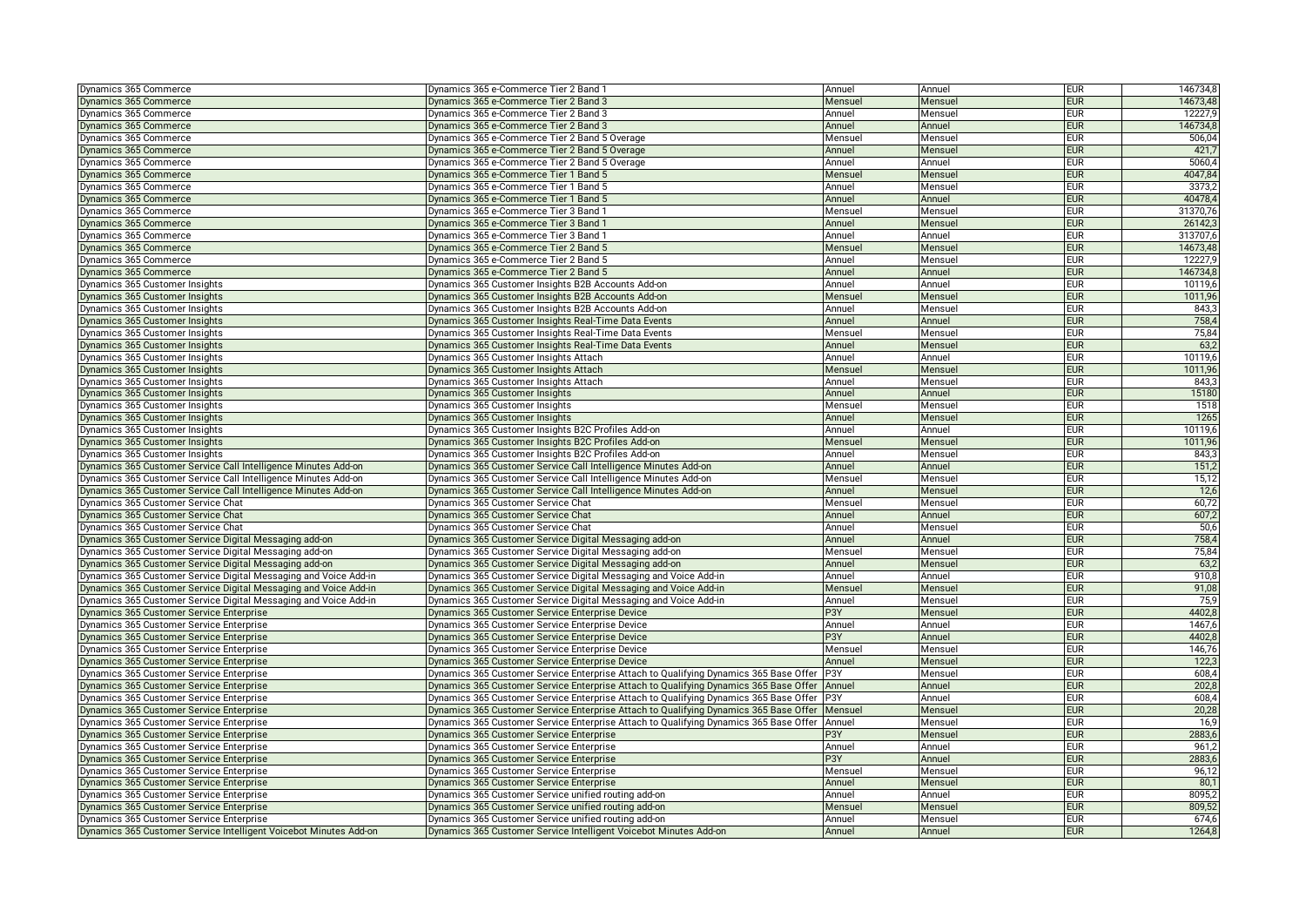| Dynamics 365 Commerce                                             | Dynamics 365 e-Commerce Tier 2 Band 1                                                          | Annuel  | Annuel  | <b>EUR</b> | 146734,8 |
|-------------------------------------------------------------------|------------------------------------------------------------------------------------------------|---------|---------|------------|----------|
| Dynamics 365 Commerce                                             | Dynamics 365 e-Commerce Tier 2 Band 3                                                          | Mensuel | Mensuel | <b>EUR</b> | 14673,48 |
| Dynamics 365 Commerce                                             | Dynamics 365 e-Commerce Tier 2 Band 3                                                          | Annuel  | Mensuel | <b>EUR</b> | 12227,9  |
| Dynamics 365 Commerce                                             | Dynamics 365 e-Commerce Tier 2 Band 3                                                          | Annuel  | Annuel  | <b>EUR</b> | 146734,8 |
| Dynamics 365 Commerce                                             | Dynamics 365 e-Commerce Tier 2 Band 5 Overage                                                  | Mensuel | Mensuel | <b>EUR</b> | 506,04   |
| Dynamics 365 Commerce                                             | Dynamics 365 e-Commerce Tier 2 Band 5 Overage                                                  | Annuel  | Mensuel | <b>EUR</b> | 421,7    |
| Dynamics 365 Commerce                                             | Dynamics 365 e-Commerce Tier 2 Band 5 Overage                                                  | Annuel  | Annuel  | <b>EUR</b> | 5060.4   |
| Dynamics 365 Commerce                                             | Dynamics 365 e-Commerce Tier 1 Band 5                                                          | Mensuel | Mensuel | <b>EUR</b> | 4047,84  |
| Dynamics 365 Commerce                                             | Dynamics 365 e-Commerce Tier 1 Band 5                                                          | Annuel  | Mensuel | <b>EUR</b> | 3373,2   |
| Dynamics 365 Commerce                                             | Dynamics 365 e-Commerce Tier 1 Band 5                                                          | Annuel  | Annuel  | <b>EUR</b> | 40478,4  |
| Dynamics 365 Commerce                                             | Dynamics 365 e-Commerce Tier 3 Band                                                            | Mensue  | Mensuel | <b>EUR</b> | 31370,76 |
| Dynamics 365 Commerce                                             | Dynamics 365 e-Commerce Tier 3 Band 1                                                          | Annuel  | Mensuel | <b>EUR</b> | 26142.3  |
| Dynamics 365 Commerce                                             | Dynamics 365 e-Commerce Tier 3 Band 1                                                          | Annuel  | Annuel  | <b>EUR</b> | 313707,6 |
| Dynamics 365 Commerce                                             | Dynamics 365 e-Commerce Tier 2 Band 5                                                          | Mensuel | Mensuel | <b>EUR</b> | 14673,48 |
| Dynamics 365 Commerce                                             | Dynamics 365 e-Commerce Tier 2 Band 5                                                          | Annuel  | Mensuel | <b>EUR</b> | 12227,9  |
| Dynamics 365 Commerce                                             | Dynamics 365 e-Commerce Tier 2 Band 5                                                          | Annuel  | Annuel  | <b>EUR</b> | 146734,8 |
| Dynamics 365 Customer Insights                                    | Dynamics 365 Customer Insights B2B Accounts Add-on                                             | Annuel  | Annuel  | <b>EUR</b> | 10119.6  |
| Dynamics 365 Customer Insights                                    | Dynamics 365 Customer Insights B2B Accounts Add-on                                             | Mensuel | Mensuel | <b>EUR</b> | 1011,96  |
| Dynamics 365 Customer Insights                                    | Dynamics 365 Customer Insights B2B Accounts Add-on                                             | Annuel  | Mensuel | <b>EUR</b> | 843,3    |
| Dynamics 365 Customer Insights                                    | Dynamics 365 Customer Insights Real-Time Data Events                                           | Annuel  | Annuel  | <b>EUR</b> | 758,4    |
| Dynamics 365 Customer Insights                                    | Dynamics 365 Customer Insights Real-Time Data Events                                           | Mensuel | Mensuel | <b>EUR</b> | 75,84    |
| Dynamics 365 Customer Insights                                    | Dynamics 365 Customer Insights Real-Time Data Events                                           | Annuel  | Mensuel | <b>EUR</b> | 63,2     |
| Dynamics 365 Customer Insights                                    | Dynamics 365 Customer Insights Attach                                                          | Annuel  | Annuel  | <b>EUR</b> | 10119,6  |
| Dynamics 365 Customer Insights                                    | Dynamics 365 Customer Insights Attach                                                          | Mensuel | Mensuel | <b>EUR</b> | 1011,96  |
| Dynamics 365 Customer Insights                                    | Dynamics 365 Customer Insights Attach                                                          | Annuel  | Mensuel | <b>EUR</b> | 843,3    |
| Dynamics 365 Customer Insights                                    | Dynamics 365 Customer Insights                                                                 | Annuel  | Annuel  | <b>EUR</b> | 15180    |
| Dynamics 365 Customer Insights                                    | Dynamics 365 Customer Insights                                                                 | Mensuel | Mensuel | <b>EUR</b> | 1518     |
| Dynamics 365 Customer Insights                                    | Dynamics 365 Customer Insights                                                                 | Annuel  | Mensuel | <b>EUR</b> | 1265     |
| Dynamics 365 Customer Insights                                    | Dynamics 365 Customer Insights B2C Profiles Add-on                                             | Annuel  | Annuel  | <b>EUR</b> | 10119.6  |
| Dynamics 365 Customer Insights                                    | Dynamics 365 Customer Insights B2C Profiles Add-on                                             | Mensuel | Mensuel | <b>EUR</b> | 1011,96  |
| Dynamics 365 Customer Insights                                    | Dynamics 365 Customer Insights B2C Profiles Add-on                                             | Annuel  | Mensuel | <b>EUR</b> | 843,3    |
| Dynamics 365 Customer Service Call Intelligence Minutes Add-on    | Dynamics 365 Customer Service Call Intelligence Minutes Add-on                                 | Annuel  | Annuel  | <b>EUR</b> | 151,2    |
| Dynamics 365 Customer Service Call Intelligence Minutes Add-on    | Dynamics 365 Customer Service Call Intelligence Minutes Add-on                                 | Mensuel | Mensuel | <b>EUR</b> | 15,12    |
| Dynamics 365 Customer Service Call Intelligence Minutes Add-on    | Dynamics 365 Customer Service Call Intelligence Minutes Add-on                                 | Annuel  | Mensuel | <b>EUR</b> | 12,6     |
| Dynamics 365 Customer Service Chat                                | Dynamics 365 Customer Service Chat                                                             | Mensuel | Mensuel | <b>EUR</b> | 60,72    |
| Dynamics 365 Customer Service Chat                                | Dynamics 365 Customer Service Chat                                                             | Annuel  | Annuel  | <b>EUR</b> | 607,2    |
| Dynamics 365 Customer Service Chat                                | Dynamics 365 Customer Service Chat                                                             | Annuel  | Mensuel | <b>EUR</b> | 50,6     |
| Dynamics 365 Customer Service Digital Messaging add-on            | Dynamics 365 Customer Service Digital Messaging add-on                                         | Annuel  | Annuel  | <b>EUR</b> | 758,4    |
| Dynamics 365 Customer Service Digital Messaging add-on            | Dynamics 365 Customer Service Digital Messaging add-on                                         | Mensue  | Mensuel | <b>EUR</b> | 75,84    |
| Dynamics 365 Customer Service Digital Messaging add-on            | Dynamics 365 Customer Service Digital Messaging add-on                                         | Annuel  | Mensuel | <b>EUR</b> | 63,2     |
| Dynamics 365 Customer Service Digital Messaging and Voice Add-in  | Dynamics 365 Customer Service Digital Messaging and Voice Add-in                               | Annuel  | Annuel  | <b>EUR</b> | 910,8    |
| Dynamics 365 Customer Service Digital Messaging and Voice Add-in  | Dynamics 365 Customer Service Digital Messaging and Voice Add-in                               | Mensuel | Mensuel | <b>EUR</b> | 91,08    |
| Dynamics 365 Customer Service Digital Messaging and Voice Add-in  | Dynamics 365 Customer Service Digital Messaging and Voice Add-in                               | Annuel  | Mensuel | <b>EUR</b> | 75,9     |
| Dynamics 365 Customer Service Enterprise                          | Dynamics 365 Customer Service Enterprise Device                                                | P3Y     | Mensuel | <b>EUR</b> | 4402,8   |
| Dynamics 365 Customer Service Enterprise                          | Dynamics 365 Customer Service Enterprise Device                                                | Annuel  | Annuel  | <b>EUR</b> | 1467.6   |
| Dynamics 365 Customer Service Enterprise                          | Dynamics 365 Customer Service Enterprise Device                                                | P3Y     | Annuel  | <b>EUR</b> | 4402,8   |
| Dynamics 365 Customer Service Enterprise                          | Dynamics 365 Customer Service Enterprise Device                                                | Mensuel | Mensuel | <b>EUR</b> | 146,76   |
| Dynamics 365 Customer Service Enterprise                          | Dynamics 365 Customer Service Enterprise Device                                                | Annuel  | Mensuel | <b>EUR</b> | 122,3    |
| Dynamics 365 Customer Service Enterprise                          | Dynamics 365 Customer Service Enterprise Attach to Qualifying Dynamics 365 Base Offer  P3Y     |         | Mensuel | <b>EUR</b> | 608,4    |
| Dynamics 365 Customer Service Enterprise                          | Dynamics 365 Customer Service Enterprise Attach to Qualifying Dynamics 365 Base Offer          | Annuel  | Annuel  | <b>EUR</b> | 202,8    |
| Dynamics 365 Customer Service Enterprise                          | Dynamics 365 Customer Service Enterprise Attach to Qualifying Dynamics 365 Base Offer          | P3Y     | Annuel  | <b>EUR</b> | 608,4    |
| Dynamics 365 Customer Service Enterprise                          | Dynamics 365 Customer Service Enterprise Attach to Qualifying Dynamics 365 Base Offer          | Mensuel | Mensuel | <b>EUR</b> | 20,28    |
| Dynamics 365 Customer Service Enterprise                          | Dynamics 365 Customer Service Enterprise Attach to Qualifying Dynamics 365 Base Offer   Annuel |         | Mensuel | <b>EUR</b> | 16,9     |
| Dynamics 365 Customer Service Enterprise                          | Dynamics 365 Customer Service Enterprise                                                       | P3Y     | Mensuel | <b>EUR</b> | 2883,6   |
| Dynamics 365 Customer Service Enterprise                          | Dynamics 365 Customer Service Enterprise                                                       | Annuel  | Annuel  | <b>EUR</b> | 961,2    |
| Dynamics 365 Customer Service Enterprise                          | Dynamics 365 Customer Service Enterprise                                                       | P3Y     | Annuel  | <b>EUR</b> | 2883,6   |
| Dynamics 365 Customer Service Enterprise                          | Dynamics 365 Customer Service Enterprise                                                       | Mensuel | Mensuel | <b>EUR</b> | 96,12    |
| Dynamics 365 Customer Service Enterprise                          | Dynamics 365 Customer Service Enterprise                                                       | Annuel  | Mensuel | <b>EUR</b> | 80,1     |
| Dynamics 365 Customer Service Enterprise                          | Dynamics 365 Customer Service unified routing add-on                                           | Annuel  | Annuel  | <b>EUR</b> | 8095,2   |
| Dynamics 365 Customer Service Enterprise                          | Dynamics 365 Customer Service unified routing add-on                                           | Mensuel | Mensuel | <b>EUR</b> | 809,52   |
| Dynamics 365 Customer Service Enterprise                          | Dynamics 365 Customer Service unified routing add-on                                           | Annuel  | Mensuel | <b>EUR</b> | 674,6    |
| Dynamics 365 Customer Service Intelligent Voicebot Minutes Add-on | Dynamics 365 Customer Service Intelligent Voicebot Minutes Add-on                              | Annuel  | Annuel  | <b>EUR</b> | 1264.8   |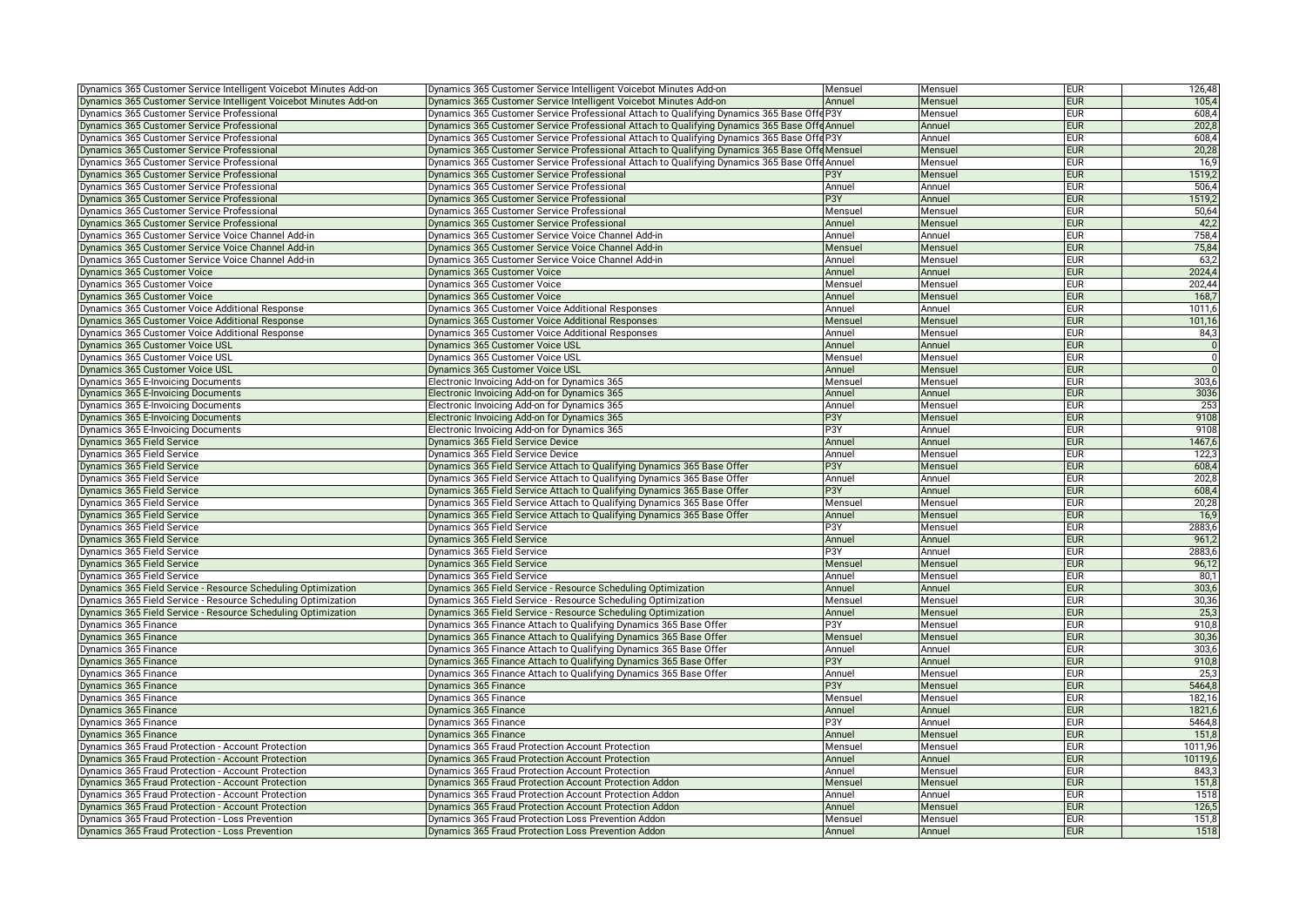| Dynamics 365 Customer Service Intelligent Voicebot Minutes Add-on | Dynamics 365 Customer Service Intelligent Voicebot Minutes Add-on                              | Mensuel          | Mensuel | <b>EUR</b> | 126,48           |
|-------------------------------------------------------------------|------------------------------------------------------------------------------------------------|------------------|---------|------------|------------------|
| Dynamics 365 Customer Service Intelligent Voicebot Minutes Add-on | Dynamics 365 Customer Service Intelligent Voicebot Minutes Add-on                              | Annuel           | Mensuel | <b>EUR</b> | 105,4            |
| Dynamics 365 Customer Service Professional                        | Dynamics 365 Customer Service Professional Attach to Qualifying Dynamics 365 Base Offe P3Y     |                  | Mensuel | <b>EUR</b> | 608,4            |
| Dynamics 365 Customer Service Professional                        | Dynamics 365 Customer Service Professional Attach to Qualifying Dynamics 365 Base Offe Annuel  |                  | Annuel  | <b>EUR</b> | 202,8            |
| Dynamics 365 Customer Service Professional                        | Dynamics 365 Customer Service Professional Attach to Qualifying Dynamics 365 Base Offe P3Y     |                  | Annuel  | <b>EUR</b> | 608,4            |
| Dynamics 365 Customer Service Professional                        | Dynamics 365 Customer Service Professional Attach to Qualifying Dynamics 365 Base Offe Mensuel |                  | Mensuel | <b>EUR</b> | 20,28            |
| Dynamics 365 Customer Service Professional                        | Dynamics 365 Customer Service Professional Attach to Qualifying Dynamics 365 Base OffeAnnuel   |                  | Mensuel | <b>EUR</b> | 16,9             |
| Dynamics 365 Customer Service Professional                        | Dynamics 365 Customer Service Professional                                                     | P3Y              | Mensuel | <b>EUR</b> | 1519,2           |
| Dynamics 365 Customer Service Professional                        | Dynamics 365 Customer Service Professional                                                     | Annuel           | Annuel  | <b>EUR</b> | 506,4            |
| Dynamics 365 Customer Service Professional                        | Dynamics 365 Customer Service Professional                                                     | P3Y              | Annuel  | <b>EUR</b> | 1519,2           |
| Dynamics 365 Customer Service Professional                        | Dynamics 365 Customer Service Professional                                                     | Mensuel          | Mensuel | <b>EUR</b> | 50,64            |
| Dynamics 365 Customer Service Professional                        | Dynamics 365 Customer Service Professional                                                     | Annuel           | Mensuel | <b>EUR</b> | 42,2             |
| Dynamics 365 Customer Service Voice Channel Add-in                | Dynamics 365 Customer Service Voice Channel Add-in                                             | Annuel           | Annuel  | <b>EUR</b> | 758,4            |
| Dynamics 365 Customer Service Voice Channel Add-in                | Dynamics 365 Customer Service Voice Channel Add-in                                             | Mensuel          | Mensuel | <b>EUR</b> | 75,84            |
| Dynamics 365 Customer Service Voice Channel Add-in                | Dynamics 365 Customer Service Voice Channel Add-in                                             | Annuel           | Mensuel | <b>EUR</b> | 63,2             |
| Dynamics 365 Customer Voice                                       | Dynamics 365 Customer Voice                                                                    | Annuel           | Annuel  | <b>EUR</b> | 2024,4           |
| Dynamics 365 Customer Voice                                       | Dynamics 365 Customer Voice                                                                    | Mensuel          | Mensuel | <b>EUR</b> | 202,44           |
| Dynamics 365 Customer Voice                                       | Dynamics 365 Customer Voice                                                                    | Annuel           | Mensuel | <b>EUR</b> | 168,7            |
| Dynamics 365 Customer Voice Additional Response                   | Dynamics 365 Customer Voice Additional Responses                                               | Annuel           | Annuel  | <b>EUR</b> | 1011,6           |
| Dynamics 365 Customer Voice Additional Response                   | Dynamics 365 Customer Voice Additional Responses                                               | Mensuel          | Mensuel | <b>EUR</b> | 101,16           |
| Dynamics 365 Customer Voice Additional Response                   | Dynamics 365 Customer Voice Additional Responses                                               | Annuel           | Mensuel | <b>EUR</b> | 84,3             |
| Dynamics 365 Customer Voice USL                                   | Dynamics 365 Customer Voice USL                                                                | Annuel           | Annuel  | <b>EUR</b> | $\overline{0}$   |
| Dynamics 365 Customer Voice USI                                   | Dynamics 365 Customer Voice USL                                                                | Mensuel          | Mensuel | <b>EUR</b> | $\overline{0}$   |
| Dynamics 365 Customer Voice USL                                   | Dynamics 365 Customer Voice USL                                                                | Annuel           | Mensuel | <b>EUR</b> |                  |
| Dynamics 365 E-Invoicing Documents                                | Electronic Invoicing Add-on for Dynamics 365                                                   | Mensuel          | Mensuel | <b>EUR</b> | 303,6            |
| <b>Dynamics 365 E-Invoicing Documents</b>                         | Electronic Invoicing Add-on for Dynamics 365                                                   | Annuel           | Annuel  | <b>EUR</b> | 3036             |
|                                                                   | Electronic Invoicing Add-on for Dynamics 365                                                   | Annuel           | Mensuel | <b>EUR</b> | 253              |
| Dynamics 365 E-Invoicing Documents                                |                                                                                                | P <sub>3</sub> Y |         | <b>EUR</b> | 9108             |
| Dynamics 365 E-Invoicing Documents                                | Electronic Invoicing Add-on for Dynamics 365                                                   | P3Y              | Mensuel | <b>EUR</b> | 9108             |
| Dynamics 365 E-Invoicing Documents                                | Electronic Invoicing Add-on for Dynamics 365                                                   |                  | Annuel  |            |                  |
| Dynamics 365 Field Service                                        | Dynamics 365 Field Service Device                                                              | Annuel           | Annuel  | <b>EUR</b> | 1467,6           |
| Dynamics 365 Field Service                                        | Dynamics 365 Field Service Device                                                              | Annuel           | Mensuel | <b>EUR</b> | 122,3            |
| Dynamics 365 Field Service                                        | Dynamics 365 Field Service Attach to Qualifying Dynamics 365 Base Offer                        | P3Y              | Mensuel | <b>EUR</b> | 608,4            |
| Dynamics 365 Field Service                                        | Dynamics 365 Field Service Attach to Qualifying Dynamics 365 Base Offer                        | Annuel           | Annuel  | <b>EUR</b> | 202,8            |
| Dynamics 365 Field Service                                        | Dynamics 365 Field Service Attach to Qualifying Dynamics 365 Base Offer                        | P3Y              | Annuel  | <b>EUR</b> | 608,4            |
| Dynamics 365 Field Service                                        | Dynamics 365 Field Service Attach to Qualifying Dynamics 365 Base Offer                        | Mensuel          | Mensuel | <b>EUR</b> | 20,28            |
| Dynamics 365 Field Service                                        | Dynamics 365 Field Service Attach to Qualifying Dynamics 365 Base Offer                        | Annuel           | Mensuel | <b>EUR</b> | 16,9             |
| Dynamics 365 Field Service                                        | Dynamics 365 Field Service                                                                     | P3Y              | Mensuel | <b>EUR</b> | 2883,6           |
| Dynamics 365 Field Service                                        | Dynamics 365 Field Service                                                                     | Annuel           | Annuel  | <b>EUR</b> | 961,2            |
| Dynamics 365 Field Service                                        | Dynamics 365 Field Service                                                                     | P3Y              | Annuel  | <b>EUR</b> | 2883,6           |
| Dynamics 365 Field Service                                        | Dynamics 365 Field Service                                                                     | Mensuel          | Mensuel | <b>EUR</b> | 96,12            |
| Dynamics 365 Field Service                                        | Dynamics 365 Field Service                                                                     | Annuel           | Mensuel | <b>EUR</b> | 80,1             |
| Dynamics 365 Field Service - Resource Scheduling Optimization     | Dynamics 365 Field Service - Resource Scheduling Optimization                                  | Annuel           | Annuel  | <b>EUR</b> | 303,6            |
| Dynamics 365 Field Service - Resource Scheduling Optimization     | Dynamics 365 Field Service - Resource Scheduling Optimization                                  | Mensuel          | Mensuel | <b>EUR</b> | 30,36            |
| Dynamics 365 Field Service - Resource Scheduling Optimization     | Dynamics 365 Field Service - Resource Scheduling Optimization                                  | Annuel           | Mensuel | <b>EUR</b> | 25,3             |
| Dynamics 365 Finance                                              | Dynamics 365 Finance Attach to Qualifying Dynamics 365 Base Offer                              | P3Y              | Mensuel | <b>EUR</b> | 910,8            |
| Dynamics 365 Finance                                              | Dynamics 365 Finance Attach to Qualifying Dynamics 365 Base Offer                              | Mensuel          | Mensuel | <b>EUR</b> | 30,36            |
| Dynamics 365 Finance                                              | Dynamics 365 Finance Attach to Qualifying Dynamics 365 Base Offer                              | Annuel           | Annuel  | <b>EUR</b> | 303 <sub>6</sub> |
| Dynamics 365 Finance                                              | Dynamics 365 Finance Attach to Qualifying Dynamics 365 Base Offer                              | P <sub>3</sub> Y | Annuel  | <b>EUR</b> | 910,8            |
| Dynamics 365 Finance                                              | Dynamics 365 Finance Attach to Qualifying Dynamics 365 Base Offer                              | Annuel           | Mensuel | <b>EUR</b> | 25,3             |
| Dynamics 365 Finance                                              | Dynamics 365 Finance                                                                           | P3Y              | Mensuel | <b>EUR</b> | 5464,8           |
| Dynamics 365 Finance                                              | Dynamics 365 Finance                                                                           | Mensuel          | Mensuel | <b>EUR</b> | 182,16           |
| Dynamics 365 Finance                                              | Dynamics 365 Finance                                                                           | Annuel           | Annuel  | <b>EUR</b> | 1821,6           |
| Dynamics 365 Finance                                              | Dynamics 365 Finance                                                                           | P3Y              | Annuel  | <b>EUR</b> | 5464,8           |
| Dynamics 365 Finance                                              | Dynamics 365 Finance                                                                           | Annuel           | Mensuel | <b>EUR</b> | 151.8            |
| Dynamics 365 Fraud Protection - Account Protection                | Dynamics 365 Fraud Protection Account Protection                                               | Mensuel          | Mensuel | <b>EUR</b> | 1011,96          |
| Dynamics 365 Fraud Protection - Account Protection                | Dynamics 365 Fraud Protection Account Protection                                               | Annuel           | Annuel  | <b>EUR</b> | 10119.6          |
| Dynamics 365 Fraud Protection - Account Protection                | Dynamics 365 Fraud Protection Account Protection                                               | Annuel           | Mensuel | <b>EUR</b> | 843,3            |
| Dynamics 365 Fraud Protection - Account Protection                | Dynamics 365 Fraud Protection Account Protection Addon                                         | Mensuel          | Mensuel | <b>EUR</b> | 151,8            |
| Dynamics 365 Fraud Protection - Account Protection                | Dynamics 365 Fraud Protection Account Protection Addon                                         | Annuel           | Annuel  | <b>EUR</b> | 1518             |
| Dynamics 365 Fraud Protection - Account Protection                | Dynamics 365 Fraud Protection Account Protection Addon                                         | Annuel           | Mensuel | <b>EUR</b> | 126,5            |
| Dynamics 365 Fraud Protection - Loss Prevention                   | Dynamics 365 Fraud Protection Loss Prevention Addon                                            | Mensuel          | Mensuel | <b>EUR</b> | 151,8            |
| Dynamics 365 Fraud Protection - Loss Prevention                   | Dynamics 365 Fraud Protection Loss Prevention Addon                                            | Annuel           | Annuel  | <b>EUR</b> | 1518             |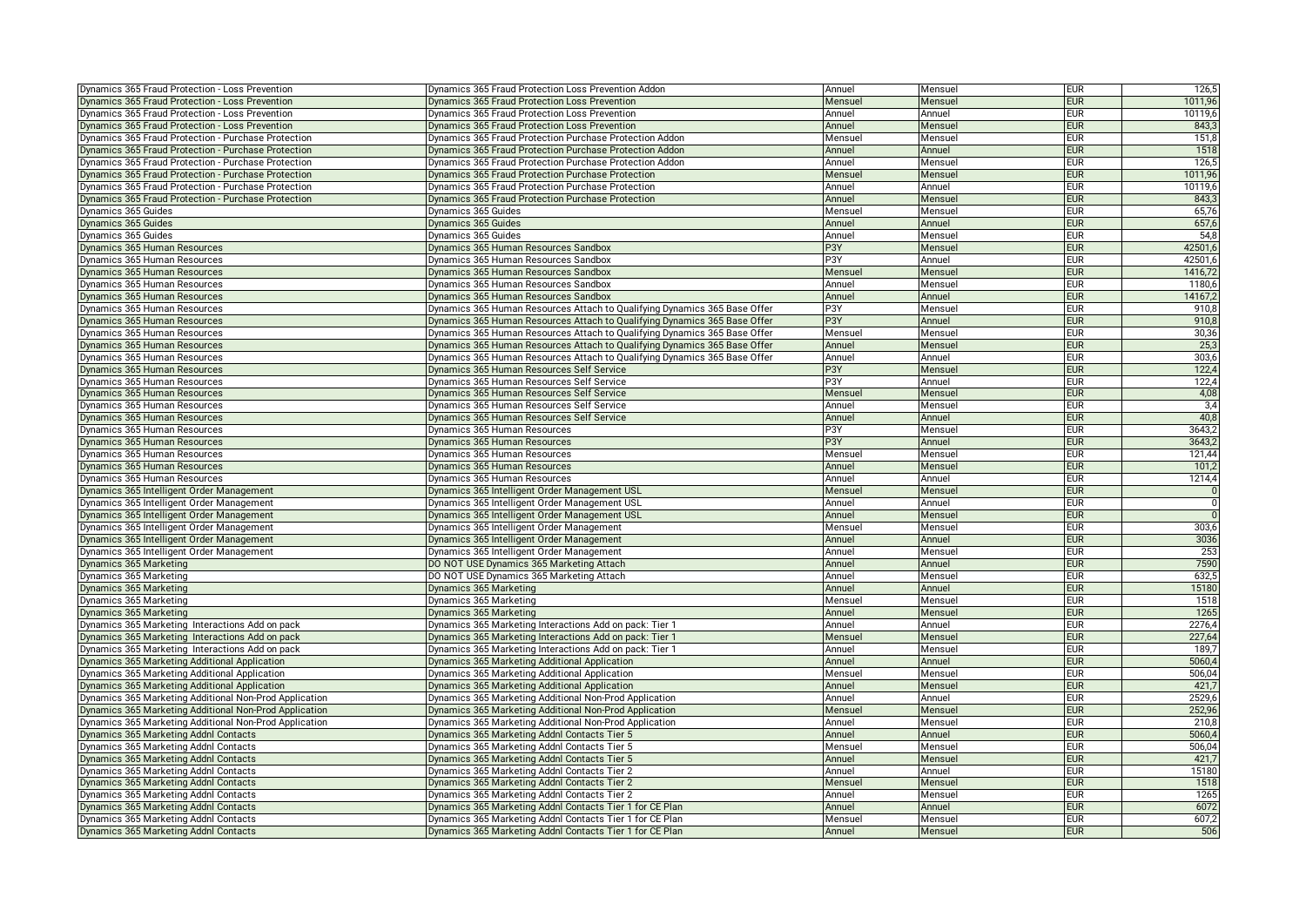| Dynamics 365 Fraud Protection - Loss Prevention        | Dynamics 365 Fraud Protection Loss Prevention Addon                       | Annuel           | Mensuel | <b>EUR</b> | 126,5          |
|--------------------------------------------------------|---------------------------------------------------------------------------|------------------|---------|------------|----------------|
| Dynamics 365 Fraud Protection - Loss Prevention        | Dynamics 365 Fraud Protection Loss Prevention                             | Mensuel          | Mensuel | <b>EUR</b> | 1011,96        |
| Dynamics 365 Fraud Protection - Loss Prevention        | Dynamics 365 Fraud Protection Loss Prevention                             | Annuel           | Annuel  | <b>EUR</b> | 10119,6        |
| Dynamics 365 Fraud Protection - Loss Prevention        | Dynamics 365 Fraud Protection Loss Prevention                             | Annuel           | Mensuel | <b>EUR</b> | 843,3          |
| Dynamics 365 Fraud Protection - Purchase Protection    | Dynamics 365 Fraud Protection Purchase Protection Addon                   | Mensuel          | Mensuel | <b>EUR</b> | 151,8          |
| Dynamics 365 Fraud Protection - Purchase Protection    | Dynamics 365 Fraud Protection Purchase Protection Addon                   | Annuel           | Annuel  | <b>EUR</b> | 1518           |
| Dynamics 365 Fraud Protection - Purchase Protection    | Dynamics 365 Fraud Protection Purchase Protection Addon                   | Annuel           | Mensuel | <b>EUR</b> | 126,5          |
| Dynamics 365 Fraud Protection - Purchase Protection    | Dynamics 365 Fraud Protection Purchase Protection                         | Mensuel          | Mensuel | <b>EUR</b> | 1011,96        |
| Dynamics 365 Fraud Protection - Purchase Protection    | Dynamics 365 Fraud Protection Purchase Protection                         | Annuel           | Annuel  | <b>EUR</b> | 10119,6        |
| Dynamics 365 Fraud Protection - Purchase Protection    | Dynamics 365 Fraud Protection Purchase Protection                         | Annuel           | Mensuel | <b>EUR</b> | 843,3          |
| Dynamics 365 Guides                                    | Dynamics 365 Guides                                                       | Mensue           | Mensuel | <b>EUR</b> | 65,76          |
| Dynamics 365 Guides                                    | Dynamics 365 Guides                                                       | Annuel           | Annuel  | <b>EUR</b> | 657,6          |
| Dynamics 365 Guides                                    | Dynamics 365 Guides                                                       | Annuel           | Mensuel | <b>EUR</b> | 54,8           |
| Dynamics 365 Human Resources                           | Dynamics 365 Human Resources Sandbox                                      | P <sub>3</sub> Y | Mensuel | <b>EUR</b> | 42501,6        |
| Dynamics 365 Human Resources                           | Dynamics 365 Human Resources Sandbox                                      | P <sub>3</sub> Y | Annuel  | <b>EUR</b> | 42501,6        |
| Dynamics 365 Human Resources                           | Dynamics 365 Human Resources Sandbox                                      | Mensuel          | Mensuel | <b>EUR</b> | 1416,72        |
| Dynamics 365 Human Resources                           | Dynamics 365 Human Resources Sandbox                                      | Annuel           | Mensuel | <b>EUR</b> | 1180,6         |
| Dynamics 365 Human Resources                           | Dynamics 365 Human Resources Sandbox                                      | Annuel           | Annuel  | <b>EUR</b> | 14167,2        |
| Dynamics 365 Human Resources                           | Dynamics 365 Human Resources Attach to Qualifying Dynamics 365 Base Offer | P3Y              | Mensuel | <b>EUR</b> | 910,8          |
| Dynamics 365 Human Resources                           | Dynamics 365 Human Resources Attach to Qualifying Dynamics 365 Base Offer | P <sub>3</sub> Y | Annuel  | <b>EUR</b> | 910,8          |
| Dynamics 365 Human Resources                           | Dynamics 365 Human Resources Attach to Qualifying Dynamics 365 Base Offer | Mensuel          | Mensuel | <b>EUR</b> | 30,36          |
| Dynamics 365 Human Resources                           | Dynamics 365 Human Resources Attach to Qualifying Dynamics 365 Base Offer | Annuel           | Mensuel | <b>EUR</b> | 25,3           |
| Dynamics 365 Human Resources                           | Dynamics 365 Human Resources Attach to Qualifying Dynamics 365 Base Offer | Annuel           | Annuel  | <b>EUR</b> | 303,6          |
| Dynamics 365 Human Resources                           | Dynamics 365 Human Resources Self Service                                 | P3Y              | Mensuel | <b>EUR</b> | 122,4          |
|                                                        |                                                                           | P3Y              |         |            |                |
| Dynamics 365 Human Resources                           | Dynamics 365 Human Resources Self Service                                 |                  | Annuel  | <b>EUR</b> | 122,4          |
| Dynamics 365 Human Resources                           | Dynamics 365 Human Resources Self Service                                 | Mensuel          | Mensuel | <b>EUR</b> | 4,08           |
| Dynamics 365 Human Resources                           | Dynamics 365 Human Resources Self Service                                 | Annuel           | Mensuel | <b>EUR</b> | 3,4            |
| Dynamics 365 Human Resources                           | Dynamics 365 Human Resources Self Service                                 | Annuel           | Annuel  | <b>EUR</b> | 40,8           |
| Dynamics 365 Human Resources                           | Dynamics 365 Human Resources                                              | P3Y              | Mensuel | <b>EUR</b> | 3643,2         |
| Dynamics 365 Human Resources                           | Dynamics 365 Human Resources                                              | P <sub>3</sub> Y | Annuel  | <b>EUR</b> | 3643,2         |
| Dynamics 365 Human Resources                           | Dynamics 365 Human Resources                                              | Mensuel          | Mensuel | <b>EUR</b> | 121.44         |
| Dynamics 365 Human Resources                           | Dynamics 365 Human Resources                                              | Annuel           | Mensuel | <b>EUR</b> | 101,2          |
| Dynamics 365 Human Resources                           | Dynamics 365 Human Resources                                              | Annuel           | Annuel  | <b>EUR</b> | 1214,4         |
| Dynamics 365 Intelligent Order Management              | Dynamics 365 Intelligent Order Management USL                             | Mensuel          | Mensuel | <b>EUR</b> | $\overline{0}$ |
| Dynamics 365 Intelligent Order Management              | Dynamics 365 Intelligent Order Management USL                             | Annuel           | Annuel  | <b>EUR</b> | $\overline{0}$ |
| Dynamics 365 Intelligent Order Management              | Dynamics 365 Intelligent Order Management USL                             | Annuel           | Mensuel | <b>EUR</b> | $\Omega$       |
| Dynamics 365 Intelligent Order Management              | Dynamics 365 Intelligent Order Management                                 | Mensuel          | Mensuel | <b>EUR</b> | 303,6          |
| Dynamics 365 Intelligent Order Management              | Dynamics 365 Intelligent Order Management                                 | Annuel           | Annuel  | <b>EUR</b> | 3036           |
| Dynamics 365 Intelligent Order Management              | Dynamics 365 Intelligent Order Management                                 | Annuel           | Mensuel | <b>EUR</b> | 253            |
| Dynamics 365 Marketing                                 | DO NOT USE Dynamics 365 Marketing Attach                                  | Annuel           | Annuel  | <b>EUR</b> | 7590           |
| Dynamics 365 Marketing                                 | DO NOT USE Dynamics 365 Marketing Attach                                  | Annuel           | Mensuel | <b>EUR</b> | 632,5          |
| Dynamics 365 Marketing                                 | Dynamics 365 Marketing                                                    | Annuel           | Annuel  | <b>EUR</b> | 15180          |
| Dynamics 365 Marketing                                 | Dynamics 365 Marketing                                                    | Mensuel          | Mensuel | <b>EUR</b> | 1518           |
| Dynamics 365 Marketing                                 | Dynamics 365 Marketing                                                    | Annuel           | Mensuel | <b>EUR</b> | 1265           |
| Dynamics 365 Marketing Interactions Add on pack        | Dynamics 365 Marketing Interactions Add on pack: Tier 1                   | Annuel           | Annuel  | <b>EUR</b> | 2276,4         |
| Dynamics 365 Marketing Interactions Add on pack        | Dynamics 365 Marketing Interactions Add on pack: Tier 1                   | Mensuel          | Mensuel | <b>EUR</b> | 227,64         |
| Dynamics 365 Marketing Interactions Add on pack        | Dynamics 365 Marketing Interactions Add on pack: Tier 1                   | Annuel           | Mensuel | <b>EUR</b> | 189,7          |
| Dynamics 365 Marketing Additional Application          | Dynamics 365 Marketing Additional Application                             | Annuel           | Annuel  | <b>EUR</b> | 5060,4         |
| Dynamics 365 Marketing Additional Application          | Dynamics 365 Marketing Additional Application                             | Mensue           | Mensuel | <b>EUR</b> | 506,04         |
| Dynamics 365 Marketing Additional Application          | Dynamics 365 Marketing Additional Application                             | Annuel           | Mensuel | <b>EUR</b> | 421,7          |
| Dynamics 365 Marketing Additional Non-Prod Application | Dynamics 365 Marketing Additional Non-Prod Application                    | Annuel           | Annuel  | <b>EUR</b> | 2529,6         |
| Dynamics 365 Marketing Additional Non-Prod Application | Dynamics 365 Marketing Additional Non-Prod Application                    | Mensuel          | Mensuel | <b>EUR</b> | 252,96         |
| Dynamics 365 Marketing Additional Non-Prod Application | Dynamics 365 Marketing Additional Non-Prod Application                    | Annuel           | Mensuel | <b>EUR</b> | 210,8          |
| Dynamics 365 Marketing Addnl Contacts                  | Dynamics 365 Marketing Addnl Contacts Tier 5                              | Annuel           | Annuel  | <b>EUR</b> | 5060,4         |
| Dynamics 365 Marketing Addnl Contacts                  | Dynamics 365 Marketing Addnl Contacts Tier 5                              | Mensue           | Mensuel | <b>EUR</b> | 506,04         |
| Dynamics 365 Marketing Addnl Contacts                  | Dynamics 365 Marketing Addnl Contacts Tier 5                              | Annuel           | Mensuel | <b>EUR</b> | 421,7          |
| Dynamics 365 Marketing Addnl Contacts                  | Dynamics 365 Marketing Addnl Contacts Tier 2                              | Annuel           | Annuel  | <b>EUR</b> | 15180          |
| Dynamics 365 Marketing Addnl Contacts                  | Dynamics 365 Marketing Addnl Contacts Tier 2                              | Mensuel          | Mensuel | <b>EUR</b> | 1518           |
| Dynamics 365 Marketing Addnl Contacts                  | Dynamics 365 Marketing Addnl Contacts Tier 2                              | Annuel           | Mensuel | <b>EUR</b> | 1265           |
| Dynamics 365 Marketing Addnl Contacts                  | Dynamics 365 Marketing Addnl Contacts Tier 1 for CE Plan                  | Annuel           | Annuel  | <b>EUR</b> | 6072           |
| Dynamics 365 Marketing Addnl Contacts                  | Dynamics 365 Marketing Addnl Contacts Tier 1 for CE Plan                  | Mensue           | Mensuel | <b>EUR</b> | 607,2          |
| Dynamics 365 Marketing Addnl Contacts                  | Dynamics 365 Marketing Addnl Contacts Tier 1 for CE Plan                  | Annuel           | Mensuel | <b>EUR</b> | 506            |
|                                                        |                                                                           |                  |         |            |                |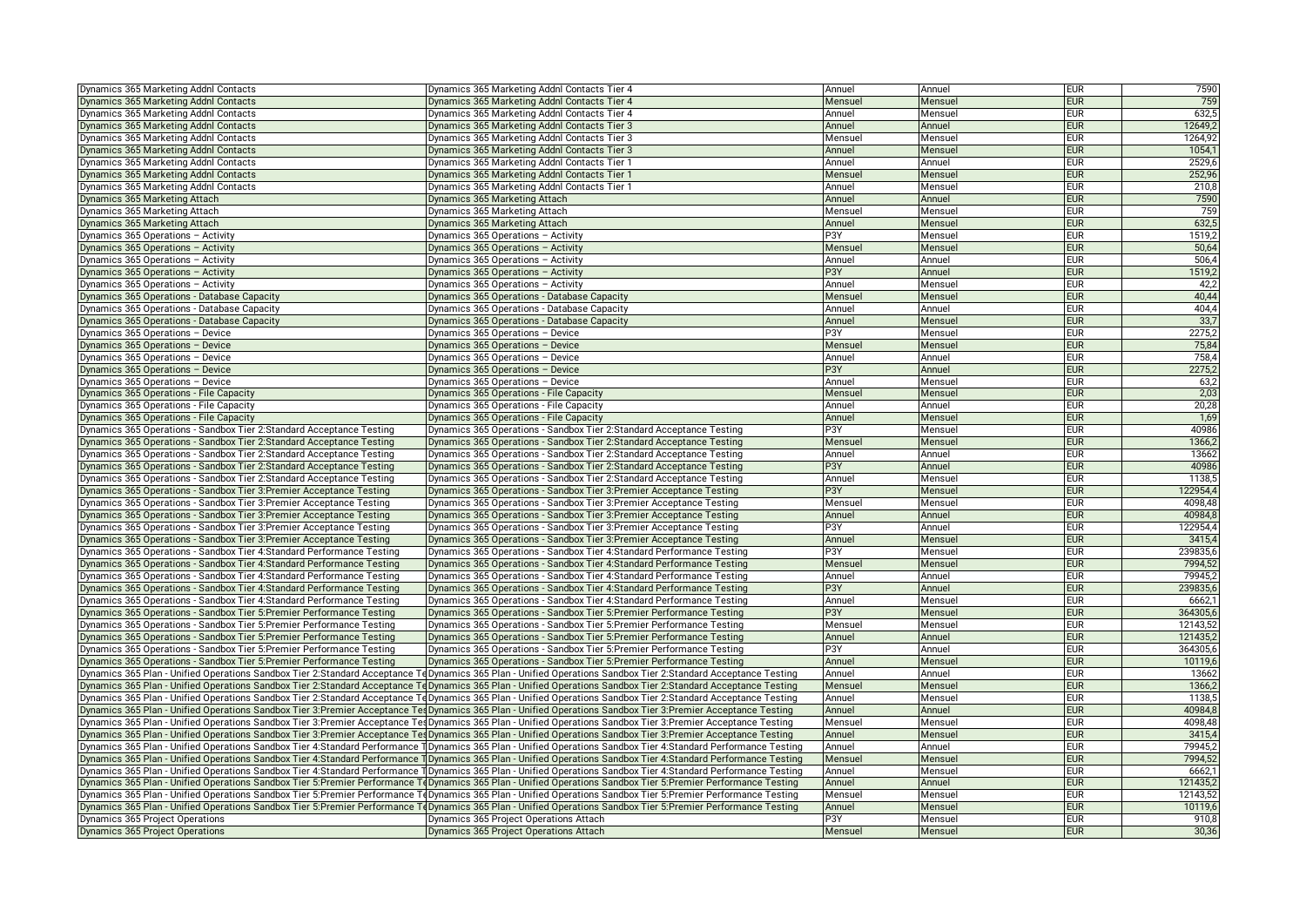| Dynamics 365 Marketing Addnl Contacts                                                                                                            | Dynamics 365 Marketing Addnl Contacts Tier 4                                                                                                                    | Annuel            | Annuel             | <b>EUR</b> | 7590     |
|--------------------------------------------------------------------------------------------------------------------------------------------------|-----------------------------------------------------------------------------------------------------------------------------------------------------------------|-------------------|--------------------|------------|----------|
| Dynamics 365 Marketing Addnl Contacts                                                                                                            | Dynamics 365 Marketing Addnl Contacts Tier 4                                                                                                                    | Mensuel           | Mensuel            | eur        | 759      |
| Dynamics 365 Marketing Addnl Contacts                                                                                                            | Dynamics 365 Marketing Addnl Contacts Tier 4                                                                                                                    | Annuel            | Mensuel            | <b>EUR</b> | 632,5    |
| Dynamics 365 Marketing Addnl Contacts                                                                                                            | Dynamics 365 Marketing Addnl Contacts Tier 3                                                                                                                    | Annuel            | Annuel             | <b>EUR</b> | 12649,2  |
| Dynamics 365 Marketing Addnl Contacts                                                                                                            | Dynamics 365 Marketing Addnl Contacts Tier 3                                                                                                                    | Mensuel           | Mensuel            | eur        | 1264,92  |
| Dynamics 365 Marketing Addnl Contacts                                                                                                            | Dynamics 365 Marketing Addnl Contacts Tier 3                                                                                                                    | Annuel            | Mensuel            | EUR        | 1054,7   |
| Dynamics 365 Marketing Addnl Contacts                                                                                                            | Dynamics 365 Marketing Addnl Contacts Tier 1                                                                                                                    | Annuel            | Annuel             | eur        | 2529,6   |
| Dynamics 365 Marketing Addnl Contacts                                                                                                            | Dynamics 365 Marketing Addnl Contacts Tier 1                                                                                                                    | Mensuel           | Mensuel            | <b>EUR</b> | 252,96   |
| Dynamics 365 Marketing Addnl Contacts                                                                                                            | Dynamics 365 Marketing Addnl Contacts Tier 1                                                                                                                    | Annuel            | Mensuel            | <b>EUR</b> | 210,8    |
| Dynamics 365 Marketing Attach                                                                                                                    | Dynamics 365 Marketing Attach                                                                                                                                   | Annuel            | Annuel             | eur        | 7590     |
| Dynamics 365 Marketing Attach                                                                                                                    | Dynamics 365 Marketing Attach                                                                                                                                   | Mensuel           | Mensuel            | eur        | 759      |
| Dynamics 365 Marketing Attach                                                                                                                    | Dynamics 365 Marketing Attach                                                                                                                                   | Annuel            | Mensuel            | <b>EUR</b> | 632,5    |
| Dynamics 365 Operations - Activity                                                                                                               | Dynamics 365 Operations - Activity                                                                                                                              | P3Y               | Mensuel            | <b>EUR</b> | 1519,2   |
| Dynamics 365 Operations - Activity                                                                                                               | Dynamics 365 Operations - Activity                                                                                                                              | Mensuel           | Mensuel            | eur        | 50,64    |
| Dynamics 365 Operations - Activity                                                                                                               | Dynamics 365 Operations - Activity                                                                                                                              | Annuel            | Annuel             | eur        | 506,4    |
| Dynamics 365 Operations - Activity                                                                                                               | Dynamics 365 Operations – Activity                                                                                                                              | P3Y               | Annuel             | <b>EUR</b> | 1519,2   |
| Dynamics 365 Operations - Activity                                                                                                               | Dynamics 365 Operations – Activity                                                                                                                              | Annuel            | Mensuel            | eur        | 42,2     |
| Dynamics 365 Operations - Database Capacity                                                                                                      | Dynamics 365 Operations - Database Capacity                                                                                                                     | Mensuel           | Mensuel            | <b>EUR</b> | 40,44    |
| Dynamics 365 Operations - Database Capacity                                                                                                      | Dynamics 365 Operations - Database Capacity                                                                                                                     | Annuel            | Annuel             | eur        | 404,4    |
| Dynamics 365 Operations - Database Capacity                                                                                                      | Dynamics 365 Operations - Database Capacity                                                                                                                     | Annuel            | Mensuel            | <b>EUR</b> | 33,7     |
| Dynamics 365 Operations - Device                                                                                                                 | Dynamics 365 Operations - Device                                                                                                                                | P3Y               | Mensuel            | EUR        | 2275,2   |
| Dynamics 365 Operations - Device                                                                                                                 | Dynamics 365 Operations - Device                                                                                                                                | Mensuel           | Mensuel            | eur        | 75,84    |
| Dynamics 365 Operations - Device                                                                                                                 | Dynamics 365 Operations - Device                                                                                                                                | Annuel            | Annuel             | <b>EUR</b> | 758,4    |
| Dynamics 365 Operations - Device                                                                                                                 | Dynamics 365 Operations - Device                                                                                                                                | P3Y               | Annuel             | <b>EUR</b> | 2275,2   |
| Dynamics 365 Operations - Device                                                                                                                 | Dynamics 365 Operations - Device                                                                                                                                | Annuel            | Mensuel            | <b>EUR</b> | 63,2     |
| Dynamics 365 Operations - File Capacity                                                                                                          | Dynamics 365 Operations - File Capacity                                                                                                                         | Mensuel           | Mensuel            | <b>EUR</b> | 2,03     |
| Dynamics 365 Operations - File Capacity                                                                                                          | Dynamics 365 Operations - File Capacity                                                                                                                         | Annuel            | Annuel             | eur        | 20,28    |
| Dynamics 365 Operations - File Capacity                                                                                                          | Dynamics 365 Operations - File Capacity                                                                                                                         | Annuel            | Mensuel            | <b>EUR</b> | 1,69     |
| Dynamics 365 Operations - Sandbox Tier 2: Standard Acceptance Testing                                                                            | Dynamics 365 Operations - Sandbox Tier 2:Standard Acceptance Testing                                                                                            | P3Y               | Mensuel            | eur        | 40986    |
| Dynamics 365 Operations - Sandbox Tier 2: Standard Acceptance Testing                                                                            | Dynamics 365 Operations - Sandbox Tier 2:Standard Acceptance Testing                                                                                            | Mensuel           | Mensuel            | <b>EUR</b> | 1366,2   |
| Dynamics 365 Operations - Sandbox Tier 2: Standard Acceptance Testing                                                                            | Dynamics 365 Operations - Sandbox Tier 2:Standard Acceptance Testing                                                                                            | Annuel            | Annuel             | eur        | 13662    |
| Dynamics 365 Operations - Sandbox Tier 2: Standard Acceptance Testing                                                                            | Dynamics 365 Operations - Sandbox Tier 2:Standard Acceptance Testing                                                                                            | P3Y               | Annuel             | <b>EUR</b> | 40986    |
| Dynamics 365 Operations - Sandbox Tier 2: Standard Acceptance Testing                                                                            | Dynamics 365 Operations - Sandbox Tier 2:Standard Acceptance Testing                                                                                            | Annuel            | Mensuel            | eur        | 1138,    |
| Dynamics 365 Operations - Sandbox Tier 3: Premier Acceptance Testing                                                                             | Dynamics 365 Operations - Sandbox Tier 3:Premier Acceptance Testing                                                                                             | P3Y               | Mensuel            | eur        | 122954,4 |
| Dynamics 365 Operations - Sandbox Tier 3: Premier Acceptance Testing                                                                             | Dynamics 365 Operations - Sandbox Tier 3: Premier Acceptance Testing                                                                                            | Mensuel           | Mensuel            | <b>EUR</b> | 4098,48  |
| Dynamics 365 Operations - Sandbox Tier 3: Premier Acceptance Testing                                                                             | Dynamics 365 Operations - Sandbox Tier 3:Premier Acceptance Testing                                                                                             | Annuel            | Annuel             | <b>EUR</b> | 40984.8  |
|                                                                                                                                                  |                                                                                                                                                                 | P3Y               |                    | eur        | 122954,4 |
| Dynamics 365 Operations - Sandbox Tier 3: Premier Acceptance Testing<br>Dynamics 365 Operations - Sandbox Tier 3: Premier Acceptance Testing     | Dynamics 365 Operations - Sandbox Tier 3:Premier Acceptance Testing<br>Dynamics 365 Operations - Sandbox Tier 3: Premier Acceptance Testing                     |                   | Annuel             | <b>EUR</b> | 3415,4   |
| Dynamics 365 Operations - Sandbox Tier 4: Standard Performance Testing                                                                           | Dynamics 365 Operations - Sandbox Tier 4:Standard Performance Testing                                                                                           | Annuel<br>P3Y     | Mensuel<br>Mensuel | eur        | 239835,6 |
|                                                                                                                                                  |                                                                                                                                                                 |                   |                    |            | 7994,52  |
| Dynamics 365 Operations - Sandbox Tier 4: Standard Performance Testing<br>Dynamics 365 Operations - Sandbox Tier 4: Standard Performance Testing | Dynamics 365 Operations - Sandbox Tier 4:Standard Performance Testing<br>Dynamics 365 Operations - Sandbox Tier 4:Standard Performance Testing                  | Mensuel<br>Annuel | Mensuel<br>Annuel  | eur<br>eur | 79945.2  |
|                                                                                                                                                  |                                                                                                                                                                 |                   |                    |            |          |
| Dynamics 365 Operations - Sandbox Tier 4: Standard Performance Testing                                                                           | Dynamics 365 Operations - Sandbox Tier 4:Standard Performance Testing                                                                                           | P3Y               | Annuel             | eur<br>eur | 239835,6 |
| Dynamics 365 Operations - Sandbox Tier 4: Standard Performance Testing                                                                           | Dynamics 365 Operations - Sandbox Tier 4:Standard Performance Testing                                                                                           | Annuel            | Mensuel            |            | 6662,    |
| Dynamics 365 Operations - Sandbox Tier 5: Premier Performance Testing                                                                            | Dynamics 365 Operations - Sandbox Tier 5: Premier Performance Testing                                                                                           | P3Y               | Mensuel            | eur        | 364305,6 |
| Dynamics 365 Operations - Sandbox Tier 5: Premier Performance Testing                                                                            | Dynamics 365 Operations - Sandbox Tier 5: Premier Performance Testing                                                                                           | Mensuel           | Mensuel            | eur        | 12143,52 |
| Dynamics 365 Operations - Sandbox Tier 5: Premier Performance Testing                                                                            | Dynamics 365 Operations - Sandbox Tier 5: Premier Performance Testing                                                                                           | Annuel            | Annuel             | eur        | 121435,2 |
| Dynamics 365 Operations - Sandbox Tier 5: Premier Performance Testing                                                                            | Dynamics 365 Operations - Sandbox Tier 5:Premier Performance Testing                                                                                            | P3Y               | Annuel             | <b>EUR</b> | 364305,6 |
| Dynamics 365 Operations - Sandbox Tier 5: Premier Performance Testing                                                                            | Dynamics 365 Operations - Sandbox Tier 5: Premier Performance Testing                                                                                           | Annuel            | Mensuel            | <b>EUR</b> | 10119,6  |
|                                                                                                                                                  | Dynamics 365 Plan - Unified Operations Sandbox Tier 2:Standard Acceptance Te Dynamics 365 Plan - Unified Operations Sandbox Tier 2:Standard Acceptance Testing  | Annuel            | Annuel             | eur        | 13662    |
|                                                                                                                                                  | Dynamics 365 Plan - Unified Operations Sandbox Tier 2:Standard Acceptance TeDynamics 365 Plan - Unified Operations Sandbox Tier 2:Standard Acceptance Testing   | Mensuel           | Mensuel            | <b>EUR</b> | 1366,2   |
|                                                                                                                                                  | Dynamics 365 Plan - Unified Operations Sandbox Tier 2:Standard Acceptance TeDynamics 365 Plan - Unified Operations Sandbox Tier 2:Standard Acceptance Testing   | Annuel            | Mensuel            | eur        | 1138,5   |
|                                                                                                                                                  | Dynamics 365 Plan - Unified Operations Sandbox Tier 3:Premier Acceptance Tes Dynamics 365 Plan - Unified Operations Sandbox Tier 3:Premier Acceptance Testing   | Annuel            | Annuel             | eur        | 40984,8  |
|                                                                                                                                                  | Dynamics 365 Plan - Unified Operations Sandbox Tier 3:Premier Acceptance TesDynamics 365 Plan - Unified Operations Sandbox Tier 3:Premier Acceptance Testing    | Mensuel           | Mensuel            | eur        | 4098,48  |
|                                                                                                                                                  | Dynamics 365 Plan - Unified Operations Sandbox Tier 3:Premier Acceptance TesDynamics 365 Plan - Unified Operations Sandbox Tier 3:Premier Acceptance Testing    | Annuel            | Mensuel            | eur        | 3415,4   |
|                                                                                                                                                  | Dynamics 365 Plan - Unified Operations Sandbox Tier 4:Standard Performance 1 Dynamics 365 Plan - Unified Operations Sandbox Tier 4:Standard Performance Testing | Annuel            | Annuel             | eur        | 79945.2  |
|                                                                                                                                                  | Dynamics 365 Plan - Unified Operations Sandbox Tier 4:Standard Performance T Dynamics 365 Plan - Unified Operations Sandbox Tier 4:Standard Performance Testing | Mensuel           | Mensuel            | eur        | 7994,52  |
|                                                                                                                                                  | Dynamics 365 Plan - Unified Operations Sandbox Tier 4:Standard Performance 1 Dynamics 365 Plan - Unified Operations Sandbox Tier 4:Standard Performance Testing | Annuel            | Mensuel            | <b>EUR</b> | 6662,    |
|                                                                                                                                                  | Dynamics 365 Plan - Unified Operations Sandbox Tier 5:Premier Performance ToDynamics 365 Plan - Unified Operations Sandbox Tier 5:Premier Performance Testing   | Annuel            | Annuel             | <b>EUR</b> | 121435,2 |
|                                                                                                                                                  | Dynamics 365 Plan - Unified Operations Sandbox Tier 5:Premier Performance ToDynamics 365 Plan - Unified Operations Sandbox Tier 5:Premier Performance Testing   | Mensuel           | Mensuel            | eur        | 12143,52 |
|                                                                                                                                                  | Dynamics 365 Plan - Unified Operations Sandbox Tier 5:Premier Performance ToDynamics 365 Plan - Unified Operations Sandbox Tier 5:Premier Performance Testing   | Annuel            | Mensuel            | eur        | 10119,6  |
| Dynamics 365 Project Operations                                                                                                                  | Dynamics 365 Project Operations Attach                                                                                                                          | P3Y               | Mensuel            | eur        | 910.8    |
| Dynamics 365 Project Operations                                                                                                                  | Dynamics 365 Project Operations Attach                                                                                                                          | Mensuel           | Mensuel            | <b>EUR</b> | 30,36    |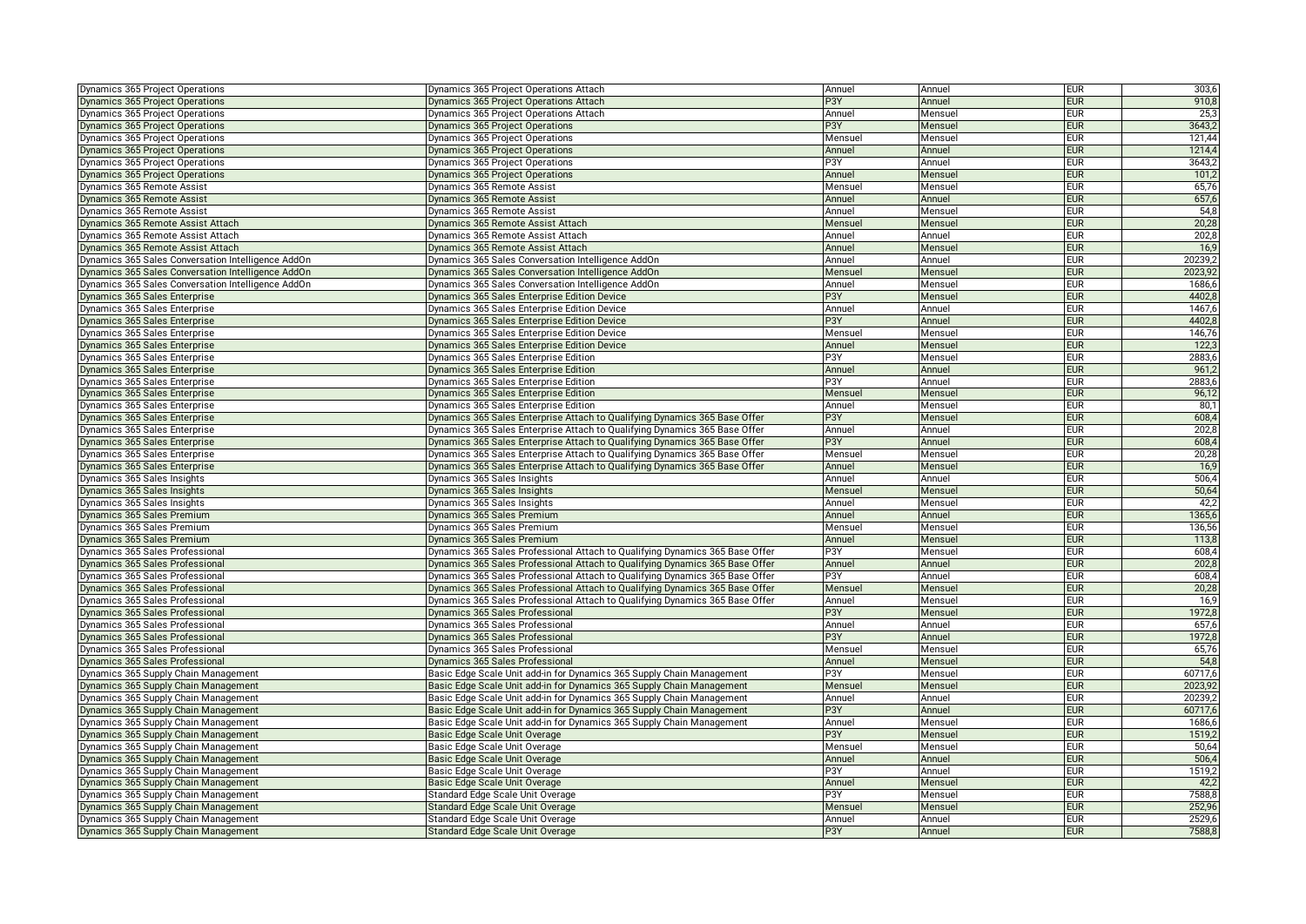| Dynamics 365 Project Operations                    | Dynamics 365 Project Operations Attach                                       | Annuel           | Annuel            | <b>EUR</b> | 303,6   |
|----------------------------------------------------|------------------------------------------------------------------------------|------------------|-------------------|------------|---------|
| Dynamics 365 Project Operations                    | Dynamics 365 Project Operations Attach                                       | P3Y              | Annuel            | <b>EUR</b> | 910,8   |
| Dynamics 365 Project Operations                    | Dynamics 365 Project Operations Attach                                       | Annuel           | Mensuel           | <b>EUR</b> | 25,3    |
| Dynamics 365 Project Operations                    | Dynamics 365 Project Operations                                              | P3Y              | Mensuel           | <b>EUR</b> | 3643,2  |
| Dynamics 365 Project Operations                    | Dynamics 365 Project Operations                                              | Mensuel          | Mensuel           | <b>EUR</b> | 121,44  |
| Dynamics 365 Project Operations                    | Dynamics 365 Project Operations                                              | Annuel           | Annuel            | <b>EUR</b> | 1214,4  |
| Dynamics 365 Project Operations                    | Dynamics 365 Project Operations                                              | P3Y              | Annuel            | <b>EUR</b> | 3643,2  |
| Dynamics 365 Project Operations                    | Dynamics 365 Project Operations                                              | Annuel           | Mensuel           | <b>EUR</b> | 101,2   |
| Dynamics 365 Remote Assist                         | Dynamics 365 Remote Assist                                                   | Mensuel          | Mensuel           | <b>EUR</b> | 65,76   |
| Dynamics 365 Remote Assist                         | Dynamics 365 Remote Assist                                                   | Annuel           | Annuel            | <b>EUR</b> | 657,6   |
| Dynamics 365 Remote Assist                         | Dynamics 365 Remote Assist                                                   | Annuel           | Mensuel           | <b>EUR</b> | 54,8    |
| Dynamics 365 Remote Assist Attach                  | Dynamics 365 Remote Assist Attach                                            | Mensuel          | Mensuel           | <b>EUR</b> | 20,28   |
| Dynamics 365 Remote Assist Attach                  | Dynamics 365 Remote Assist Attach                                            | Annuel           | Annuel            | <b>EUR</b> | 202,8   |
| Dynamics 365 Remote Assist Attach                  | Dynamics 365 Remote Assist Attach                                            | Annuel           | Mensuel           | <b>EUR</b> | 16,9    |
| Dynamics 365 Sales Conversation Intelligence AddOn | Dynamics 365 Sales Conversation Intelligence AddOn                           | Annuel           | Annuel            | <b>EUR</b> | 20239,2 |
| Dynamics 365 Sales Conversation Intelligence AddOn | Dynamics 365 Sales Conversation Intelligence AddOn                           | Mensuel          | Mensuel           | <b>EUR</b> | 2023,92 |
| Dynamics 365 Sales Conversation Intelligence AddOn | Dynamics 365 Sales Conversation Intelligence AddOn                           | Annuel           | Mensuel           | <b>EUR</b> | 1686,6  |
| Dynamics 365 Sales Enterprise                      | Dynamics 365 Sales Enterprise Edition Device                                 | P3Y              | Mensuel           | <b>EUR</b> | 4402,8  |
| Dynamics 365 Sales Enterprise                      | Dynamics 365 Sales Enterprise Edition Device                                 | Annuel           | Annuel            | <b>EUR</b> | 1467,6  |
| Dynamics 365 Sales Enterprise                      | Dynamics 365 Sales Enterprise Edition Device                                 | P3Y              | Annuel            | <b>EUR</b> | 4402,8  |
| Dynamics 365 Sales Enterprise                      | Dynamics 365 Sales Enterprise Edition Device                                 | Mensuel          | Mensuel           | <b>EUR</b> | 146,76  |
| Dynamics 365 Sales Enterprise                      | Dynamics 365 Sales Enterprise Edition Device                                 | Annuel           | Mensuel           | <b>EUR</b> | 122,3   |
|                                                    |                                                                              |                  |                   | <b>EUR</b> |         |
| Dynamics 365 Sales Enterprise                      | Dynamics 365 Sales Enterprise Edition                                        | P3Y<br>Annuel    | Mensuel<br>Annuel | <b>EUR</b> | 2883,6  |
| Dynamics 365 Sales Enterprise                      | Dynamics 365 Sales Enterprise Edition                                        |                  |                   |            | 961,2   |
| Dynamics 365 Sales Enterprise                      | Dynamics 365 Sales Enterprise Edition                                        | P3Y              | Annuel            | <b>EUR</b> | 2883,6  |
| Dynamics 365 Sales Enterprise                      | Dynamics 365 Sales Enterprise Edition                                        | Mensuel          | Mensuel           | <b>EUR</b> | 96,12   |
| Dynamics 365 Sales Enterprise                      | Dynamics 365 Sales Enterprise Edition                                        | Annuel           | Mensuel           | <b>EUR</b> | 80,1    |
| Dynamics 365 Sales Enterprise                      | Dynamics 365 Sales Enterprise Attach to Qualifying Dynamics 365 Base Offer   | P3Y              | Mensuel           | <b>EUR</b> | 608,4   |
| Dynamics 365 Sales Enterprise                      | Dynamics 365 Sales Enterprise Attach to Qualifying Dynamics 365 Base Offer   | Annuel           | Annuel            | <b>EUR</b> | 202,8   |
| Dynamics 365 Sales Enterprise                      | Dynamics 365 Sales Enterprise Attach to Qualifying Dynamics 365 Base Offer   | P <sub>3</sub> Y | Annuel            | <b>EUR</b> | 608,4   |
| Dynamics 365 Sales Enterprise                      | Dynamics 365 Sales Enterprise Attach to Qualifying Dynamics 365 Base Offer   | Mensuel          | Mensuel           | <b>EUR</b> | 20,28   |
| Dynamics 365 Sales Enterprise                      | Dynamics 365 Sales Enterprise Attach to Qualifying Dynamics 365 Base Offer   | Annuel           | Mensuel           | <b>EUR</b> | 16,9    |
| Dynamics 365 Sales Insights                        | Dynamics 365 Sales Insights                                                  | Annuel           | Annuel            | <b>EUR</b> | 506,4   |
| Dynamics 365 Sales Insights                        | Dynamics 365 Sales Insights                                                  | Mensuel          | Mensuel           | <b>EUR</b> | 50,64   |
| Dynamics 365 Sales Insights                        | Dynamics 365 Sales Insights                                                  | Annuel           | Mensuel           | <b>EUR</b> | 42,2    |
| Dynamics 365 Sales Premium                         | Dynamics 365 Sales Premium                                                   | Annuel           | Annuel            | <b>EUR</b> | 1365,6  |
| Dynamics 365 Sales Premium                         | Dynamics 365 Sales Premium                                                   | Mensuel          | Mensuel           | <b>EUR</b> | 136,56  |
| Dynamics 365 Sales Premium                         | Dynamics 365 Sales Premium                                                   | Annuel           | Mensuel           | <b>EUR</b> | 113,8   |
| Dynamics 365 Sales Professional                    | Dynamics 365 Sales Professional Attach to Qualifying Dynamics 365 Base Offer | P3Y              | Mensuel           | <b>EUR</b> | 608,4   |
| Dynamics 365 Sales Professional                    | Dynamics 365 Sales Professional Attach to Qualifying Dynamics 365 Base Offer | Annuel           | Annuel            | <b>EUR</b> | 202,8   |
| Dynamics 365 Sales Professional                    | Dynamics 365 Sales Professional Attach to Qualifying Dynamics 365 Base Offer | P3Y              | Annuel            | <b>EUR</b> | 608,4   |
| Dynamics 365 Sales Professional                    | Dynamics 365 Sales Professional Attach to Qualifying Dynamics 365 Base Offer | Mensuel          | Mensuel           | <b>EUR</b> | 20,28   |
| Dynamics 365 Sales Professional                    | Dynamics 365 Sales Professional Attach to Qualifying Dynamics 365 Base Offer | Annuel           | Mensuel           | <b>EUR</b> | 16,9    |
| Dynamics 365 Sales Professional                    | Dynamics 365 Sales Professional                                              | P3Y              | Mensuel           | <b>EUR</b> | 1972,8  |
| Dynamics 365 Sales Professional                    | Dynamics 365 Sales Professional                                              | Annuel           | Annuel            | <b>EUR</b> | 657,6   |
| Dynamics 365 Sales Professional                    | Dynamics 365 Sales Professional                                              | P3Y              | Annuel            | <b>EUR</b> | 1972,8  |
| Dynamics 365 Sales Professional                    | Dynamics 365 Sales Professional                                              | Mensuel          | Mensuel           | <b>EUR</b> | 65,76   |
| Dynamics 365 Sales Professional                    | Dynamics 365 Sales Professional                                              | Annuel           | Mensuel           | <b>EUR</b> | 54,8    |
| Dynamics 365 Supply Chain Management               | Basic Edge Scale Unit add-in for Dynamics 365 Supply Chain Management        | P3Y              | Mensuel           | <b>EUR</b> | 60717,6 |
| Dynamics 365 Supply Chain Management               | Basic Edge Scale Unit add-in for Dynamics 365 Supply Chain Management        | Mensuel          | Mensuel           | <b>EUR</b> | 2023,92 |
| Dynamics 365 Supply Chain Management               | Basic Edge Scale Unit add-in for Dynamics 365 Supply Chain Management        | Annuel           | Annuel            | <b>EUR</b> | 20239,  |
| Dynamics 365 Supply Chain Management               | Basic Edge Scale Unit add-in for Dynamics 365 Supply Chain Management        | P <sub>3</sub> Y | Annuel            | <b>EUR</b> | 60717,6 |
| Dynamics 365 Supply Chain Management               | Basic Edge Scale Unit add-in for Dynamics 365 Supply Chain Management        | Annuel           | Mensuel           | <b>EUR</b> | 1686,6  |
| Dynamics 365 Supply Chain Management               | Basic Edge Scale Unit Overage                                                | P <sub>3</sub> Y | Mensuel           | <b>EUR</b> | 1519,2  |
| Dynamics 365 Supply Chain Management               | Basic Edge Scale Unit Overage                                                | Mensuel          | Mensuel           | <b>EUR</b> | 50,64   |
| Dynamics 365 Supply Chain Management               | Basic Edge Scale Unit Overage                                                | Annuel           | Annuel            | <b>EUR</b> | 506,4   |
| Dynamics 365 Supply Chain Management               | Basic Edge Scale Unit Overage                                                | P3Y              | Annuel            | <b>EUR</b> | 1519,2  |
| Dynamics 365 Supply Chain Management               | Basic Edge Scale Unit Overage                                                | Annuel           | Mensuel           | <b>EUR</b> | 42,2    |
| Dynamics 365 Supply Chain Management               | Standard Edge Scale Unit Overage                                             | P3Y              | Mensuel           | <b>EUR</b> | 7588,8  |
| Dynamics 365 Supply Chain Management               | Standard Edge Scale Unit Overage                                             | Mensuel          | Mensuel           | <b>EUR</b> | 252,96  |
| Dynamics 365 Supply Chain Management               | Standard Edge Scale Unit Overage                                             | Annuel           | Annuel            | <b>EUR</b> | 2529,6  |
| Dynamics 365 Supply Chain Management               | Standard Edge Scale Unit Overage                                             | P3Y              | Annuel            | <b>EUR</b> | 7588,8  |
|                                                    |                                                                              |                  |                   |            |         |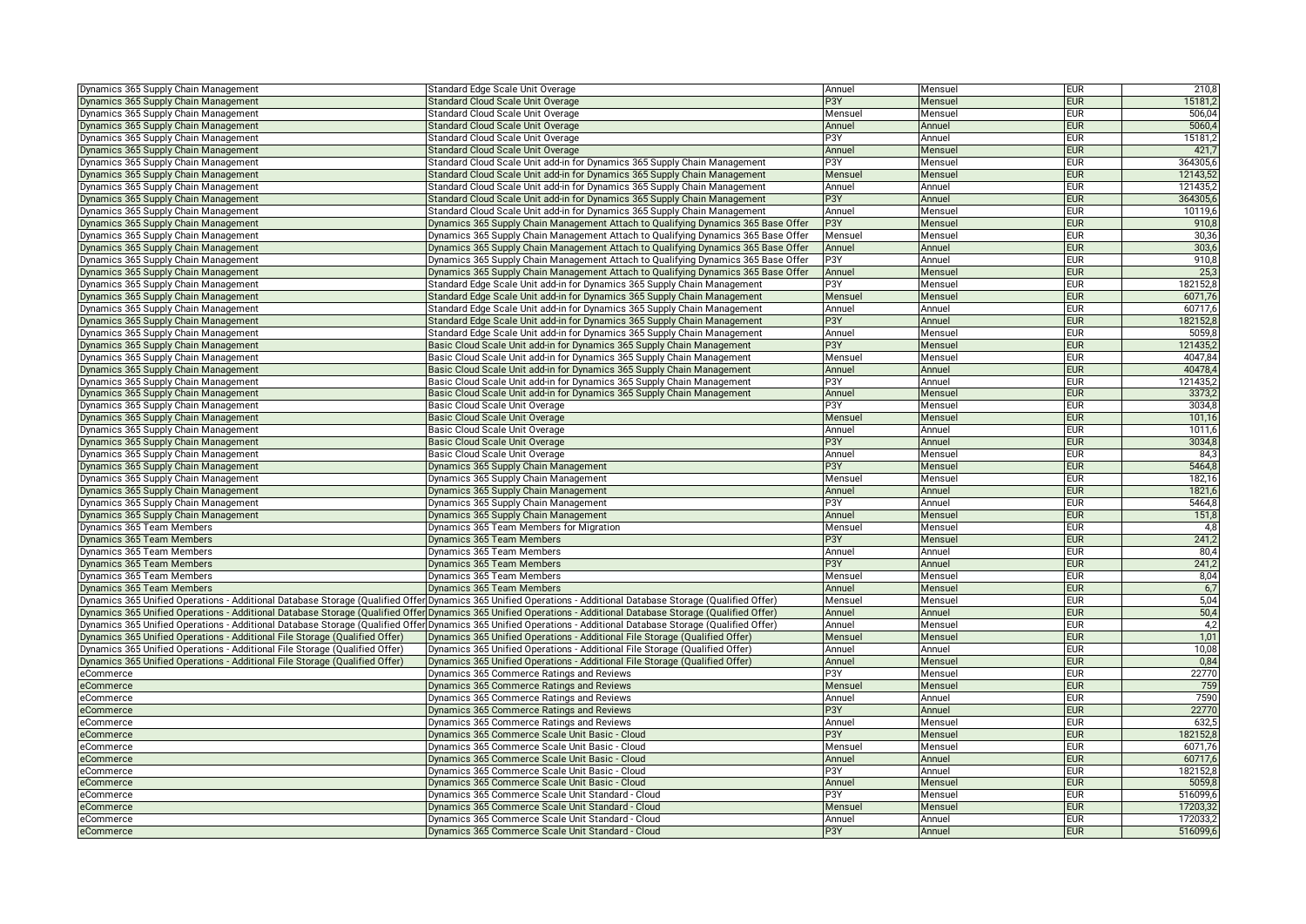| Dynamics 365 Supply Chain Management                                        | Standard Edge Scale Unit Overage                                                                                                                               | Annuel           | Mensuel | <b>EUR</b> | 210,8           |
|-----------------------------------------------------------------------------|----------------------------------------------------------------------------------------------------------------------------------------------------------------|------------------|---------|------------|-----------------|
| Dynamics 365 Supply Chain Management                                        | Standard Cloud Scale Unit Overage                                                                                                                              | P3Y              | Mensuel | <b>EUR</b> | 15181,2         |
| Dynamics 365 Supply Chain Management                                        | Standard Cloud Scale Unit Overage                                                                                                                              | Mensuel          | Mensuel | <b>EUR</b> | 506,04          |
| Dynamics 365 Supply Chain Management                                        | <b>Standard Cloud Scale Unit Overage</b>                                                                                                                       | Annuel           | Annuel  | <b>EUR</b> | 5060,4          |
| Dynamics 365 Supply Chain Management                                        | Standard Cloud Scale Unit Overage                                                                                                                              | P3Y              | Annuel  | <b>EUR</b> | 15181,2         |
| Dynamics 365 Supply Chain Management                                        | Standard Cloud Scale Unit Overage                                                                                                                              | Annuel           | Mensuel | <b>EUR</b> | 421,7           |
| Dynamics 365 Supply Chain Management                                        | Standard Cloud Scale Unit add-in for Dynamics 365 Supply Chain Management                                                                                      | P3Y              | Mensuel | <b>EUR</b> | 364305,6        |
| Dynamics 365 Supply Chain Management                                        | Standard Cloud Scale Unit add-in for Dynamics 365 Supply Chain Management                                                                                      | Mensuel          | Mensuel | <b>EUR</b> | 12143,52        |
| Dynamics 365 Supply Chain Management                                        | Standard Cloud Scale Unit add-in for Dynamics 365 Supply Chain Management                                                                                      | Annuel           | Annuel  | <b>EUR</b> | 121435,2        |
| Dynamics 365 Supply Chain Management                                        | Standard Cloud Scale Unit add-in for Dynamics 365 Supply Chain Management                                                                                      | P3Y              | Annuel  | <b>EUR</b> | 364305,6        |
| Dynamics 365 Supply Chain Management                                        | Standard Cloud Scale Unit add-in for Dynamics 365 Supply Chain Management                                                                                      | Annuel           | Mensuel | <b>EUR</b> | 10119,6         |
| Dynamics 365 Supply Chain Management                                        | Dynamics 365 Supply Chain Management Attach to Qualifying Dynamics 365 Base Offer                                                                              | P3Y              | Mensuel | <b>EUR</b> | 910,8           |
| Dynamics 365 Supply Chain Management                                        | Dynamics 365 Supply Chain Management Attach to Qualifying Dynamics 365 Base Offer                                                                              | Mensuel          | Mensuel | <b>EUR</b> | 30,36           |
| Dynamics 365 Supply Chain Management                                        | Dynamics 365 Supply Chain Management Attach to Qualifying Dynamics 365 Base Offer                                                                              | Annuel           | Annuel  | <b>EUR</b> | 303,6           |
| Dynamics 365 Supply Chain Management                                        | Dynamics 365 Supply Chain Management Attach to Qualifying Dynamics 365 Base Offer                                                                              | P3Y              | Annuel  | <b>EUR</b> | 910,8           |
| <b>Dynamics 365 Supply Chain Management</b>                                 | Dynamics 365 Supply Chain Management Attach to Qualifying Dynamics 365 Base Offer                                                                              | Annuel           | Mensuel | <b>EUR</b> | 25 <sub>5</sub> |
| Dynamics 365 Supply Chain Management                                        | Standard Edge Scale Unit add-in for Dynamics 365 Supply Chain Management                                                                                       | P3Y              | Mensuel | <b>EUR</b> | 182152,8        |
| Dynamics 365 Supply Chain Management                                        | Standard Edge Scale Unit add-in for Dynamics 365 Supply Chain Management                                                                                       | Mensuel          | Mensuel | <b>EUR</b> | 6071,76         |
| Dynamics 365 Supply Chain Management                                        | Standard Edge Scale Unit add-in for Dynamics 365 Supply Chain Management                                                                                       | Annuel           | Annuel  | <b>EUR</b> | 60717.6         |
| Dynamics 365 Supply Chain Management                                        | Standard Edge Scale Unit add-in for Dynamics 365 Supply Chain Management                                                                                       | P <sub>3</sub> Y | Annuel  | <b>EUR</b> | 182152,8        |
| lynamics 365 Supply Chain Management                                        | Standard Edge Scale Unit add-in for Dynamics 365 Supply Chain Management                                                                                       | Annuel           | Mensuel | <b>EUR</b> | 5059,8          |
| Dynamics 365 Supply Chain Management                                        | Basic Cloud Scale Unit add-in for Dynamics 365 Supply Chain Management                                                                                         | P3Y              | Mensuel | <b>EUR</b> | 121435,         |
| Dynamics 365 Supply Chain Management                                        | Basic Cloud Scale Unit add-in for Dynamics 365 Supply Chain Management                                                                                         | Mensuel          | Mensuel | <b>EUR</b> | 4047,84         |
| Dynamics 365 Supply Chain Management                                        | Basic Cloud Scale Unit add-in for Dynamics 365 Supply Chain Management                                                                                         | Annuel           | Annuel  | <b>EUR</b> | 40478,4         |
| Dynamics 365 Supply Chain Management                                        | Basic Cloud Scale Unit add-in for Dynamics 365 Supply Chain Management                                                                                         | P3Y              | Annuel  | <b>EUR</b> | 121435,2        |
| Dynamics 365 Supply Chain Management                                        | Basic Cloud Scale Unit add-in for Dynamics 365 Supply Chain Management                                                                                         | Annuel           | Mensuel | <b>EUR</b> | 3373,2          |
| Dynamics 365 Supply Chain Management                                        | Basic Cloud Scale Unit Overage                                                                                                                                 | P3Y              | Mensuel | <b>EUR</b> | 3034,8          |
| Dynamics 365 Supply Chain Management                                        | Basic Cloud Scale Unit Overage                                                                                                                                 | Mensuel          | Mensuel | <b>EUR</b> | 101,16          |
| Dynamics 365 Supply Chain Management                                        | Basic Cloud Scale Unit Overage                                                                                                                                 | Annuel           | Annuel  | <b>EUR</b> | 1011,6          |
| Dynamics 365 Supply Chain Management                                        | Basic Cloud Scale Unit Overage                                                                                                                                 | P <sub>3</sub> Y | Annuel  | <b>EUR</b> | 3034,8          |
| Dynamics 365 Supply Chain Management                                        | Basic Cloud Scale Unit Overage                                                                                                                                 | Annuel           | Mensuel | <b>EUR</b> | 84,3            |
| Dynamics 365 Supply Chain Management                                        | Dynamics 365 Supply Chain Management                                                                                                                           | P3Y              | Mensuel | <b>EUR</b> | 5464,8          |
| Dynamics 365 Supply Chain Management                                        | Dynamics 365 Supply Chain Management                                                                                                                           | Mensuel          | Mensuel | <b>EUR</b> | 182,16          |
| Dynamics 365 Supply Chain Management                                        | Dynamics 365 Supply Chain Management                                                                                                                           | Annuel           | Annuel  | <b>EUR</b> | 1821,6          |
| Dynamics 365 Supply Chain Management                                        | Dynamics 365 Supply Chain Management                                                                                                                           | P3Y              | Annuel  | <b>EUR</b> | 5464,8          |
| Dynamics 365 Supply Chain Management                                        | Dynamics 365 Supply Chain Management                                                                                                                           | Annuel           | Mensuel | <b>EUR</b> | 151,8           |
| Dynamics 365 Team Members                                                   | Dynamics 365 Team Members for Migration                                                                                                                        | Mensuel          | Mensuel | <b>EUR</b> | 4,8             |
| Dynamics 365 Team Members                                                   | Dynamics 365 Team Members                                                                                                                                      | P3Y              | Mensuel | <b>EUR</b> | 241,2           |
| Dynamics 365 Team Members                                                   | Dynamics 365 Team Members                                                                                                                                      | Annuel           | Annuel  | <b>EUR</b> | 80,4            |
| Dynamics 365 Team Members                                                   | Dynamics 365 Team Members                                                                                                                                      | P <sub>3</sub> Y | Annuel  | <b>EUR</b> | 241,2           |
| <b>Dynamics 365 Team Members</b>                                            | Dynamics 365 Team Members                                                                                                                                      | Mensuel          | Mensuel | <b>EUR</b> | 8,04            |
| Dynamics 365 Team Members                                                   | Dynamics 365 Team Members                                                                                                                                      | Annuel           | Mensuel | <b>EUR</b> | 6,7             |
|                                                                             | Dynamics 365 Unified Operations - Additional Database Storage (Qualified Offer Dynamics 365 Unified Operations - Additional Database Storage (Qualified Offer) | Mensuel          | Mensuel | <b>EUR</b> | 5,04            |
|                                                                             | Dynamics 365 Unified Operations - Additional Database Storage (Qualified Offer Dynamics 365 Unified Operations - Additional Database Storage (Qualified Offer) | Annuel           | Annuel  | <b>EUR</b> | 50,4            |
|                                                                             | Dynamics 365 Unified Operations - Additional Database Storage (Qualified Offer Dynamics 365 Unified Operations - Additional Database Storage (Qualified Offer) | Annuel           | Mensuel | <b>EUR</b> | 4,2             |
| Dynamics 365 Unified Operations - Additional File Storage (Qualified Offer) | Dynamics 365 Unified Operations - Additional File Storage (Qualified Offer)                                                                                    | Mensuel          | Mensuel | <b>EUR</b> | 1,01            |
| )ynamics 365 Unified Operations - Additional File Storage (Qualified Offer) | Dynamics 365 Unified Operations - Additional File Storage (Qualified Offer)                                                                                    | Annuel           | Annuel  | <b>EUR</b> | 10,08           |
| Dynamics 365 Unified Operations - Additional File Storage (Qualified Offer) | Dynamics 365 Unified Operations - Additional File Storage (Qualified Offer)                                                                                    | Annuel           | Mensuel | <b>EUR</b> | 0,84            |
| eCommerce                                                                   | Dynamics 365 Commerce Ratings and Reviews                                                                                                                      | P3Y              | Mensuel | <b>EUR</b> | 22770           |
| Commerce                                                                    | Dynamics 365 Commerce Ratings and Reviews                                                                                                                      | Mensuel          | Mensuel | <b>EUR</b> | 759             |
| <b>Commerce</b>                                                             | Dynamics 365 Commerce Ratings and Reviews                                                                                                                      | Annuel           | Annuel  | <b>EUR</b> | 7590            |
| eCommerce                                                                   | Dynamics 365 Commerce Ratings and Reviews                                                                                                                      | P <sub>3</sub> Y | Annuel  | <b>EUR</b> | 22770           |
| eCommerce                                                                   | Dynamics 365 Commerce Ratings and Reviews                                                                                                                      | Annuel           | Mensuel | <b>EUR</b> | 632,5           |
| eCommerce                                                                   | Dynamics 365 Commerce Scale Unit Basic - Cloud                                                                                                                 | P3Y              | Mensuel | <b>EUR</b> | 182152,8        |
| :Commerce                                                                   | Dynamics 365 Commerce Scale Unit Basic - Cloud                                                                                                                 | Mensuel          | Mensuel | <b>EUR</b> | 6071,76         |
| :Commerce                                                                   | Dynamics 365 Commerce Scale Unit Basic - Cloud                                                                                                                 | Annuel           | Annuel  | <b>EUR</b> | 60717.6         |
| eCommerce                                                                   | Dynamics 365 Commerce Scale Unit Basic - Cloud                                                                                                                 | P3Y              | Annuel  | <b>EUR</b> | 182152,8        |
| eCommerce                                                                   | Dynamics 365 Commerce Scale Unit Basic - Cloud                                                                                                                 | Annuel           | Mensuel | <b>EUR</b> | 5059,8          |
| eCommerce                                                                   | Dynamics 365 Commerce Scale Unit Standard - Cloud                                                                                                              | P3Y              | Mensuel | <b>EUR</b> | 516099,6        |
| Commerce:                                                                   | Dynamics 365 Commerce Scale Unit Standard - Cloud                                                                                                              | Mensuel          | Mensuel | <b>EUR</b> | 17203,32        |
| eCommerce                                                                   | Dynamics 365 Commerce Scale Unit Standard - Cloud                                                                                                              | Annuel           | Annuel  | <b>EUR</b> | 172033,2        |
| eCommerce                                                                   | Dynamics 365 Commerce Scale Unit Standard - Cloud                                                                                                              | P3Y              | Annuel  | <b>EUR</b> | 516099,6        |
|                                                                             |                                                                                                                                                                |                  |         |            |                 |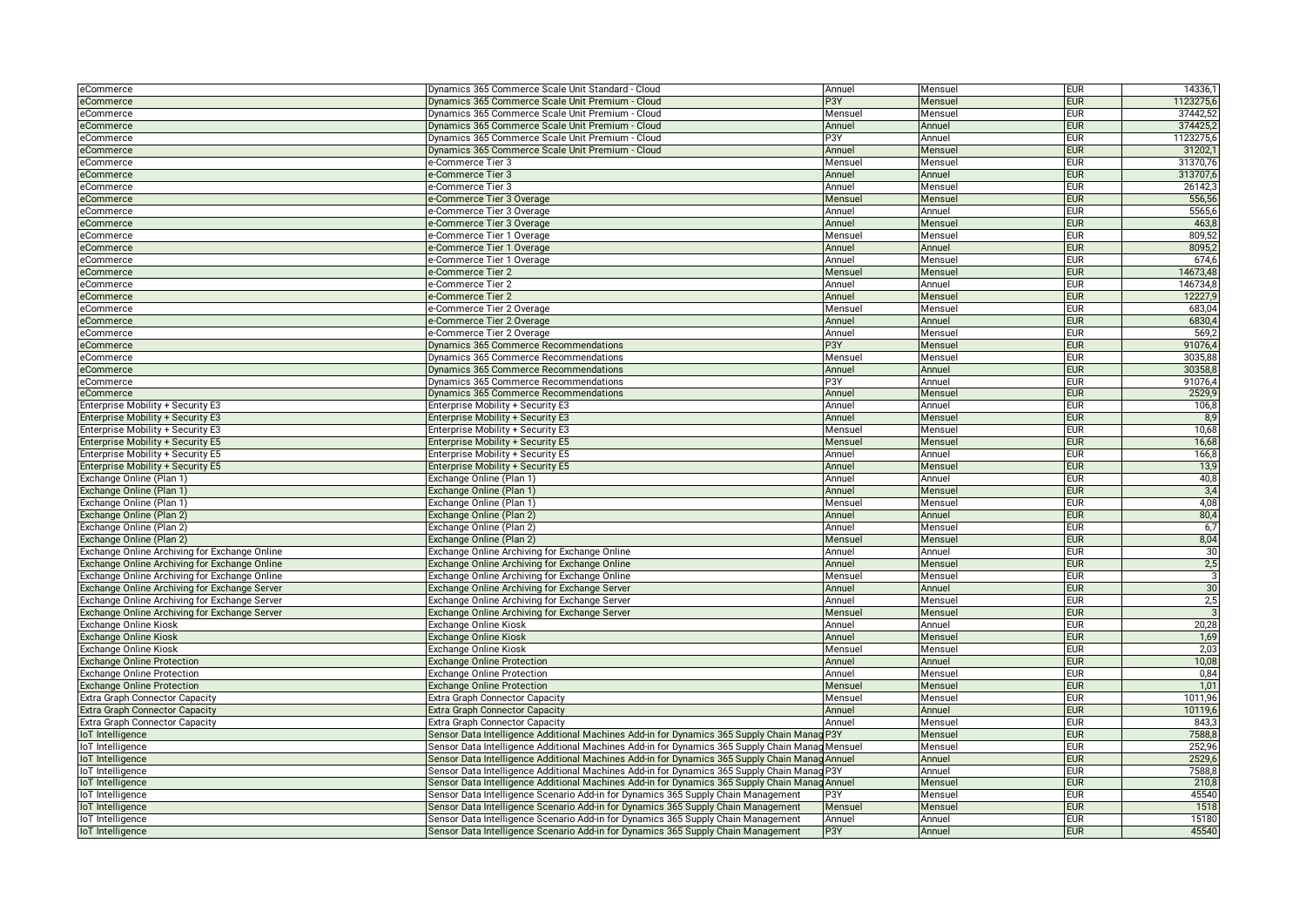| eCommerce                                     | Dynamics 365 Commerce Scale Unit Standard - Cloud                                               | Annuel           | Mensuel | <b>EUR</b> | 14336,1   |
|-----------------------------------------------|-------------------------------------------------------------------------------------------------|------------------|---------|------------|-----------|
| eCommerce                                     | Dynamics 365 Commerce Scale Unit Premium - Cloud                                                | P3Y              | Mensuel | <b>EUR</b> | 1123275,6 |
| eCommerce                                     | Dynamics 365 Commerce Scale Unit Premium - Cloud                                                | Mensuel          | Mensuel | <b>EUR</b> | 37442,52  |
| eCommerce                                     | Dynamics 365 Commerce Scale Unit Premium - Cloud                                                | Annuel           | Annuel  | <b>EUR</b> | 374425,2  |
| eCommerce                                     | Dynamics 365 Commerce Scale Unit Premium - Cloud                                                | P <sub>3</sub> Y | Annuel  | eur        | 1123275,6 |
| eCommerce                                     | Dynamics 365 Commerce Scale Unit Premium - Cloud                                                | Annuel           | Mensuel | <b>EUR</b> | 31202,    |
| eCommerce                                     | e-Commerce Tier 3                                                                               | Mensuel          | Mensuel | <b>EUR</b> | 31370,76  |
| eCommerce                                     | e-Commerce Tier 3                                                                               | Annuel           | Annuel  | <b>EUR</b> | 313707,6  |
| eCommerce                                     | e-Commerce Tier 3                                                                               | Annuel           | Mensuel | <b>EUR</b> | 26142,3   |
| eCommerce                                     | e-Commerce Tier 3 Overage                                                                       | Mensuel          | Mensuel | <b>EUR</b> | 556,56    |
| eCommerce                                     | e-Commerce Tier 3 Overage                                                                       | Annuel           | Annuel  | <b>EUR</b> | 5565,6    |
| eCommerce                                     | e-Commerce Tier 3 Overage                                                                       | Annuel           | Mensuel | <b>EUR</b> | 463,8     |
| eCommerce                                     | e-Commerce Tier 1 Overage                                                                       | Mensuel          | Mensuel | <b>EUR</b> | 809,52    |
| eCommerce                                     | e-Commerce Tier 1 Overage                                                                       | Annuel           | Annuel  | <b>EUR</b> | 8095,2    |
| eCommerce                                     | e-Commerce Tier 1 Overage                                                                       | Annuel           | Mensuel | <b>EUR</b> | 674,6     |
| eCommerce                                     | e-Commerce Tier 2                                                                               | Mensue           | Mensuel | <b>EUR</b> | 14673,48  |
| eCommerce                                     | e-Commerce Tier 2                                                                               | Annuel           | Annuel  | <b>EUR</b> | 146734,8  |
| eCommerce                                     | e-Commerce Tier 2                                                                               | Annuel           | Mensuel | <b>EUR</b> | 12227,9   |
| eCommerce                                     | e-Commerce Tier 2 Overage                                                                       | Mensuel          | Mensuel | <b>EUR</b> | 683,04    |
| eCommerce                                     | e-Commerce Tier 2 Overage                                                                       | Annuel           | Annuel  | <b>EUR</b> | 6830,4    |
| eCommerce                                     | e-Commerce Tier 2 Overage                                                                       | Annuel           | Mensuel | <b>EUR</b> | 569,      |
|                                               |                                                                                                 | P3Y              |         | <b>EUR</b> | 91076.4   |
| eCommerce                                     | Dynamics 365 Commerce Recommendations                                                           |                  | Mensuel | <b>EUR</b> | 3035,88   |
| eCommerce                                     | Dynamics 365 Commerce Recommendations                                                           | Mensuel          | Mensuel |            |           |
| eCommerce                                     | Dynamics 365 Commerce Recommendations                                                           | Annuel           | Annuel  | <b>EUR</b> | 30358,8   |
| eCommerce                                     | Dynamics 365 Commerce Recommendations                                                           | P3Y              | Annuel  | <b>EUR</b> | 91076,4   |
| eCommerce                                     | Dynamics 365 Commerce Recommendations                                                           | Annuel           | Mensuel | <b>EUR</b> | 2529,9    |
| Enterprise Mobility + Security E3             | Enterprise Mobility + Security E3                                                               | Annuel           | Annuel  | <b>EUR</b> | 106,8     |
| Enterprise Mobility + Security E3             | Enterprise Mobility + Security E3                                                               | Annuel           | Mensuel | <b>EUR</b> | 8,9       |
| Enterprise Mobility + Security E3             | Enterprise Mobility + Security E3                                                               | Mensuel          | Mensuel | <b>EUR</b> | 10,68     |
| Enterprise Mobility + Security E5             | Enterprise Mobility + Security E5                                                               | Mensuel          | Mensuel | <b>EUR</b> | 16,68     |
| Enterprise Mobility + Security E5             | Enterprise Mobility + Security E5                                                               | Annuel           | Annuel  | EUR        | 166,8     |
| Enterprise Mobility + Security E5             | Enterprise Mobility + Security E5                                                               | Annuel           | Mensuel | <b>EUR</b> | 13,9      |
| Exchange Online (Plan 1)                      | Exchange Online (Plan 1)                                                                        | Annuel           | Annuel  | <b>EUR</b> | 40,8      |
| Exchange Online (Plan 1)                      | Exchange Online (Plan 1)                                                                        | Annuel           | Mensuel | <b>EUR</b> | 3,4       |
| Exchange Online (Plan 1)                      | Exchange Online (Plan 1)                                                                        | Mensue           | Mensuel | <b>EUR</b> | 4,08      |
| Exchange Online (Plan 2)                      | Exchange Online (Plan 2)                                                                        | Annuel           | Annuel  | <b>EUR</b> | 80,4      |
| Exchange Online (Plan 2)                      | Exchange Online (Plan 2)                                                                        | Annuel           | Mensuel | <b>EUR</b> | 6,7       |
| Exchange Online (Plan 2)                      | Exchange Online (Plan 2)                                                                        | Mensuel          | Mensuel | <b>EUR</b> | 8,04      |
| Exchange Online Archiving for Exchange Online | Exchange Online Archiving for Exchange Online                                                   | Annuel           | Annuel  | <b>EUR</b> | 30        |
| Exchange Online Archiving for Exchange Online | Exchange Online Archiving for Exchange Online                                                   | Annuel           | Mensuel | <b>EUR</b> | 2,5       |
| Exchange Online Archiving for Exchange Online | Exchange Online Archiving for Exchange Online                                                   | Mensuel          | Mensuel | <b>EUR</b> | 3         |
| Exchange Online Archiving for Exchange Server | Exchange Online Archiving for Exchange Server                                                   | Annuel           | Annuel  | <b>EUR</b> | 30        |
| Exchange Online Archiving for Exchange Server | Exchange Online Archiving for Exchange Server                                                   | Annuel           | Mensuel | <b>EUR</b> | 2,5       |
| Exchange Online Archiving for Exchange Server | Exchange Online Archiving for Exchange Server                                                   | Mensuel          | Mensuel | <b>EUR</b> |           |
| Exchange Online Kiosk                         | Exchange Online Kiosk                                                                           | Annuel           | Annuel  | <b>EUR</b> | 20,28     |
| <b>Exchange Online Kiosk</b>                  | Exchange Online Kiosk                                                                           | Annuel           | Mensuel | <b>EUR</b> | 1,69      |
| Exchange Online Kiosk                         | Exchange Online Kiosk                                                                           | Mensuel          | Mensuel | <b>EUR</b> | 2,03      |
| <b>Exchange Online Protection</b>             | <b>Exchange Online Protection</b>                                                               | Annuel           | Annuel  | <b>EUR</b> | 10,08     |
| <b>Exchange Online Protection</b>             | Exchange Online Protection                                                                      | Annuel           | Mensuel | eur        | 0,84      |
| <b>Exchange Online Protection</b>             | <b>Exchange Online Protection</b>                                                               | Mensuel          | Mensuel | <b>EUR</b> | 1,01      |
| <b>Extra Graph Connector Capacity</b>         | Extra Graph Connector Capacity                                                                  | Mensuel          | Mensuel | <b>EUR</b> | 1011,96   |
| <b>Extra Graph Connector Capacity</b>         | Extra Graph Connector Capacity                                                                  | Annuel           | Annuel  | <b>EUR</b> | 10119,6   |
| Extra Graph Connector Capacity                | <b>Extra Graph Connector Capacity</b>                                                           | Annuel           | Mensue  | <b>EUR</b> | 843,3     |
| loT Intelligence                              | Sensor Data Intelligence Additional Machines Add-in for Dynamics 365 Supply Chain Manag P3Y     |                  | Mensuel | <b>EUR</b> | 7588,8    |
| loT Intelligence                              | Sensor Data Intelligence Additional Machines Add-in for Dynamics 365 Supply Chain Manag Mensuel |                  | Mensuel | <b>EUR</b> | 252,96    |
| loT Intelligence                              | Sensor Data Intelligence Additional Machines Add-in for Dynamics 365 Supply Chain Manag Annuel  |                  | Annuel  | <b>EUR</b> | 2529,6    |
|                                               |                                                                                                 |                  |         | <b>EUR</b> | 7588,8    |
| loT Intelligence                              | Sensor Data Intelligence Additional Machines Add-in for Dynamics 365 Supply Chain Manag P3Y     |                  | Annuel  | <b>EUR</b> | 210,8     |
| loT Intelligence                              | Sensor Data Intelligence Additional Machines Add-in for Dynamics 365 Supply Chain Manag Annuel  |                  | Mensuel |            |           |
| loT Intelligence                              | Sensor Data Intelligence Scenario Add-in for Dynamics 365 Supply Chain Management               | P3Y              | Mensuel | <b>EUR</b> | 45540     |
| loT Intelligence                              | Sensor Data Intelligence Scenario Add-in for Dynamics 365 Supply Chain Management               | Mensuel          | Mensuel | <b>EUR</b> | 1518      |
| loT Intelligence                              | Sensor Data Intelligence Scenario Add-in for Dynamics 365 Supply Chain Management               | Annuel           | Annuel  | <b>EUR</b> | 15180     |
| loT Intelligence                              | Sensor Data Intelligence Scenario Add-in for Dynamics 365 Supply Chain Management               | P <sub>3</sub> Y | Annuel  | <b>EUR</b> | 45540     |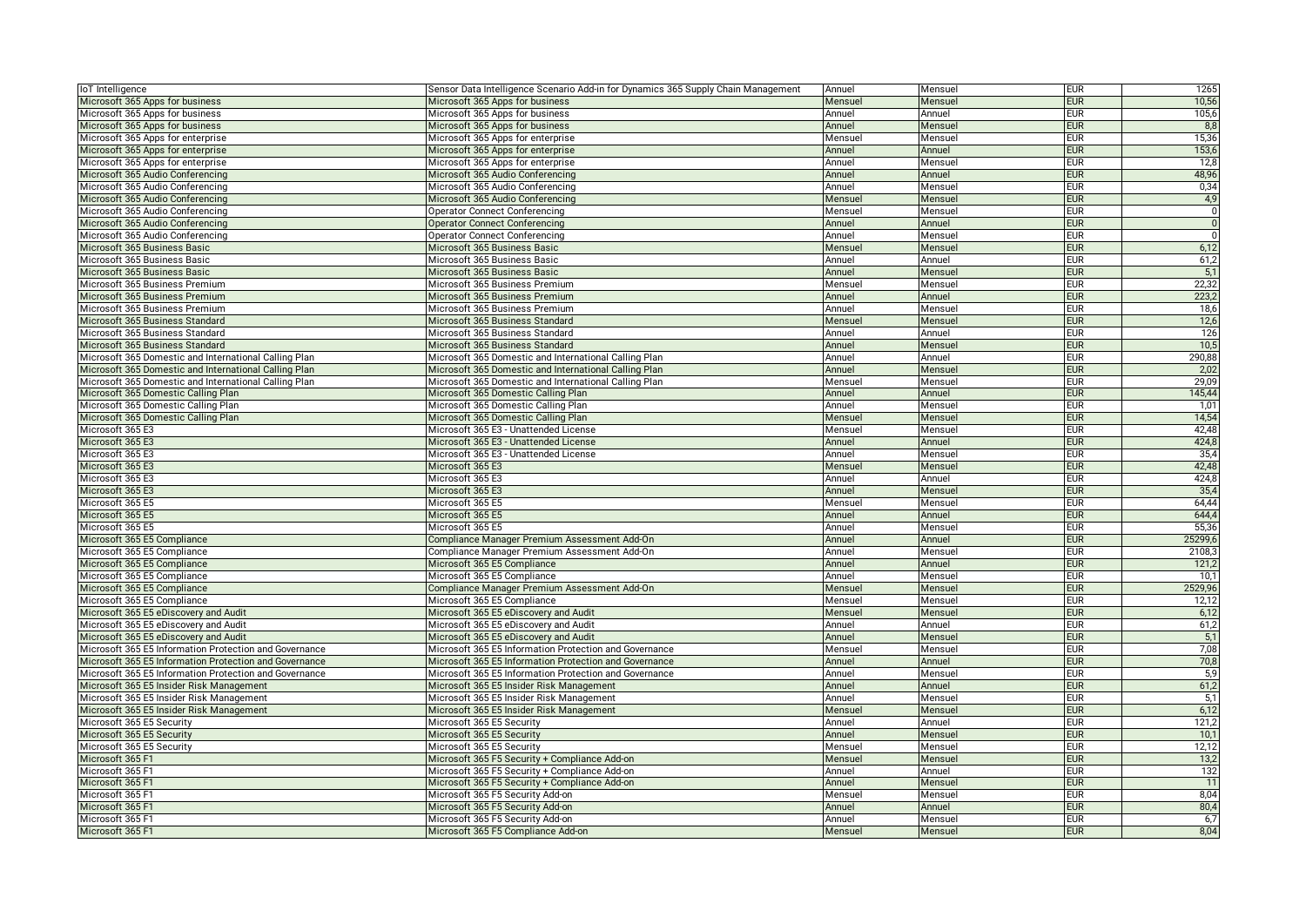| loT Intelligence                                       | Sensor Data Intelligence Scenario Add-in for Dynamics 365 Supply Chain Management | Annuel  | Mensuel | <b>EUR</b> | 1265           |
|--------------------------------------------------------|-----------------------------------------------------------------------------------|---------|---------|------------|----------------|
| Microsoft 365 Apps for business                        | Microsoft 365 Apps for business                                                   | Mensuel | Mensuel | <b>EUR</b> | 10,56          |
| Microsoft 365 Apps for business                        | Microsoft 365 Apps for business                                                   | Annuel  | Annuel  | <b>EUR</b> | 105,6          |
| Microsoft 365 Apps for business                        | Microsoft 365 Apps for business                                                   | Annuel  | Mensuel | <b>EUR</b> | 8,8            |
| Microsoft 365 Apps for enterprise                      | Microsoft 365 Apps for enterprise                                                 | Mensuel | Mensuel | EUR        | 15,36          |
| Microsoft 365 Apps for enterprise                      | Microsoft 365 Apps for enterprise                                                 | Annuel  | Annuel  | <b>EUR</b> | 153,6          |
| Microsoft 365 Apps for enterprise                      | Microsoft 365 Apps for enterprise                                                 | Annuel  | Mensuel | <b>EUR</b> | 12,8           |
| Microsoft 365 Audio Conferencing                       | Microsoft 365 Audio Conferencing                                                  | Annuel  | Annuel  | <b>EUR</b> | 48,96          |
| Microsoft 365 Audio Conferencing                       | Microsoft 365 Audio Conferencing                                                  | Annuel  | Mensuel | <b>EUR</b> | 0,34           |
| Microsoft 365 Audio Conferencing                       | Microsoft 365 Audio Conferencing                                                  | Mensuel | Mensuel | <b>EUR</b> | 4,9            |
| Microsoft 365 Audio Conferencing                       | <b>Operator Connect Conferencing</b>                                              | Mensuel | Mensuel | <b>EUR</b> | $\overline{0}$ |
| Microsoft 365 Audio Conferencing                       | <b>Operator Connect Conferencing</b>                                              | Annuel  | Annuel  | <b>EUR</b> | $\overline{0}$ |
| Microsoft 365 Audio Conferencing                       | <b>Operator Connect Conferencing</b>                                              | Annuel  | Mensuel | <b>EUR</b> | $\overline{0}$ |
| Microsoft 365 Business Basic                           | Microsoft 365 Business Basic                                                      | Mensuel | Mensuel | <b>EUR</b> | 6,12           |
| Microsoft 365 Business Basic                           | Microsoft 365 Business Basic                                                      | Annuel  | Annuel  | <b>EUR</b> | 61,2           |
| Microsoft 365 Business Basic                           | Microsoft 365 Business Basic                                                      | Annuel  | Mensuel | <b>EUR</b> | 5,1            |
| Microsoft 365 Business Premium                         | Microsoft 365 Business Premium                                                    | Mensuel | Mensuel | <b>EUR</b> | 22,32          |
| Microsoft 365 Business Premium                         | Microsoft 365 Business Premium                                                    | Annuel  | Annuel  | <b>EUR</b> | 223,2          |
| Microsoft 365 Business Premium                         | Microsoft 365 Business Premium                                                    | Annuel  | Mensuel | <b>EUR</b> | 18,6           |
| Microsoft 365 Business Standard                        | Microsoft 365 Business Standard                                                   | Mensuel | Mensuel | <b>EUR</b> | 12,6           |
| Microsoft 365 Business Standard                        | Microsoft 365 Business Standard                                                   | Annuel  | Annuel  | EUR        | 126            |
| Microsoft 365 Business Standard                        | Microsoft 365 Business Standard                                                   | Annuel  | Mensuel | <b>EUR</b> | 10,5           |
| Microsoft 365 Domestic and International Calling Plan  | Microsoft 365 Domestic and International Calling Plan                             | Annuel  | Annuel  | <b>EUR</b> | 290,88         |
| Microsoft 365 Domestic and International Calling Plan  | Microsoft 365 Domestic and International Calling Plan                             | Annuel  | Mensuel | <b>EUR</b> | 2,02           |
| Microsoft 365 Domestic and International Calling Plan  | Microsoft 365 Domestic and International Calling Plan                             | Mensuel | Mensuel | <b>EUR</b> | 29,09          |
| Microsoft 365 Domestic Calling Plan                    | Microsoft 365 Domestic Calling Plan                                               | Annuel  | Annuel  | <b>EUR</b> | 145,44         |
| Microsoft 365 Domestic Calling Plan                    | Microsoft 365 Domestic Calling Plan                                               | Annuel  | Mensuel | <b>EUR</b> | 1,01           |
| Microsoft 365 Domestic Calling Plan                    | Microsoft 365 Domestic Calling Plan                                               | Mensuel | Mensuel | <b>EUR</b> | 14,54          |
| Microsoft 365 E3                                       | Microsoft 365 E3 - Unattended License                                             | Mensuel | Mensuel | <b>EUR</b> | 42,48          |
| Microsoft 365 E3                                       | Microsoft 365 E3 - Unattended License                                             | Annuel  | Annuel  | <b>EUR</b> | 424,8          |
| Microsoft 365 E3                                       | Microsoft 365 E3 - Unattended License                                             | Annuel  | Mensuel | <b>EUR</b> | 35,4           |
| Microsoft 365 E3                                       | Microsoft 365 E3                                                                  | Mensue  | Mensue  | <b>EUR</b> | 42,48          |
| Microsoft 365 E3                                       | Microsoft 365 E3                                                                  | Annuel  | Annuel  | <b>EUR</b> | 424,8          |
| Microsoft 365 E3                                       | Microsoft 365 E3                                                                  | Annuel  | Mensuel | <b>EUR</b> | 35,4           |
| Microsoft 365 E5                                       | Microsoft 365 E5                                                                  | Mensuel | Mensuel | <b>EUR</b> | 64,44          |
| Microsoft 365 E5                                       | Microsoft 365 E5                                                                  | Annuel  | Annuel  | <b>EUR</b> | 644,4          |
| Microsoft 365 E5                                       | Microsoft 365 E5                                                                  | Annuel  | Mensuel | eur        | 55,36          |
| Microsoft 365 E5 Compliance                            | Compliance Manager Premium Assessment Add-On                                      | Annuel  | Annuel  | <b>EUR</b> | 25299,6        |
| Microsoft 365 E5 Compliance                            | Compliance Manager Premium Assessment Add-On                                      | Annuel  | Mensuel | eur        | 2108,3         |
| Microsoft 365 E5 Compliance                            | Microsoft 365 E5 Compliance                                                       | Annuel  | Annuel  | <b>EUR</b> | 121,2          |
| Microsoft 365 E5 Compliance                            | Microsoft 365 E5 Compliance                                                       | Annuel  | Mensuel | <b>EUR</b> | 10,1           |
| Microsoft 365 E5 Compliance                            | Compliance Manager Premium Assessment Add-On                                      | Mensuel | Mensuel | <b>EUR</b> | 2529,96        |
| Microsoft 365 E5 Compliance                            | Microsoft 365 E5 Compliance                                                       | Mensuel | Mensuel | <b>EUR</b> | 12,12          |
| Microsoft 365 E5 eDiscovery and Audit                  | Microsoft 365 E5 eDiscovery and Audit                                             | Mensuel | Mensuel | <b>EUR</b> | 6,12           |
| Microsoft 365 E5 eDiscovery and Audit                  | Microsoft 365 E5 eDiscovery and Audit                                             | Annuel  | Annuel  | <b>EUR</b> | 61,2           |
| Microsoft 365 E5 eDiscovery and Audit                  | Microsoft 365 E5 eDiscovery and Audit                                             | Annuel  | Mensuel | <b>EUR</b> | 5,1            |
| Microsoft 365 E5 Information Protection and Governance | Microsoft 365 E5 Information Protection and Governance                            | Mensuel | Mensuel | <b>EUR</b> | 7,08           |
| Microsoft 365 E5 Information Protection and Governance | Microsoft 365 E5 Information Protection and Governance                            | Annuel  | Annuel  | <b>EUR</b> | 70,8           |
| Microsoft 365 E5 Information Protection and Governance | Microsoft 365 E5 Information Protection and Governance                            | Annuel  | Mensuel | <b>EUR</b> | 5,9            |
| Microsoft 365 E5 Insider Risk Management               | Microsoft 365 E5 Insider Risk Management                                          | Annuel  | Annuel  | <b>EUR</b> | 61,2           |
| Microsoft 365 E5 Insider Risk Management               | Microsoft 365 E5 Insider Risk Management                                          | Annuel  | Mensuel | <b>EUR</b> | 5,1            |
| Microsoft 365 E5 Insider Risk Management               | Microsoft 365 E5 Insider Risk Management                                          | Mensuel | Mensuel | <b>EUR</b> | 6,12           |
| Microsoft 365 E5 Security                              | Microsoft 365 E5 Security                                                         | Annuel  | Annuel  | <b>EUR</b> | 121,2          |
| Microsoft 365 E5 Security                              | Microsoft 365 E5 Security                                                         | Annuel  | Mensuel | <b>EUR</b> | 10,1           |
| Microsoft 365 E5 Security                              | Microsoft 365 E5 Security                                                         | Mensuel | Mensuel | EUR        | 12,12          |
| Microsoft 365 F1                                       | Microsoft 365 F5 Security + Compliance Add-on                                     | Mensuel | Mensuel | <b>EUR</b> | 13,2           |
| Microsoft 365 F1                                       | Microsoft 365 F5 Security + Compliance Add-on                                     | Annuel  | Annuel  | <b>EUR</b> | 132            |
| Microsoft 365 F1                                       | Microsoft 365 F5 Security + Compliance Add-on                                     | Annuel  | Mensuel | <b>EUR</b> | 11             |
| Microsoft 365 F1                                       | Microsoft 365 F5 Security Add-on                                                  | Mensuel | Mensuel | <b>EUR</b> | 8,04           |
| Microsoft 365 F1                                       | Microsoft 365 F5 Security Add-on                                                  | Annuel  | Annuel  | <b>EUR</b> | 80,4           |
| Microsoft 365 F1                                       | Microsoft 365 F5 Security Add-on                                                  | Annuel  | Mensuel | <b>EUR</b> | 6,7            |
| Microsoft 365 F1                                       | Microsoft 365 F5 Compliance Add-on                                                | Mensuel | Mensuel | <b>EUR</b> | 8,04           |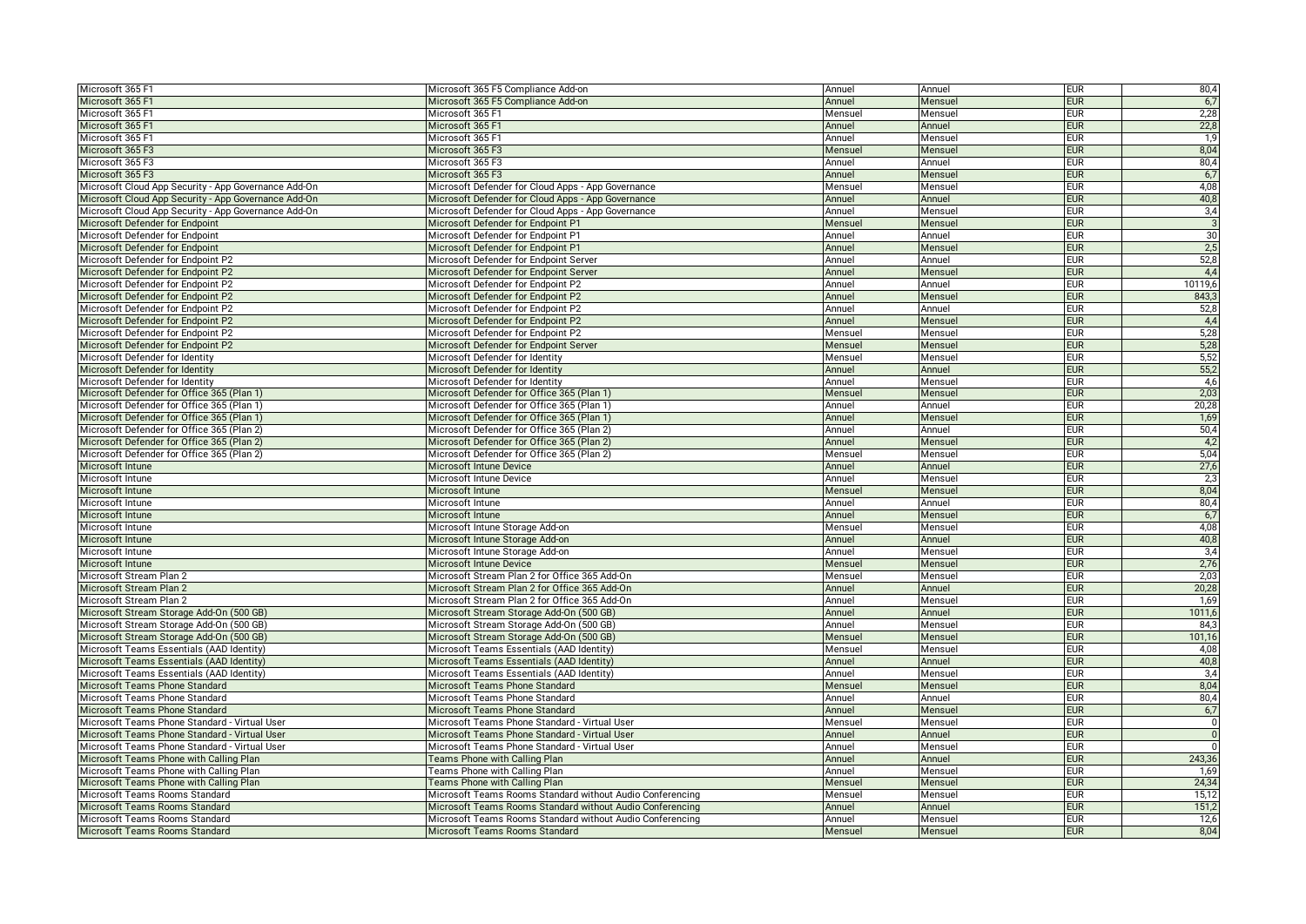| Microsoft 365 F1                                                 | Microsoft 365 F5 Compliance Add-on                        | Annuel  | Annuel  | <b>EUR</b> | 80,4           |
|------------------------------------------------------------------|-----------------------------------------------------------|---------|---------|------------|----------------|
| Microsoft 365 F1                                                 | Microsoft 365 F5 Compliance Add-on                        | Annuel  | Mensuel | <b>EUR</b> | 6,7            |
| Microsoft 365 F1                                                 | Microsoft 365 F1                                          | Mensuel | Mensuel | <b>EUR</b> | 2,28           |
| Microsoft 365 F1                                                 | Microsoft 365 F1                                          | Annuel  | Annuel  | <b>EUR</b> | 22,8           |
| Microsoft 365 F1                                                 | Microsoft 365 F1                                          | Annuel  | Mensuel | <b>EUR</b> | 1,9            |
| Microsoft 365 F3                                                 | Microsoft 365 F3                                          | Mensuel | Mensuel | <b>EUR</b> | 8,04           |
| Microsoft 365 F3                                                 | Microsoft 365 F3                                          | Annuel  | Annuel  | <b>EUR</b> | 80,4           |
| Microsoft 365 F3                                                 | Microsoft 365 F3                                          | Annuel  | Mensuel | <b>EUR</b> | 6,7            |
| Microsoft Cloud App Security - App Governance Add-On             | Microsoft Defender for Cloud Apps - App Governance        | Mensuel | Mensuel | <b>EUR</b> | 4,08           |
| Microsoft Cloud App Security - App Governance Add-On             | Microsoft Defender for Cloud Apps - App Governance        | Annuel  | Annuel  | <b>EUR</b> | 40,8           |
| Microsoft Cloud App Security - App Governance Add-On             | Microsoft Defender for Cloud Apps - App Governance        | Annuel  | Mensuel | <b>EUR</b> | 3,4            |
| Microsoft Defender for Endpoint                                  | Microsoft Defender for Endpoint P1                        | Mensuel | Mensuel | <b>EUR</b> | $\overline{3}$ |
| Microsoft Defender for Endpoint                                  | Microsoft Defender for Endpoint P1                        | Annuel  | Annuel  | <b>EUR</b> | 30             |
| Microsoft Defender for Endpoint                                  | Microsoft Defender for Endpoint P1                        | Annuel  | Mensuel | <b>EUR</b> | 2,5            |
| Microsoft Defender for Endpoint P2                               | Microsoft Defender for Endpoint Server                    | Annuel  | Annuel  | <b>EUR</b> | 52,8           |
| Microsoft Defender for Endpoint P2                               | Microsoft Defender for Endpoint Server                    | Annuel  | Mensue  | <b>EUR</b> | 4,4            |
| Microsoft Defender for Endpoint P2                               | Microsoft Defender for Endpoint P2                        | Annuel  | Annuel  | <b>EUR</b> | 10119,6        |
| Microsoft Defender for Endpoint P2                               | Microsoft Defender for Endpoint P2                        | Annuel  | Mensuel | <b>EUR</b> | 843,3          |
| Microsoft Defender for Endpoint P2                               | Microsoft Defender for Endpoint P2                        | Annuel  | Annuel  | <b>EUR</b> | 52,8           |
| Microsoft Defender for Endpoint P2                               | Microsoft Defender for Endpoint P2                        | Annuel  | Mensuel | <b>EUR</b> | 4,4            |
| Microsoft Defender for Endpoint P2                               | Microsoft Defender for Endpoint P2                        | Mensuel | Mensuel | <b>EUR</b> | 5,28           |
| Microsoft Defender for Endpoint P2                               | Microsoft Defender for Endpoint Server                    | Mensuel | Mensuel | <b>EUR</b> | 5,28           |
| Microsoft Defender for Identity                                  | Microsoft Defender for Identity                           | Mensuel | Mensuel | <b>EUR</b> | 5,52           |
| Microsoft Defender for Identity                                  | Microsoft Defender for Identity                           | Annuel  | Annuel  | <b>EUR</b> | 55,2           |
| Microsoft Defender for Identity                                  | Microsoft Defender for Identity                           | Annuel  | Mensue  | <b>EUR</b> | 4,6            |
| Microsoft Defender for Office 365 (Plan 1)                       | Microsoft Defender for Office 365 (Plan 1)                | Mensuel | Mensuel | <b>EUR</b> | 2,03           |
| Microsoft Defender for Office 365 (Plan 1)                       | Microsoft Defender for Office 365 (Plan 1)                | Annuel  | Annuel  | eur        | 20,28          |
| Microsoft Defender for Office 365 (Plan 1)                       | Microsoft Defender for Office 365 (Plan 1)                | Annuel  | Mensuel | <b>EUR</b> | 1,69           |
| Microsoft Defender for Office 365 (Plan 2)                       | Microsoft Defender for Office 365 (Plan 2)                | Annuel  | Annuel  | <b>EUR</b> | 50,4           |
| Microsoft Defender for Office 365 (Plan 2)                       | Microsoft Defender for Office 365 (Plan 2)                | Annuel  | Mensue  | <b>EUR</b> | 4,2            |
| Microsoft Defender for Office 365 (Plan 2)                       | Microsoft Defender for Office 365 (Plan 2)                | Mensuel | Mensuel | EUR        | 5,04           |
| Microsoft Intune                                                 | Microsoft Intune Device                                   | Annuel  | Annuel  | <b>EUR</b> | 27,6           |
| Microsoft Intune                                                 | Microsoft Intune Device                                   | Annuel  | Mensuel | <b>EUR</b> | 2,3            |
| Microsoft Intune                                                 | Microsoft Intune                                          | Mensuel | Mensuel | <b>EUR</b> | 8,04           |
| Microsoft Intune                                                 | Microsoft Intune                                          | Annuel  | Annuel  | <b>EUR</b> | 80,4           |
| Microsoft Intune                                                 | Microsoft Intune                                          | Annuel  | Mensuel | <b>EUR</b> | 6,7            |
| Microsoft Intune                                                 | Microsoft Intune Storage Add-on                           | Mensuel | Mensuel | eur        | 4,08           |
| Microsoft Intune                                                 | Microsoft Intune Storage Add-on                           | Annuel  | Annuel  | <b>EUR</b> | 40,8           |
| Microsoft Intune                                                 | Microsoft Intune Storage Add-on                           | Annuel  | Mensuel | <b>EUR</b> | 3,4            |
| Microsoft Intune                                                 | Microsoft Intune Device                                   | Mensuel | Mensuel | <b>EUR</b> | 2,76           |
| Microsoft Stream Plan 2                                          | Microsoft Stream Plan 2 for Office 365 Add-On             | Mensuel | Mensuel | <b>EUR</b> | 2,03           |
| Microsoft Stream Plan 2                                          | Microsoft Stream Plan 2 for Office 365 Add-On             | Annuel  | Annuel  | <b>EUR</b> | 20,28          |
| Microsoft Stream Plan 2                                          | Microsoft Stream Plan 2 for Office 365 Add-On             | Annuel  | Mensue  | <b>EUR</b> | 1,69           |
| Microsoft Stream Storage Add-On (500 GB)                         | Microsoft Stream Storage Add-On (500 GB)                  | Annuel  | Annuel  | <b>EUR</b> | 1011,6         |
| Microsoft Stream Storage Add-On (500 GB)                         | Microsoft Stream Storage Add-On (500 GB)                  | Annuel  | Mensuel | <b>EUR</b> | 84,3           |
| Microsoft Stream Storage Add-On (500 GB)                         | Microsoft Stream Storage Add-On (500 GB)                  | Mensuel | Mensuel | <b>EUR</b> | 101,16         |
| Microsoft Teams Essentials (AAD Identity)                        | Microsoft Teams Essentials (AAD Identity)                 | Mensuel | Mensuel | <b>EUR</b> | 4,08           |
| Microsoft Teams Essentials (AAD Identity)                        | Microsoft Teams Essentials (AAD Identity)                 | Annuel  | Annuel  | <b>EUR</b> | 40,8           |
| Microsoft Teams Essentials (AAD Identity)                        | Microsoft Teams Essentials (AAD Identity)                 | Annuel  |         | <b>EUR</b> | 3,4            |
|                                                                  |                                                           |         | Mensuel | <b>EUR</b> | 8,04           |
| Microsoft Teams Phone Standard                                   | Microsoft Teams Phone Standard                            | Mensuel | Mensuel | <b>EUR</b> | 80,4           |
| Microsoft Teams Phone Standard<br>Microsoft Teams Phone Standard | Microsoft Teams Phone Standard                            | Annuel  | Annuel  | <b>EUR</b> | 6,7            |
|                                                                  | Microsoft Teams Phone Standard                            | Annuel  | Mensuel | <b>EUR</b> | $\mathbf 0$    |
| Microsoft Teams Phone Standard - Virtual User                    | Microsoft Teams Phone Standard - Virtual User             | Mensuel | Mensuel |            | ō              |
| Microsoft Teams Phone Standard - Virtual User                    | Microsoft Teams Phone Standard - Virtual User             | Annuel  | Annuel  | <b>EUR</b> |                |
| Microsoft Teams Phone Standard - Virtual User                    | Microsoft Teams Phone Standard - Virtual User             | Annuel  | Mensuel | <b>EUR</b> |                |
| Microsoft Teams Phone with Calling Plan                          | Teams Phone with Calling Plan                             | Annuel  | Annuel  | <b>EUR</b> | 243,36         |
| Microsoft Teams Phone with Calling Plan                          | Teams Phone with Calling Plan                             | Annuel  | Mensuel | <b>EUR</b> | 1,69           |
| Microsoft Teams Phone with Calling Plan                          | Teams Phone with Calling Plan                             | Mensuel | Mensuel | <b>EUR</b> | 24,34          |
| Microsoft Teams Rooms Standard                                   | Microsoft Teams Rooms Standard without Audio Conferencing | Mensuel | Mensuel | <b>EUR</b> | 15,12          |
| Microsoft Teams Rooms Standard                                   | Microsoft Teams Rooms Standard without Audio Conferencing | Annuel  | Annuel  | <b>EUR</b> | 151,2          |
| Microsoft Teams Rooms Standard                                   | Microsoft Teams Rooms Standard without Audio Conferencing | Annuel  | Mensuel | <b>EUR</b> | 12,6           |
| Microsoft Teams Rooms Standard                                   | Microsoft Teams Rooms Standard                            | Mensuel | Mensuel | <b>EUR</b> | 8,04           |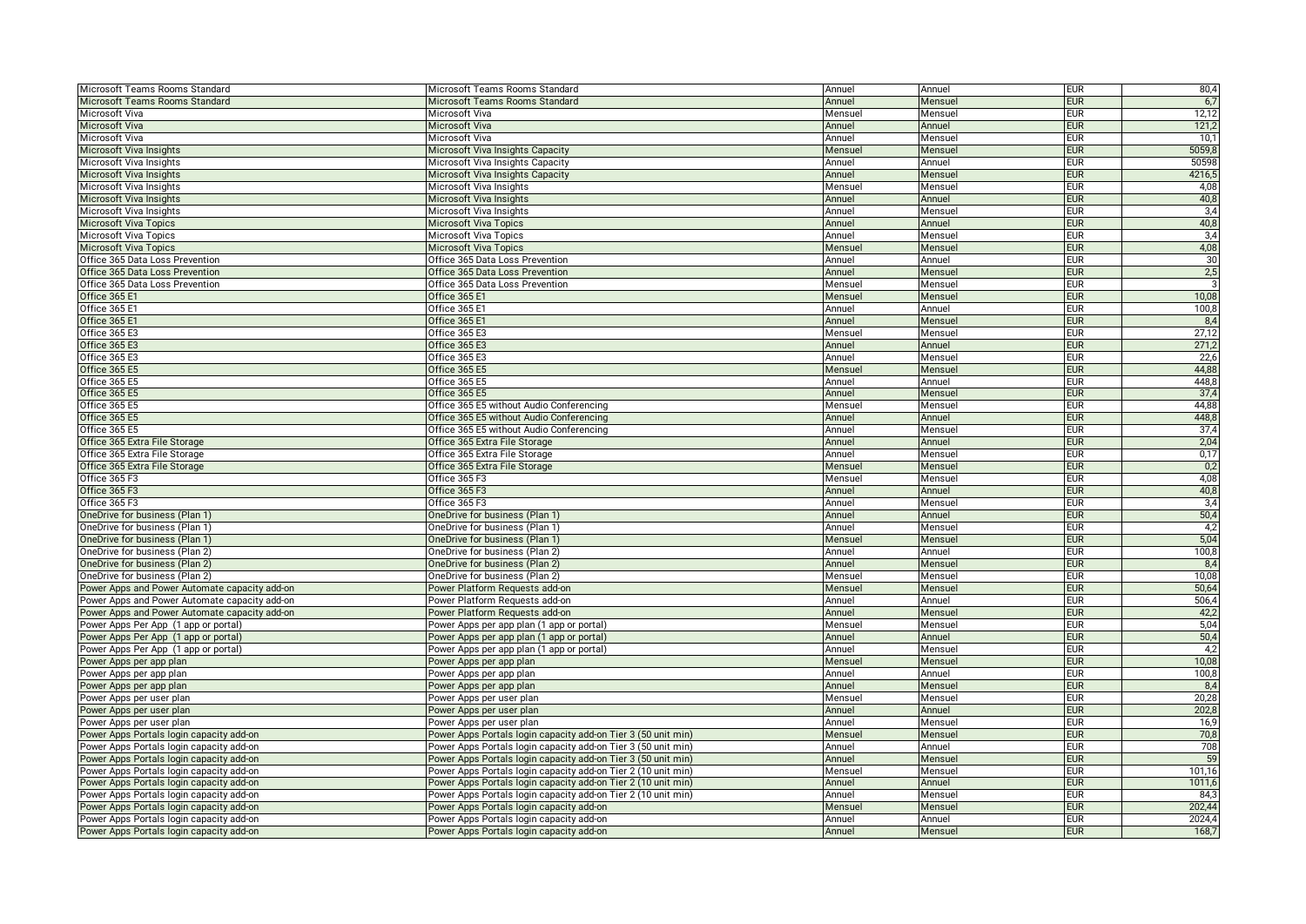| Microsoft Teams Rooms Standard                                                       | Microsoft Teams Rooms Standard                                                       | Annuel           | Annuel            | <b>EUR</b> | 80,4             |
|--------------------------------------------------------------------------------------|--------------------------------------------------------------------------------------|------------------|-------------------|------------|------------------|
| Microsoft Teams Rooms Standard                                                       | Microsoft Teams Rooms Standard                                                       | Annuel           | Mensuel           | <b>EUR</b> | 6,7              |
| Microsoft Viva                                                                       | Microsoft Viva                                                                       | Mensuel          | Mensuel           | <b>EUR</b> | 12,12            |
| Microsoft Viva                                                                       | Microsoft Viva                                                                       | Annuel           | Annuel            | <b>EUR</b> | 121,2            |
| Microsoft Viva                                                                       | Microsoft Viva                                                                       | Annuel           | Mensuel           | <b>EUR</b> | 10,1             |
| Microsoft Viva Insights                                                              | Microsoft Viva Insights Capacity                                                     | Mensue           | Mensuel           | <b>EUR</b> | 5059,8           |
| Microsoft Viva Insights                                                              | Microsoft Viva Insights Capacity                                                     | Annuel           | Annuel            | <b>EUR</b> | 50598            |
| Microsoft Viva Insights                                                              | Microsoft Viva Insights Capacity                                                     | Annuel           | Mensuel           | <b>EUR</b> | 4216,5           |
| Microsoft Viva Insights                                                              | Microsoft Viva Insights                                                              | Mensue           | Mensuel           | <b>EUR</b> | 4,08             |
| Microsoft Viva Insights                                                              | Microsoft Viva Insights                                                              | Annuel           | Annuel            | <b>EUR</b> | 40,8             |
| Microsoft Viva Insights                                                              | Microsoft Viva Insights                                                              | Annuel           | Mensuel           | <b>EUR</b> | 3,4              |
| <b>Microsoft Viva Topics</b>                                                         | <b>Microsoft Viva Topics</b>                                                         | Annuel           | Annuel            | <b>EUR</b> | 40,8             |
| <b>Microsoft Viva Topics</b>                                                         | Microsoft Viva Topics                                                                | Annuel           | Mensuel           | <b>EUR</b> | 3,4              |
| <b>Microsoft Viva Topics</b>                                                         | <b>Microsoft Viva Topics</b>                                                         | Mensue           | Mensuel           | <b>EUR</b> | 4,08             |
| Office 365 Data Loss Prevention                                                      | Office 365 Data Loss Prevention                                                      | Annuel           | Annuel            | <b>EUR</b> | 30               |
| Office 365 Data Loss Prevention                                                      | Office 365 Data Loss Prevention                                                      | Annuel           | Mensuel           | <b>EUR</b> | 2,5              |
| Office 365 Data Loss Prevention                                                      | Office 365 Data Loss Prevention                                                      | Mensuel          | Mensuel           | <b>EUR</b> |                  |
| <b>Office 365 E1</b>                                                                 | Office 365 E1                                                                        | Mensuel          | Mensuel           | <b>EUR</b> | 10,08            |
| Office 365 E1                                                                        | Office 365 E1                                                                        | Annuel           | Annuel            | <b>EUR</b> | 100,8            |
| Office 365 E1                                                                        | Office 365 E1                                                                        | Annuel           | Mensuel           | <b>EUR</b> | 8,4              |
| Office 365 E3                                                                        | Office 365 E3                                                                        | Mensuel          | Mensuel           | <b>EUR</b> | 27,12            |
| Office 365 E3                                                                        | Office 365 E3                                                                        | Annuel           | Annuel            | <b>EUR</b> | 271,2            |
| Office 365 E3                                                                        | Office 365 E3                                                                        | Annuel           | Mensuel           | <b>EUR</b> | 22,6             |
| <b>Office 365 E5</b>                                                                 | Office 365 E5                                                                        | Mensuel          | Mensuel           | <b>EUR</b> | 44,88            |
| Office 365 E5                                                                        | Office 365 E5                                                                        | Annuel           | Annuel            | <b>EUR</b> | 448,8            |
| Office 365 E5                                                                        | Office 365 E5                                                                        | Annuel           | Mensuel           | <b>EUR</b> | 37,4             |
| Office 365 E5                                                                        | Office 365 E5 without Audio Conferencing                                             | Mensuel          |                   | <b>EUR</b> | 44,88            |
|                                                                                      |                                                                                      |                  | Mensuel           | <b>EUR</b> |                  |
| Office 365 E5                                                                        | Office 365 E5 without Audio Conferencing                                             | Annuel           | Annuel            |            | 448,8<br>37,4    |
| Office 365 E5                                                                        | Office 365 E5 without Audio Conferencing                                             | Annuel           | Mensuel           | <b>EUR</b> |                  |
| Office 365 Extra File Storage                                                        | Office 365 Extra File Storage                                                        | Annuel           | Annuel            | <b>EUR</b> | 2,04             |
| Office 365 Extra File Storage                                                        | Office 365 Extra File Storage                                                        | Annuel           | Mensuel           | <b>EUR</b> | 0,17             |
| Office 365 Extra File Storage                                                        | Office 365 Extra File Storage                                                        | Mensuel          | Mensuel           | <b>EUR</b> | 0,2              |
| Office 365 F3                                                                        | Office 365 F3                                                                        | Mensuel          | Mensuel           | <b>EUR</b> | 4,08             |
| Office 365 F3                                                                        | Office 365 F3                                                                        | Annuel           | Annuel            | <b>EUR</b> | 40,8             |
| Office 365 F3                                                                        | Office 365 F3                                                                        | Annuel           | Mensuel           | <b>EUR</b> | 3,4              |
| OneDrive for business (Plan 1)                                                       | OneDrive for business (Plan 1)                                                       | Annuel           | Annuel            | <b>EUR</b> | 50,4             |
| OneDrive for business (Plan 1)                                                       | OneDrive for business (Plan 1)                                                       | Annuel           | Mensuel           | <b>EUR</b> | 4,2              |
| OneDrive for business (Plan 1)                                                       | OneDrive for business (Plan 1)                                                       | Mensue           | Mensuel           | <b>EUR</b> | 5,04             |
| OneDrive for business (Plan 2)                                                       | OneDrive for business (Plan 2)                                                       | Annuel           | Annuel            | <b>EUR</b> | 100,8            |
| OneDrive for business (Plan 2)                                                       | OneDrive for business (Plan 2)                                                       | Annuel           | Mensuel           | <b>EUR</b> | 8,4              |
| OneDrive for business (Plan 2)                                                       | OneDrive for business (Plan 2)                                                       | Mensuel          | Mensuel           | <b>EUR</b> | 10,08            |
| Power Apps and Power Automate capacity add-on                                        | Power Platform Requests add-on                                                       | Mensuel          | Mensuel           | <b>EUR</b> | 50,64            |
| Power Apps and Power Automate capacity add-on                                        | Power Platform Requests add-on                                                       | Annuel           | Annuel            | <b>EUR</b> | 506,4            |
| Power Apps and Power Automate capacity add-on                                        | Power Platform Requests add-on                                                       | Annuel           | Mensuel           | <b>EUR</b> | 42,2             |
| Power Apps Per App (1 app or portal)                                                 | Power Apps per app plan (1 app or portal)                                            | Mensue           | Mensuel           | <b>EUR</b> | 5,04             |
| Power Apps Per App (1 app or portal)                                                 | Power Apps per app plan (1 app or portal)                                            | Annuel           | Annuel            | <b>EUR</b> | 50,4             |
| Power Apps Per App (1 app or portal)                                                 | Power Apps per app plan (1 app or portal                                             | Annuel           | Mensuel           | <b>EUR</b> | 4,2              |
| Power Apps per app plan                                                              | Power Apps per app plan                                                              | Mensue           | Mensuel           | <b>EUR</b> | 10,08            |
| Power Apps per app plan                                                              | Power Apps per app plan                                                              | Annuel           | Annuel            | <b>EUR</b> | 100,8            |
| Power Apps per app plan                                                              | Power Apps per app plan                                                              | Annuel           | Mensuel           | <b>EUR</b> | 8,4              |
| Power Apps per user plan                                                             | Power Apps per user plan                                                             | Mensuel          | Mensuel           | <b>EUR</b> | 20,28            |
| Power Apps per user plan                                                             | Power Apps per user plan                                                             | Annuel           | Annuel            | <b>EUR</b> | 202,8            |
| Power Apps per user plan                                                             | Power Apps per user plan                                                             | Annuel           | Mensuel           | <b>EUR</b> | 16,9             |
| Power Apps Portals login capacity add-on                                             | Power Apps Portals login capacity add-on Tier 3 (50 unit min)                        | Mensue           | Mensuel           | <b>EUR</b> | 70,8             |
| Power Apps Portals login capacity add-on                                             | Power Apps Portals login capacity add-on Tier 3 (50 unit min)                        | Annuel           | Annuel            | <b>EUR</b> | 708              |
| Power Apps Portals login capacity add-on                                             | Power Apps Portals login capacity add-on Tier 3 (50 unit min)                        | Annuel           | Mensuel           | <b>EUR</b> | 59               |
| Power Apps Portals login capacity add-on                                             | Power Apps Portals login capacity add-on Tier 2 (10 unit min)                        | Mensue           | Mensuel           | <b>EUR</b> | 101,16           |
| Power Apps Portals login capacity add-on                                             | Power Apps Portals login capacity add-on Tier 2 (10 unit min)                        | Annuel           | Annuel            | <b>EUR</b> | 1011,6           |
| Power Apps Portals login capacity add-on                                             |                                                                                      |                  |                   |            | 84.3             |
|                                                                                      | Power Apps Portals login capacity add-on Tier 2 (10 unit min)                        | Annuel           | Mensuel           | <b>EUR</b> |                  |
|                                                                                      |                                                                                      |                  |                   | <b>EUR</b> |                  |
| Power Apps Portals login capacity add-on<br>Power Apps Portals login capacity add-on | Power Apps Portals login capacity add-on<br>Power Apps Portals login capacity add-on | Mensue<br>Annuel | Mensuel<br>Annuel | <b>EUR</b> | 202,44<br>2024,4 |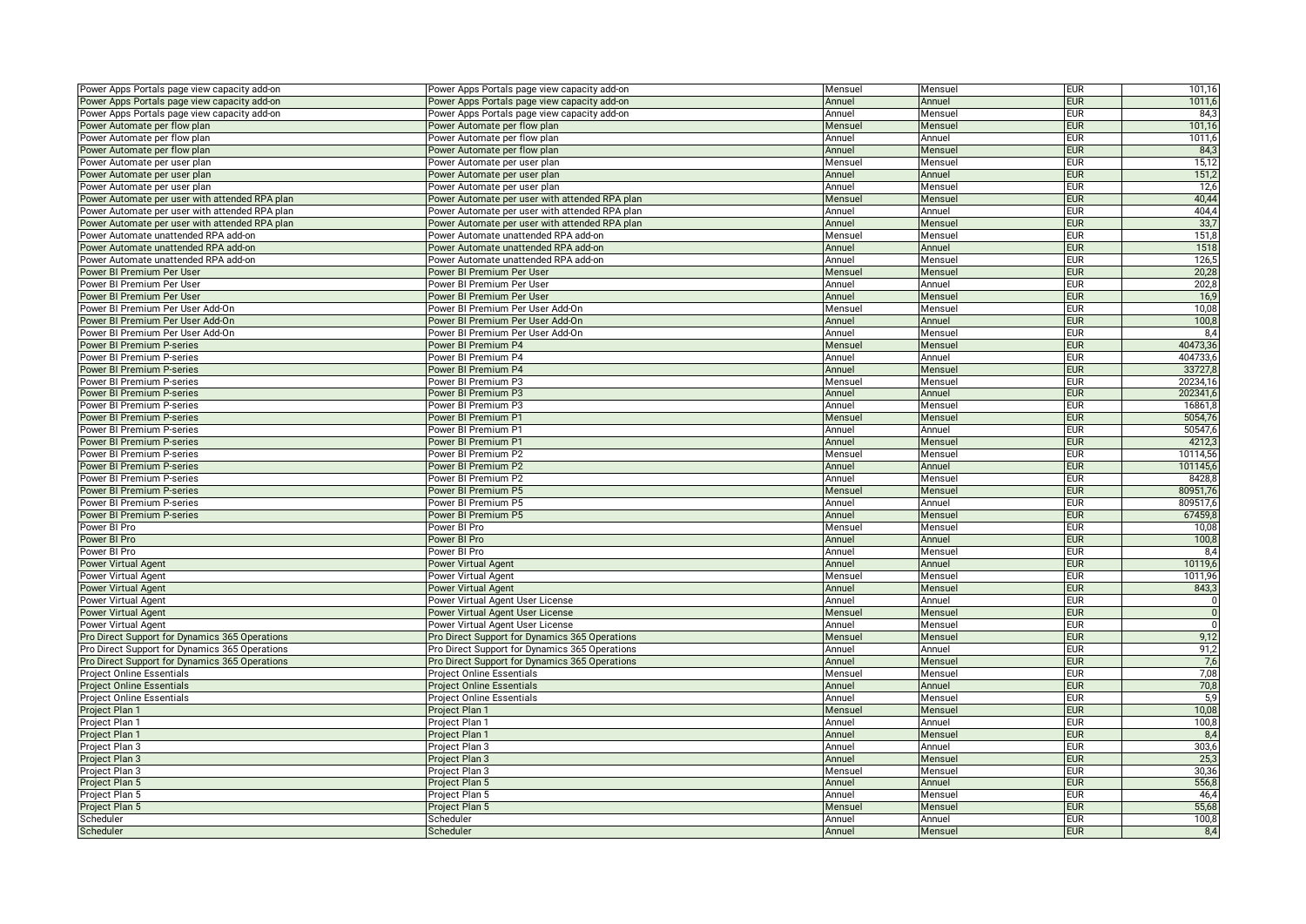| Power Apps Portals page view capacity add-on   | Power Apps Portals page view capacity add-on       | Mensuel          | Mensuel           | <b>EUR</b>               | 101,16                  |
|------------------------------------------------|----------------------------------------------------|------------------|-------------------|--------------------------|-------------------------|
| Power Apps Portals page view capacity add-on   | Power Apps Portals page view capacity add-on       | Annuel           | Annuel            | <b>EUR</b>               | 1011,6                  |
| Power Apps Portals page view capacity add-on   | Power Apps Portals page view capacity add-on       | Annuel           | Mensuel           | <b>EUR</b>               | 84,3                    |
| Power Automate per flow plan                   | Power Automate per flow plan                       | Mensuel          | Mensuel           | <b>EUR</b>               | 101,16                  |
| Power Automate per flow plan                   | Power Automate per flow plan                       | Annuel           | Annuel            | <b>EUR</b>               | 1011,6                  |
| Power Automate per flow plan                   | Power Automate per flow plan                       | Annuel           | Mensuel           | <b>EUR</b>               | 84,3                    |
| ower Automate per user plan                    | Power Automate per user plan                       | Mensuel          | Mensuel           | <b>EUR</b>               | 15,12                   |
| Power Automate per user plan                   | Power Automate per user plan                       | Annuel           | Annuel            | <b>EUR</b>               | 151,2                   |
| Power Automate per user plan                   | Power Automate per user plan                       | Annuel           | Mensuel           | <b>EUR</b>               | 12,6                    |
| Power Automate per user with attended RPA plan | Power Automate per user with attended RPA plan     | Mensuel          | Mensuel           | <b>EUR</b>               | 40,44                   |
| ower Automate per user with attended RPA plan  | Power Automate per user with attended RPA plan     | Annuel           | Annuel            | <b>EUR</b>               | 404,4                   |
| Power Automate per user with attended RPA plan | Power Automate per user with attended RPA plan     | Annuel           | Mensuel           | <b>EUR</b>               | 33,7                    |
| Power Automate unattended RPA add-on           | Power Automate unattended RPA add-on               | Mensuel          | Mensuel           | <b>EUR</b>               | 151,8                   |
| Power Automate unattended RPA add-on           | Power Automate unattended RPA add-on               | Annuel           | Annuel            | <b>EUR</b>               | 1518                    |
| Power Automate unattended RPA add-on           | Power Automate unattended RPA add-on               | Annuel           | Mensuel           | <b>EUR</b>               | 126,5                   |
| Power BI Premium Per User                      | Power BI Premium Per User                          | Mensuel          | Mensuel           | <b>EUR</b>               | 20,28                   |
| Power BI Premium Per User                      | Power BI Premium Per User                          | Annuel           | Annuel            | <b>EUR</b>               | 202,8                   |
| Power BI Premium Per User                      | Power BI Premium Per User                          | Annuel           | Mensuel           | <b>EUR</b>               | 16,9                    |
| Power BI Premium Per User Add-On               | Power BI Premium Per User Add-On                   | Mensuel          | Mensuel           | <b>EUR</b>               | 10,08                   |
| Power BI Premium Per User Add-On               | Power BI Premium Per User Add-On                   | Annuel           | Annuel            | <b>EUR</b>               | 100,8                   |
| ower BI Premium Per User Add-On                | Power BI Premium Per User Add-On                   | Annuel           | Mensuel           | <b>EUR</b>               | 8,4                     |
| Power BI Premium P-series                      | Power BI Premium P4                                | Mensuel          | Mensuel           | <b>EUR</b>               | 40473,36                |
| Power BI Premium P-series                      | Power BI Premium P4                                | Annuel           | Annuel            | <b>EUR</b>               | 404733,6                |
| Power BI Premium P-series                      | Power BI Premium P4                                | Annuel           | Mensuel           | <b>EUR</b>               | 33727,8                 |
| Power BI Premium P-series                      | Power BI Premium P3                                | Mensuel          | Mensuel           | <b>EUR</b>               | 20234,16                |
| Power BI Premium P-series                      | Power BI Premium P3                                | Annuel           | Annuel            | <b>EUR</b>               | 202341,                 |
| Power BI Premium P-series                      | Power BI Premium P3                                | Annuel           | Mensuel           | <b>EUR</b>               | 16861,8                 |
| <b>Power BI Premium P-series</b>               | Power BI Premium P1                                | Mensuel          | Mensuel           | <b>EUR</b>               | 5054,76                 |
| Power BI Premium P-series                      | Power BI Premium P1                                | Annuel           | Annuel            | <b>EUR</b>               | 50547,6                 |
| Power BI Premium P-series                      | Power BI Premium P1                                | Annuel           | Mensuel           | <b>EUR</b>               | 4212,                   |
| Power BI Premium P-series                      | Power BI Premium P2                                | Mensuel          | Mensuel           | <b>EUR</b>               | 10114,56                |
| <b>Power BI Premium P-series</b>               | Power BI Premium P2                                | Annuel           | Annuel            | <b>EUR</b>               | 101145,6                |
| Power BI Premium P-series                      | Power BI Premium P2                                | Annuel           | Mensuel           | <b>EUR</b>               | 8428,8                  |
| Power BI Premium P-series                      | Power BI Premium P5                                | Mensuel          | Mensuel           | <b>EUR</b>               | 80951,76                |
| Power BI Premium P-series                      | Power BI Premium P5                                | Annuel           | Annuel            | <b>EUR</b>               | 809517,6                |
| Power BI Premium P-series                      | Power BI Premium P5                                | Annuel           | Mensuel           | <b>EUR</b>               | 67459,8                 |
| Power BI Pro                                   | Power BI Pro                                       | Mensuel          | Mensuel           | <b>EUR</b>               | 10,08                   |
| Power BI Pro                                   | Power BI Pro                                       | Annuel           | Annuel            | <b>EUR</b>               | 100,8                   |
| Power BI Pro                                   | Power BI Pro                                       | Annuel           | Mensuel           | <b>EUR</b>               | 8,4                     |
| ower Virtual Agent                             | Power Virtual Agent                                | Annuel           | Annuel            | <b>EUR</b>               | 10119,6                 |
| <b>ower Virtual Agent</b>                      | Power Virtual Agent                                | Mensuel          | Mensuel           | EUR                      | 1011.96                 |
| <b>Power Virtual Agent</b>                     | Power Virtual Agent                                | Annuel           | Mensuel           | <b>EUR</b>               | 843,3                   |
| Power Virtual Agent                            | Power Virtual Agent User License                   | Annuel           | Annuel            | <b>EUR</b>               | $\mathbf 0$<br>$\Omega$ |
| Power Virtual Agent                            | Power Virtual Agent User License                   | Mensuel          | Mensuel           | <b>EUR</b>               |                         |
| Power Virtual Agent                            | Power Virtual Agent User License                   | Annuel           | Mensuel           | <b>EUR</b>               |                         |
| Pro Direct Support for Dynamics 365 Operations | Pro Direct Support for Dynamics 365 Operations     | Mensuel          | Mensuel           | <b>EUR</b><br><b>EUR</b> | 9,12<br>91,2            |
| Pro Direct Support for Dynamics 365 Operations | Pro Direct Support for Dynamics 365 Operations     | Annuel           | Annuel            |                          |                         |
| Pro Direct Support for Dynamics 365 Operations | Pro Direct Support for Dynamics 365 Operations     | Annuel           | Mensuel           | <b>EUR</b>               | 7,6                     |
| <b>Project Online Essentials</b>               | <b>Project Online Essentials</b>                   | Mensuel          | Mensuel           | <b>EUR</b>               | 7,08<br>70,8            |
| <b>Project Online Essentials</b>               | <b>Project Online Essentials</b>                   | Annuel           | Annuel            | <b>EUR</b>               |                         |
| <b>Project Online Essentials</b>               | <b>Project Online Essentials</b><br>Project Plan 1 | Annuel           | Mensuel           | <b>EUR</b><br><b>EUR</b> | 5,9<br>10,08            |
| Project Plan 1                                 |                                                    | Mensuel          | Mensuel           |                          | 100,8                   |
| Project Plan 1                                 | Project Plan 1                                     | Annuel<br>Annuel | Annuel<br>Mensuel | <b>EUR</b><br><b>EUR</b> | 8,4                     |
| Project Plan 1<br>Project Plan 3               | Project Plan 1<br>Project Plan 3                   | Annuel           | Annuel            | <b>EUR</b>               | 303,6                   |
| Project Plan 3                                 | Project Plan 3                                     | Annuel           | Mensuel           | <b>EUR</b>               | 25,3                    |
| Project Plan 3                                 | Project Plan 3                                     | Mensuel          | Mensuel           | <b>EUR</b>               | 30,36                   |
| Project Plan 5                                 | Project Plan 5                                     | Annuel           | Annuel            | <b>EUR</b>               | 556,8                   |
| Project Plan 5                                 | Project Plan 5                                     | Annuel           | Mensuel           | <b>EUR</b>               | 46,4                    |
| Project Plan 5                                 | Project Plan 5                                     | Mensuel          | Mensuel           | <b>EUR</b>               | 55,68                   |
| Scheduler                                      | Scheduler                                          | Annuel           | Annuel            | <b>EUR</b>               | 100,8                   |
| Scheduler                                      | Scheduler                                          | Annuel           | Mensuel           | <b>EUR</b>               | 8,4                     |
|                                                |                                                    |                  |                   |                          |                         |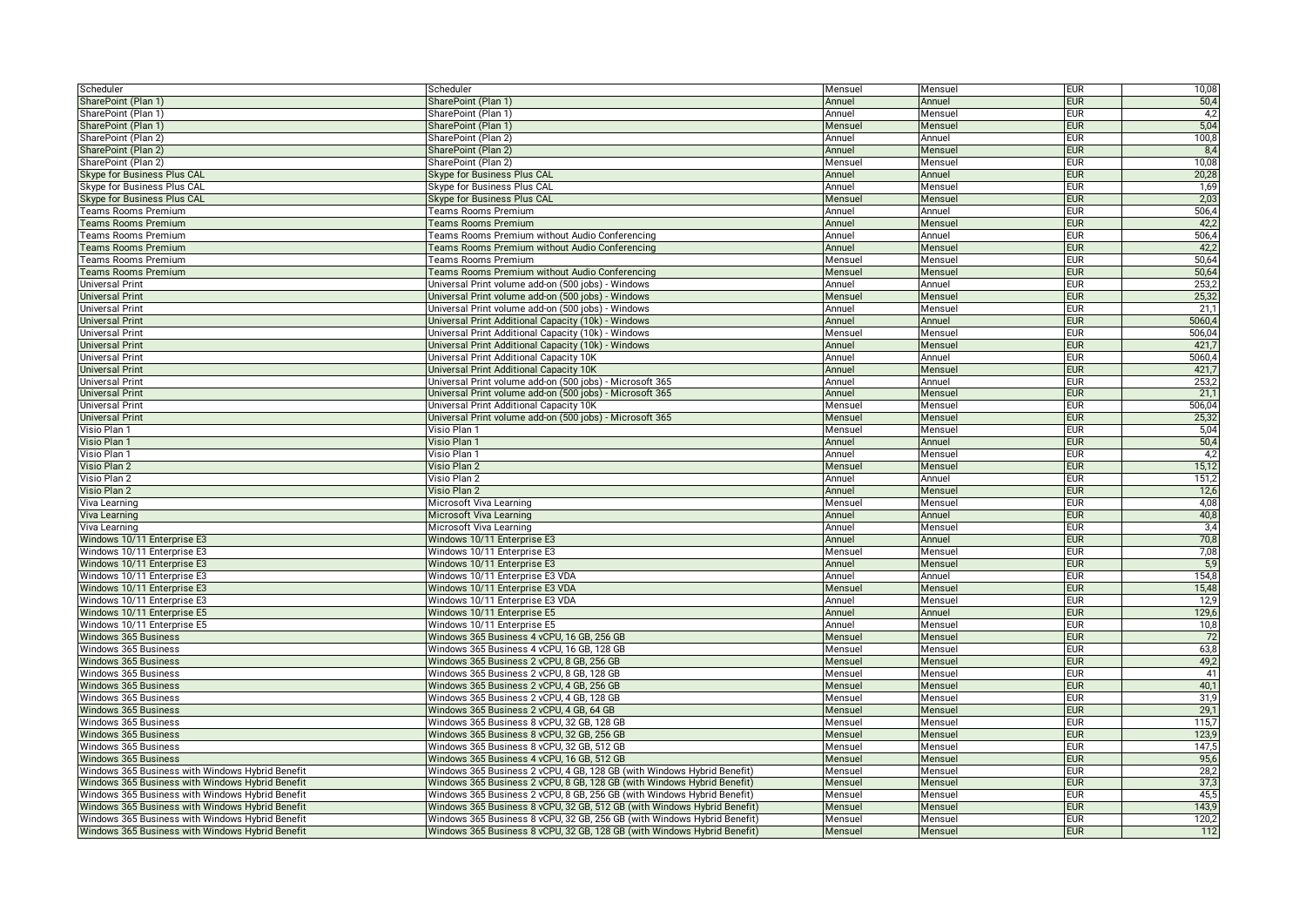| Scheduler                                                  | Scheduler                                                                | Mensuel           | Mensuel          | <b>EUR</b>               | 10,08        |
|------------------------------------------------------------|--------------------------------------------------------------------------|-------------------|------------------|--------------------------|--------------|
| SharePoint (Plan 1)                                        | SharePoint (Plan 1)                                                      | Annuel            | Annuel           | <b>EUR</b>               | 50,4         |
| SharePoint (Plan 1)                                        | SharePoint (Plan 1)                                                      | Annuel            | Mensuel          | <b>EUR</b>               | 4,2          |
| SharePoint (Plan 1)                                        | SharePoint (Plan 1)                                                      | Mensuel           | Mensuel          | <b>EUR</b>               | 5,04         |
| SharePoint (Plan 2)                                        | SharePoint (Plan 2)                                                      | Annuel            | Annuel           | eur                      | 100,8        |
| SharePoint (Plan 2)                                        | SharePoint (Plan 2)                                                      | Annuel            | Mensuel          | <b>EUR</b>               | 8,4          |
| SharePoint (Plan 2)                                        | SharePoint (Plan 2)                                                      | Mensuel           | Mensuel          | EUR                      | 10,08        |
| Skype for Business Plus CAL                                | Skype for Business Plus CAL                                              | Annuel            | Annuel           | <b>EUR</b>               | 20,28        |
| Skype for Business Plus CAL                                | Skype for Business Plus CAL                                              | Annuel            | Mensuel          | <b>EUR</b>               | 1,69         |
| Skype for Business Plus CAL                                | Skype for Business Plus CAL                                              | Mensuel           | Mensuel          | <b>EUR</b>               | 2,03         |
| Teams Rooms Premium                                        | Teams Rooms Premium                                                      | Annuel            | Annuel           | <b>EUR</b>               | 506,4        |
| <b>Teams Rooms Premium</b>                                 | <b>Teams Rooms Premium</b>                                               | Annuel            | Mensuel          | <b>EUR</b>               | 42,2         |
| Teams Rooms Premium                                        | <b>Teams Rooms Premium without Audio Conferencing</b>                    | Annuel            | Annuel           | <b>EUR</b>               | 506,4        |
| <b>Teams Rooms Premium</b>                                 | <b>Teams Rooms Premium without Audio Conferencing</b>                    | Annuel            | Mensuel          | <b>EUR</b>               | 42,2         |
| <b>Teams Rooms Premium</b>                                 | Teams Rooms Premium                                                      | Mensuel           | Mensuel          | eur                      | 50,64        |
| <b>Teams Rooms Premium</b>                                 | Teams Rooms Premium without Audio Conferencing                           | Mensuel           | Mensuel          | <b>EUR</b>               | 50,64        |
| <b>Jniversal Print</b>                                     | Jniversal Print volume add-on (500 jobs) - Windows                       | Annuel            | Annuel           | <b>EUR</b>               | 253,2        |
| <b>Universal Print</b>                                     | Universal Print volume add-on (500 jobs) - Windows                       | Mensuel           | Mensuel          | <b>EUR</b>               | 25,32        |
| <b>Universal Print</b>                                     | Universal Print volume add-on (500 jobs) - Windows                       | Annuel            | Mensuel          | EUR                      | 21,1         |
| <b>Universal Print</b>                                     | Universal Print Additional Capacity (10k) - Windows                      | Annuel            | Annuel           | <b>EUR</b>               | 5060,4       |
| Universal Print                                            | Universal Print Additional Capacity (10k) - Windows                      | Mensuel           | Mensue           | <b>EUR</b>               | 506,04       |
| <b>Universal Print</b>                                     | Universal Print Additional Capacity (10k) - Windows                      | Annuel            | Mensuel          | <b>EUR</b>               | 421,7        |
| <b>Universal Print</b>                                     | Universal Print Additional Capacity 10K                                  | Annuel            | Annuel           | <b>EUR</b>               | 5060,4       |
| <b>Universal Print</b>                                     | Universal Print Additional Capacity 10K                                  | Annuel            | Mensuel          | <b>EUR</b>               | 421,7        |
| <b>Universal Print</b>                                     | Universal Print volume add-on (500 jobs) - Microsoft 365                 | Annuel            | Annuel           | <b>EUR</b>               | 253,2        |
| <b>Jniversal Print</b>                                     | Universal Print volume add-on (500 jobs) - Microsoft 365                 | Annuel            | Mensuel          | <b>EUR</b>               | 21,1         |
| Universal Print                                            | Universal Print Additional Capacity 10K                                  | Mensuel           | Mensuel          | eur                      | 506,04       |
| <b>Universal Print</b>                                     | Universal Print volume add-on (500 jobs) - Microsoft 365                 | Mensuel           | Mensuel          | <b>EUR</b>               | 25,32        |
| Visio Plan 1                                               | Visio Plan 1                                                             | Mensuel           | Mensuel          | <b>EUR</b>               | 5,04         |
| Visio Plan 1                                               | Visio Plan 1                                                             | Annuel            | Annuel           | <b>EUR</b>               | 50,4         |
| Visio Plan 1                                               | Visio Plan 1                                                             | Annuel            | Mensuel          | EUR                      | 4,2          |
| Visio Plan 2                                               | Visio Plan 2                                                             | Mensuel           | Mensuel          | <b>EUR</b>               | 15,12        |
| Visio Plan 2                                               | Visio Plan 2                                                             | Annuel            | Annuel           | <b>EUR</b>               | 151,2        |
| Visio Plan 2                                               | Visio Plan 2                                                             | Annuel            | Mensuel          | <b>EUR</b>               | 12,6         |
|                                                            |                                                                          |                   |                  | <b>EUR</b>               | 4,08         |
| Viva Learning                                              | Microsoft Viva Learning<br>Microsoft Viva Learning                       | Mensuel<br>Annuel | Mensuel          | <b>EUR</b>               | 40,8         |
| Viva Learning                                              | Microsoft Viva Learning                                                  |                   | Annuel           |                          |              |
| Viva Learning                                              |                                                                          | Annuel            | Mensuel          | eur                      | 3,4          |
| Windows 10/11 Enterprise E3<br>Windows 10/11 Enterprise E3 | Windows 10/11 Enterprise E3<br>Windows 10/11 Enterprise E3               | Annuel            | Annuel           | <b>EUR</b><br><b>EUR</b> | 70,8<br>7,08 |
|                                                            |                                                                          | Mensuel           | Mensuel          | <b>EUR</b>               |              |
| Windows 10/11 Enterprise E3                                | Windows 10/11 Enterprise E3                                              | Annuel            | Mensuel          | <b>EUR</b>               | 5,9<br>154,8 |
| Windows 10/11 Enterprise E3<br>Windows 10/11 Enterprise E3 | Windows 10/11 Enterprise E3 VDA                                          | Annuel            | Annuel           |                          |              |
|                                                            | Windows 10/11 Enterprise E3 VDA                                          | Mensuel           | Mensuel          | <b>EUR</b>               | 15,48        |
| Windows 10/11 Enterprise E3                                | Windows 10/11 Enterprise E3 VDA                                          | Annuel            | Mensue<br>Annuel | <b>EUR</b><br><b>EUR</b> | 12,9         |
| Windows 10/11 Enterprise E5                                | Windows 10/11 Enterprise E5                                              | Annuel            |                  |                          | 129,6        |
| Windows 10/11 Enterprise E5                                | Windows 10/11 Enterprise E5                                              | Annuel            | Mensuel          | <b>EUR</b>               | 10,8         |
| Windows 365 Business                                       | Windows 365 Business 4 vCPU, 16 GB, 256 GB                               | Mensuel           | Mensuel          | <b>EUR</b>               | 72           |
| Windows 365 Business                                       | Windows 365 Business 4 vCPU, 16 GB, 128 GB                               | Mensuel           | Mensuel          | <b>EUR</b>               | 63,8         |
| Windows 365 Business                                       | Windows 365 Business 2 vCPU, 8 GB, 256 GB                                | Mensuel           | Mensuel          | <b>EUR</b>               | 49,2         |
| Windows 365 Business                                       | Windows 365 Business 2 vCPU, 8 GB, 128 GB                                | Mensuel           | Mensuel          | eur                      | 41           |
| Windows 365 Business                                       | Windows 365 Business 2 vCPU, 4 GB, 256 GB                                | Mensuel           | Mensuel          | <b>EUR</b>               | 40,1         |
| Windows 365 Business                                       | Windows 365 Business 2 vCPU, 4 GB, 128 GB                                | Mensuel           | Mensuel          | <b>EUR</b>               | 31,9         |
| Windows 365 Business                                       | Windows 365 Business 2 vCPU, 4 GB, 64 GB                                 | Mensuel           | Mensuel          | <b>EUR</b>               | 29,1         |
| Windows 365 Business                                       | Windows 365 Business 8 vCPU, 32 GB, 128 GB                               | Mensuel           | Mensuel          | <b>EUR</b>               | 115,7        |
| Windows 365 Business                                       | Windows 365 Business 8 vCPU, 32 GB, 256 GB                               | Mensuel           | Mensuel          | <b>EUR</b>               | 123,9        |
| Windows 365 Business                                       | Windows 365 Business 8 vCPU, 32 GB, 512 GB                               | Mensuel           | Mensuel          | <b>EUR</b>               | 147,5        |
| Windows 365 Business                                       | Windows 365 Business 4 vCPU, 16 GB, 512 GB                               | Mensuel           | Mensuel          | <b>EUR</b>               | 95,6         |
| Windows 365 Business with Windows Hybrid Benefit           | Windows 365 Business 2 vCPU, 4 GB, 128 GB (with Windows Hybrid Benefit)  | Mensuel           | Mensuel          | <b>EUR</b>               | 28,2         |
| Windows 365 Business with Windows Hybrid Benefit           | Windows 365 Business 2 vCPU, 8 GB, 128 GB (with Windows Hybrid Benefit)  | Mensuel           | Mensuel          | <b>EUR</b>               | 37,3         |
| Windows 365 Business with Windows Hybrid Benefit           | Windows 365 Business 2 vCPU, 8 GB, 256 GB (with Windows Hybrid Benefit)  | Mensuel           | Mensuel          | eur                      | 45,5         |
| Windows 365 Business with Windows Hybrid Benefit           | Windows 365 Business 8 vCPU, 32 GB, 512 GB (with Windows Hybrid Benefit) | Mensuel           | Mensuel          | <b>EUR</b>               | 143,9        |
| Windows 365 Business with Windows Hybrid Benefit           | Windows 365 Business 8 vCPU, 32 GB, 256 GB (with Windows Hybrid Benefit) | Mensuel           | Mensuel          | <b>EUR</b>               | 120,2        |
| Windows 365 Business with Windows Hybrid Benefit           | Windows 365 Business 8 vCPU, 32 GB, 128 GB (with Windows Hybrid Benefit) | Mensuel           | Mensuel          | <b>EUR</b>               | 112          |